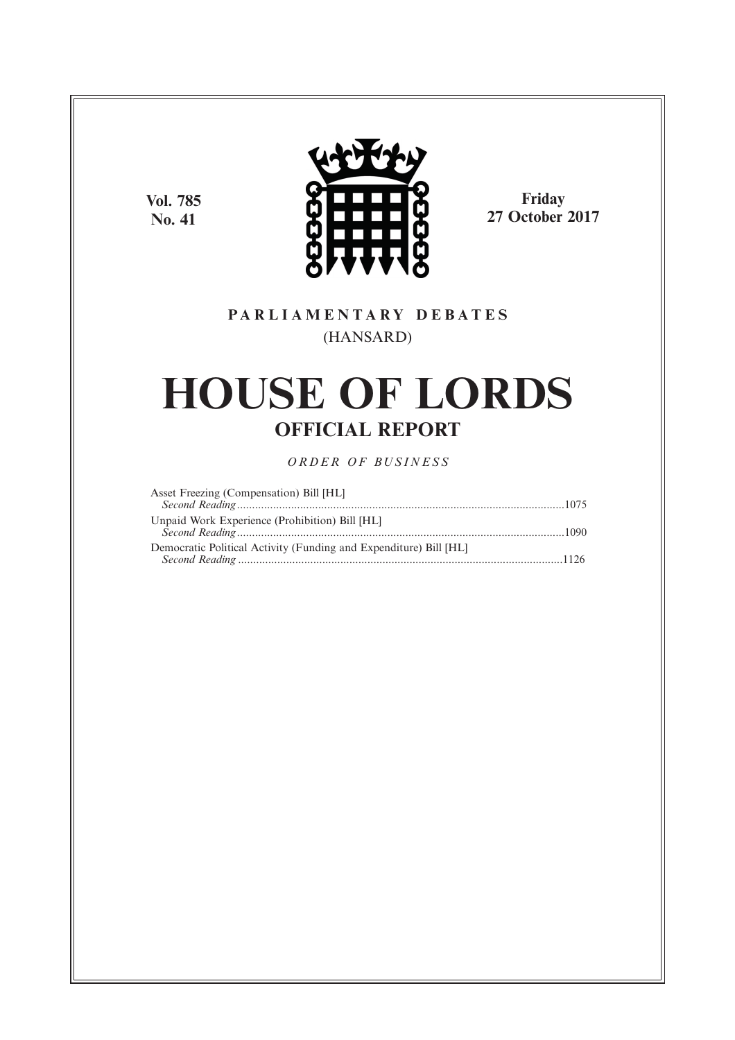**Vol. 785 No. 41**



**Friday 27 October 2017**

# **P A R L I A M E N T A R Y D E B A T E S** (HANSARD)

# **HOUSE OF LORDS OFFICIAL REPORT**

*O R D E R O F BU S I N E S S*

| Asset Freezing (Compensation) Bill [HL]                           |  |
|-------------------------------------------------------------------|--|
| Unpaid Work Experience (Prohibition) Bill [HL]                    |  |
| Democratic Political Activity (Funding and Expenditure) Bill [HL] |  |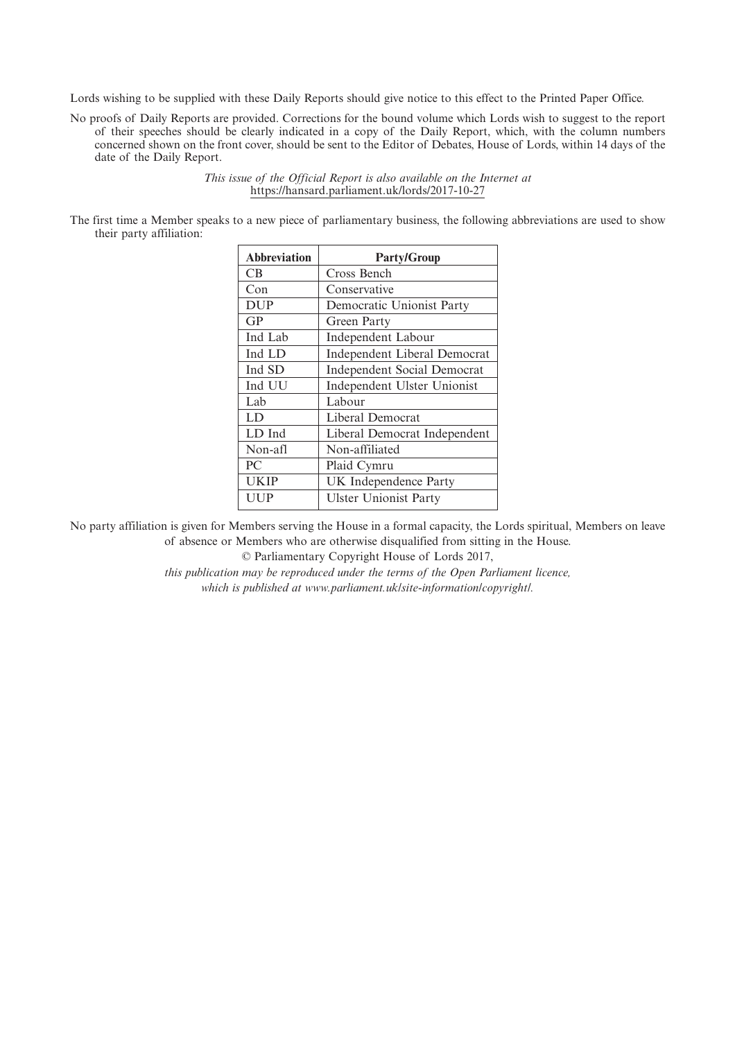Lords wishing to be supplied with these Daily Reports should give notice to this effect to the Printed Paper Office.

No proofs of Daily Reports are provided. Corrections for the bound volume which Lords wish to suggest to the report of their speeches should be clearly indicated in a copy of the Daily Report, which, with the column numbers concerned shown on the front cover, should be sent to the Editor of Debates, House of Lords, within 14 days of the date of the Daily Report.

> *This issue of the Official Report is also available on the Internet at* https://hansard.parliament.uk/lords/2017-10-27

The first time a Member speaks to a new piece of parliamentary business, the following abbreviations are used to show their party affiliation:

| <b>Abbreviation</b> | <b>Party/Group</b>                  |
|---------------------|-------------------------------------|
| CB.                 | Cross Bench                         |
| Con                 | Conservative                        |
| <b>DUP</b>          | Democratic Unionist Party           |
| GP                  | Green Party                         |
| Ind Lab             | <b>Independent Labour</b>           |
| Ind LD              | <b>Independent Liberal Democrat</b> |
| Ind SD              | <b>Independent Social Democrat</b>  |
| Ind UU              | Independent Ulster Unionist         |
| Lab                 | Labour                              |
| LD                  | Liberal Democrat                    |
| LD Ind              | Liberal Democrat Independent        |
| Non-afl             | Non-affiliated                      |
| PC                  | Plaid Cymru                         |
| <b>UKIP</b>         | UK Independence Party               |
| UUP                 | <b>Ulster Unionist Party</b>        |

No party affiliation is given for Members serving the House in a formal capacity, the Lords spiritual, Members on leave of absence or Members who are otherwise disqualified from sitting in the House.

© Parliamentary Copyright House of Lords 2017,

*this publication may be reproduced under the terms of the Open Parliament licence, which is published at www.parliament.uk/site-information/copyright/.*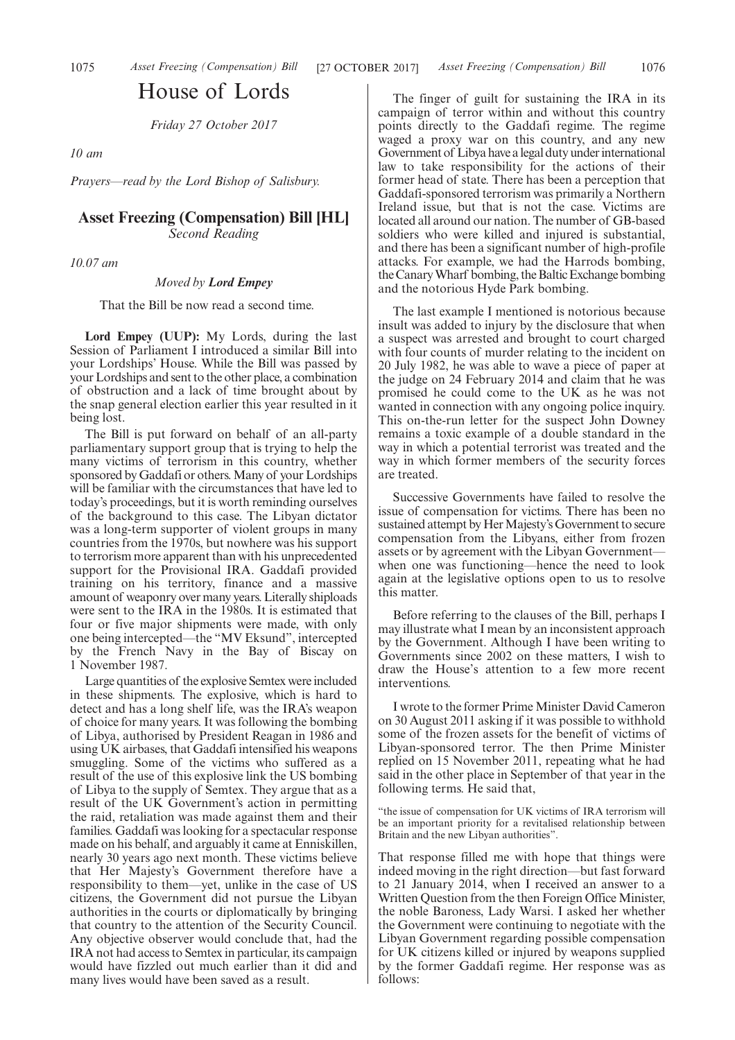# House of Lords

*Friday 27 October 2017*

*10 am*

*Prayers—read by the Lord Bishop of Salisbury.*

# **Asset Freezing (Compensation) Bill [HL]** *Second Reading*

*10.07 am*

*Moved by Lord Empey*

That the Bill be now read a second time.

**Lord Empey (UUP):** My Lords, during the last Session of Parliament I introduced a similar Bill into your Lordships' House. While the Bill was passed by your Lordships and sent to the other place, a combination of obstruction and a lack of time brought about by the snap general election earlier this year resulted in it being lost.

The Bill is put forward on behalf of an all-party parliamentary support group that is trying to help the many victims of terrorism in this country, whether sponsored by Gaddafi or others. Many of your Lordships will be familiar with the circumstances that have led to today's proceedings, but it is worth reminding ourselves of the background to this case. The Libyan dictator was a long-term supporter of violent groups in many countries from the 1970s, but nowhere was his support to terrorism more apparent than with his unprecedented support for the Provisional IRA. Gaddafi provided training on his territory, finance and a massive amount of weaponry over many years. Literally shiploads were sent to the IRA in the 1980s. It is estimated that four or five major shipments were made, with only one being intercepted—the "MV Eksund", intercepted by the French Navy in the Bay of Biscay on 1 November 1987.

Large quantities of the explosive Semtex were included in these shipments. The explosive, which is hard to detect and has a long shelf life, was the IRA's weapon of choice for many years. It was following the bombing of Libya, authorised by President Reagan in 1986 and using UK airbases, that Gaddafi intensified his weapons smuggling. Some of the victims who suffered as a result of the use of this explosive link the US bombing of Libya to the supply of Semtex. They argue that as a result of the UK Government's action in permitting the raid, retaliation was made against them and their families. Gaddafi was looking for a spectacular response made on his behalf, and arguably it came at Enniskillen, nearly 30 years ago next month. These victims believe that Her Majesty's Government therefore have a responsibility to them—yet, unlike in the case of US citizens, the Government did not pursue the Libyan authorities in the courts or diplomatically by bringing that country to the attention of the Security Council. Any objective observer would conclude that, had the IRA not had access to Semtex in particular, its campaign would have fizzled out much earlier than it did and many lives would have been saved as a result.

The finger of guilt for sustaining the IRA in its campaign of terror within and without this country points directly to the Gaddafi regime. The regime waged a proxy war on this country, and any new Government of Libya have a legal duty under international law to take responsibility for the actions of their former head of state. There has been a perception that Gaddafi-sponsored terrorism was primarily a Northern Ireland issue, but that is not the case. Victims are located all around our nation. The number of GB-based soldiers who were killed and injured is substantial, and there has been a significant number of high-profile attacks. For example, we had the Harrods bombing, the Canary Wharf bombing, the Baltic Exchange bombing and the notorious Hyde Park bombing.

The last example I mentioned is notorious because insult was added to injury by the disclosure that when a suspect was arrested and brought to court charged with four counts of murder relating to the incident on 20 July 1982, he was able to wave a piece of paper at the judge on 24 February 2014 and claim that he was promised he could come to the UK as he was not wanted in connection with any ongoing police inquiry. This on-the-run letter for the suspect John Downey remains a toxic example of a double standard in the way in which a potential terrorist was treated and the way in which former members of the security forces are treated.

Successive Governments have failed to resolve the issue of compensation for victims. There has been no sustained attempt by Her Majesty's Government to secure compensation from the Libyans, either from frozen assets or by agreement with the Libyan Government when one was functioning—hence the need to look again at the legislative options open to us to resolve this matter.

Before referring to the clauses of the Bill, perhaps I may illustrate what I mean by an inconsistent approach by the Government. Although I have been writing to Governments since 2002 on these matters, I wish to draw the House's attention to a few more recent interventions.

I wrote to the former Prime Minister David Cameron on 30 August 2011 asking if it was possible to withhold some of the frozen assets for the benefit of victims of Libyan-sponsored terror. The then Prime Minister replied on 15 November 2011, repeating what he had said in the other place in September of that year in the following terms. He said that,

"the issue of compensation for UK victims of IRA terrorism will be an important priority for a revitalised relationship between Britain and the new Libyan authorities".

That response filled me with hope that things were indeed moving in the right direction—but fast forward to 21 January 2014, when I received an answer to a Written Question from the then Foreign Office Minister, the noble Baroness, Lady Warsi. I asked her whether the Government were continuing to negotiate with the Libyan Government regarding possible compensation for UK citizens killed or injured by weapons supplied by the former Gaddafi regime. Her response was as follows: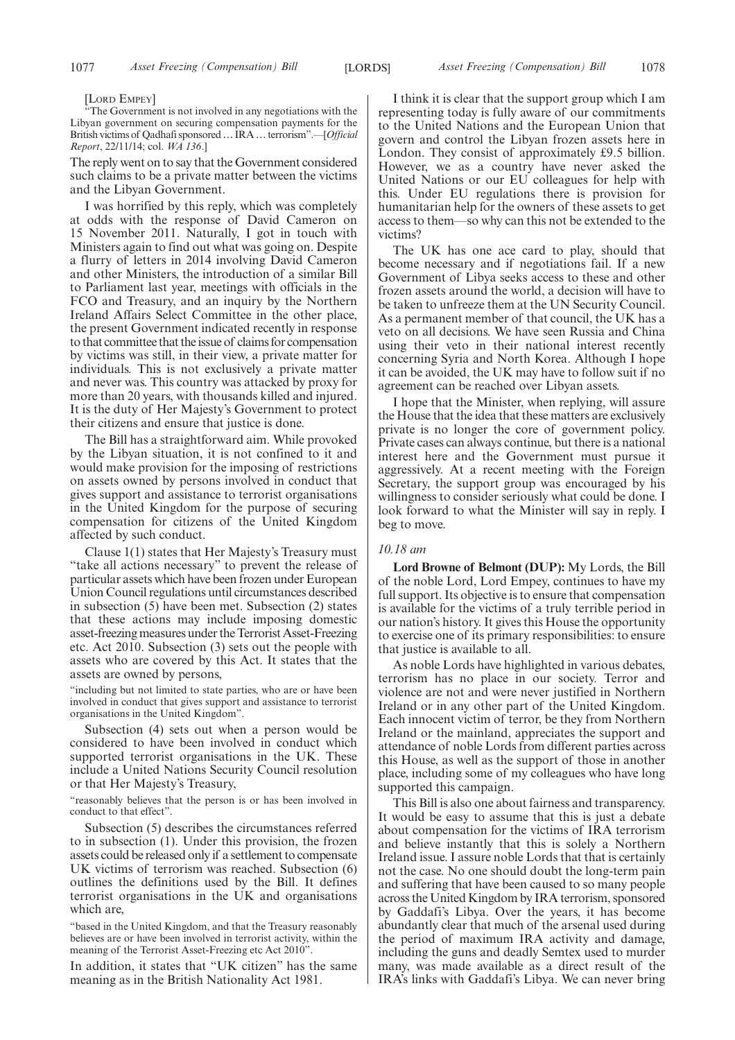[LORD EMPEY]

The Government is not involved in any negotiations with the Libyan government on securing compensation payments for the British victims of Qadhafi sponsored…IRA…terrorism".—[*Official Report*, 22/11/14; col. *WA 136*.]

The reply went on to say that the Government considered such claims to be a private matter between the victims and the Libyan Government.

I was horrified by this reply, which was completely at odds with the response of David Cameron on 15 November 2011. Naturally, I got in touch with Ministers again to find out what was going on. Despite a flurry of letters in 2014 involving David Cameron and other Ministers, the introduction of a similar Bill to Parliament last year, meetings with officials in the FCO and Treasury, and an inquiry by the Northern Ireland Affairs Select Committee in the other place, the present Government indicated recently in response to that committee that the issue of claims for compensation by victims was still, in their view, a private matter for individuals. This is not exclusively a private matter and never was. This country was attacked by proxy for more than 20 years, with thousands killed and injured. It is the duty of Her Majesty's Government to protect their citizens and ensure that justice is done.

The Bill has a straightforward aim. While provoked by the Libyan situation, it is not confined to it and would make provision for the imposing of restrictions on assets owned by persons involved in conduct that gives support and assistance to terrorist organisations in the United Kingdom for the purpose of securing compensation for citizens of the United Kingdom affected by such conduct.

Clause 1(1) states that Her Majesty's Treasury must "take all actions necessary" to prevent the release of particular assets which have been frozen under European Union Council regulations until circumstances described in subsection (5) have been met. Subsection (2) states that these actions may include imposing domestic asset-freezing measures under the Terrorist Asset-Freezing etc. Act 2010. Subsection (3) sets out the people with assets who are covered by this Act. It states that the assets are owned by persons,

"including but not limited to state parties, who are or have been involved in conduct that gives support and assistance to terrorist organisations in the United Kingdom".

Subsection (4) sets out when a person would be considered to have been involved in conduct which supported terrorist organisations in the UK. These include a United Nations Security Council resolution or that Her Majesty's Treasury,

"reasonably believes that the person is or has been involved in conduct to that effect".

Subsection (5) describes the circumstances referred to in subsection (1). Under this provision, the frozen assets could be released only if a settlement to compensate UK victims of terrorism was reached. Subsection (6) outlines the definitions used by the Bill. It defines terrorist organisations in the UK and organisations which are,

"based in the United Kingdom, and that the Treasury reasonably believes are or have been involved in terrorist activity, within the meaning of the Terrorist Asset-Freezing etc Act 2010".

In addition, it states that "UK citizen" has the same meaning as in the British Nationality Act 1981.

I think it is clear that the support group which I am representing today is fully aware of our commitments to the United Nations and the European Union that govern and control the Libyan frozen assets here in London. They consist of approximately £9.5 billion. However, we as a country have never asked the United Nations or our EU colleagues for help with this. Under EU regulations there is provision for humanitarian help for the owners of these assets to get access to them—so why can this not be extended to the victims?

The UK has one ace card to play, should that become necessary and if negotiations fail. If a new Government of Libya seeks access to these and other frozen assets around the world, a decision will have to be taken to unfreeze them at the UN Security Council. As a permanent member of that council, the UK has a veto on all decisions. We have seen Russia and China using their veto in their national interest recently concerning Syria and North Korea. Although I hope it can be avoided, the UK may have to follow suit if no agreement can be reached over Libyan assets.

I hope that the Minister, when replying, will assure the House that the idea that these matters are exclusively private is no longer the core of government policy. Private cases can always continue, but there is a national interest here and the Government must pursue it aggressively. At a recent meeting with the Foreign Secretary, the support group was encouraged by his willingness to consider seriously what could be done. I look forward to what the Minister will say in reply. I beg to move.

## *10.18 am*

**Lord Browne of Belmont (DUP):** My Lords, the Bill of the noble Lord, Lord Empey, continues to have my full support. Its objective is to ensure that compensation is available for the victims of a truly terrible period in our nation's history. It gives this House the opportunity to exercise one of its primary responsibilities: to ensure that justice is available to all.

As noble Lords have highlighted in various debates, terrorism has no place in our society. Terror and violence are not and were never justified in Northern Ireland or in any other part of the United Kingdom. Each innocent victim of terror, be they from Northern Ireland or the mainland, appreciates the support and attendance of noble Lords from different parties across this House, as well as the support of those in another place, including some of my colleagues who have long supported this campaign.

This Bill is also one about fairness and transparency. It would be easy to assume that this is just a debate about compensation for the victims of IRA terrorism and believe instantly that this is solely a Northern Ireland issue. I assure noble Lords that that is certainly not the case. No one should doubt the long-term pain and suffering that have been caused to so many people across the United Kingdom by IRA terrorism, sponsored by Gaddafi's Libya. Over the years, it has become abundantly clear that much of the arsenal used during the period of maximum IRA activity and damage, including the guns and deadly Semtex used to murder many, was made available as a direct result of the IRA's links with Gaddafi's Libya. We can never bring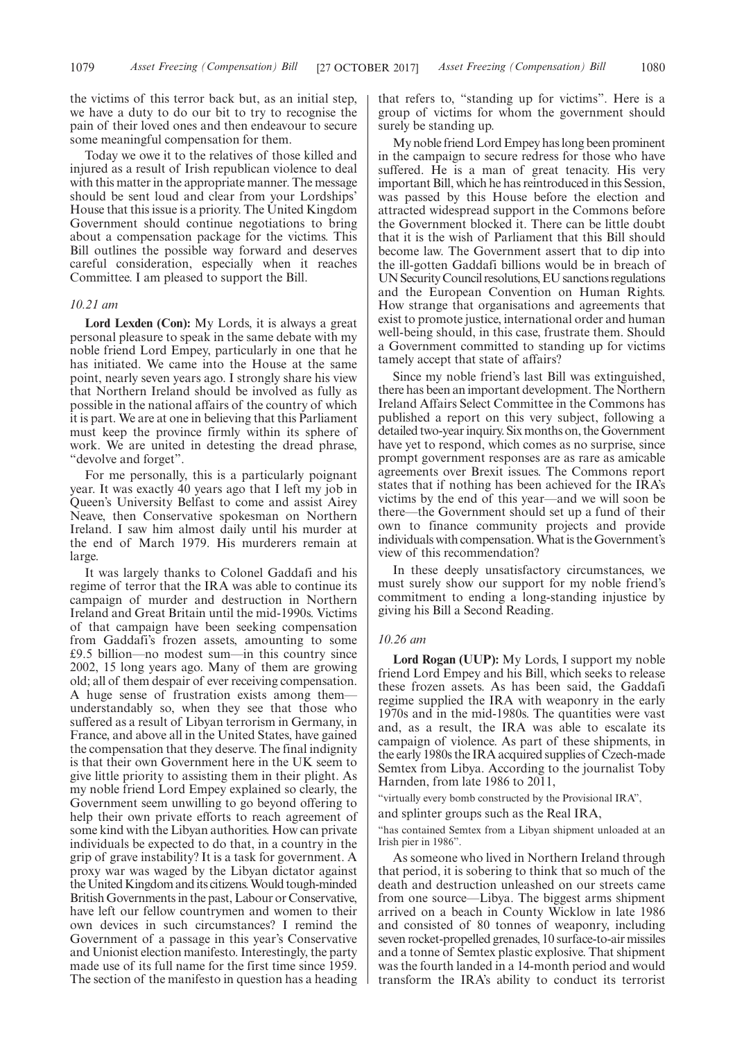the victims of this terror back but, as an initial step, we have a duty to do our bit to try to recognise the pain of their loved ones and then endeavour to secure some meaningful compensation for them.

Today we owe it to the relatives of those killed and injured as a result of Irish republican violence to deal with this matter in the appropriate manner. The message should be sent loud and clear from your Lordships' House that this issue is a priority. The United Kingdom Government should continue negotiations to bring about a compensation package for the victims. This Bill outlines the possible way forward and deserves careful consideration, especially when it reaches Committee. I am pleased to support the Bill.

#### *10.21 am*

**Lord Lexden (Con):** My Lords, it is always a great personal pleasure to speak in the same debate with my noble friend Lord Empey, particularly in one that he has initiated. We came into the House at the same point, nearly seven years ago. I strongly share his view that Northern Ireland should be involved as fully as possible in the national affairs of the country of which it is part. We are at one in believing that this Parliament must keep the province firmly within its sphere of work. We are united in detesting the dread phrase, "devolve and forget".

For me personally, this is a particularly poignant year. It was exactly 40 years ago that I left my job in Queen's University Belfast to come and assist Airey Neave, then Conservative spokesman on Northern Ireland. I saw him almost daily until his murder at the end of March 1979. His murderers remain at large.

It was largely thanks to Colonel Gaddafi and his regime of terror that the IRA was able to continue its campaign of murder and destruction in Northern Ireland and Great Britain until the mid-1990s. Victims of that campaign have been seeking compensation from Gaddafi's frozen assets, amounting to some £9.5 billion—no modest sum—in this country since 2002, 15 long years ago. Many of them are growing old; all of them despair of ever receiving compensation. A huge sense of frustration exists among them understandably so, when they see that those who suffered as a result of Libyan terrorism in Germany, in France, and above all in the United States, have gained the compensation that they deserve. The final indignity is that their own Government here in the UK seem to give little priority to assisting them in their plight. As my noble friend Lord Empey explained so clearly, the Government seem unwilling to go beyond offering to help their own private efforts to reach agreement of some kind with the Libyan authorities. How can private individuals be expected to do that, in a country in the grip of grave instability? It is a task for government. A proxy war was waged by the Libyan dictator against the United Kingdom and its citizens. Would tough-minded British Governments in the past, Labour or Conservative, have left our fellow countrymen and women to their own devices in such circumstances? I remind the Government of a passage in this year's Conservative and Unionist election manifesto. Interestingly, the party made use of its full name for the first time since 1959. The section of the manifesto in question has a heading that refers to, "standing up for victims". Here is a group of victims for whom the government should surely be standing up.

My noble friend Lord Empey has long been prominent in the campaign to secure redress for those who have suffered. He is a man of great tenacity. His very important Bill, which he has reintroduced in this Session, was passed by this House before the election and attracted widespread support in the Commons before the Government blocked it. There can be little doubt that it is the wish of Parliament that this Bill should become law. The Government assert that to dip into the ill-gotten Gaddafi billions would be in breach of UN Security Council resolutions, EU sanctions regulations and the European Convention on Human Rights. How strange that organisations and agreements that exist to promote justice, international order and human well-being should, in this case, frustrate them. Should a Government committed to standing up for victims tamely accept that state of affairs?

Since my noble friend's last Bill was extinguished, there has been an important development. The Northern Ireland Affairs Select Committee in the Commons has published a report on this very subject, following a detailed two-year inquiry. Six months on, the Government have yet to respond, which comes as no surprise, since prompt government responses are as rare as amicable agreements over Brexit issues. The Commons report states that if nothing has been achieved for the IRA's victims by the end of this year—and we will soon be there—the Government should set up a fund of their own to finance community projects and provide individuals with compensation. What is the Government's view of this recommendation?

In these deeply unsatisfactory circumstances, we must surely show our support for my noble friend's commitment to ending a long-standing injustice by giving his Bill a Second Reading.

#### *10.26 am*

**Lord Rogan (UUP):** My Lords, I support my noble friend Lord Empey and his Bill, which seeks to release these frozen assets. As has been said, the Gaddafi regime supplied the IRA with weaponry in the early 1970s and in the mid-1980s. The quantities were vast and, as a result, the IRA was able to escalate its campaign of violence. As part of these shipments, in the early 1980s the IRA acquired supplies of Czech-made Semtex from Libya. According to the journalist Toby Harnden, from late 1986 to 2011,

"virtually every bomb constructed by the Provisional IRA",

and splinter groups such as the Real IRA,

"has contained Semtex from a Libyan shipment unloaded at an Irish pier in 1986".

As someone who lived in Northern Ireland through that period, it is sobering to think that so much of the death and destruction unleashed on our streets came from one source—Libya. The biggest arms shipment arrived on a beach in County Wicklow in late 1986 and consisted of 80 tonnes of weaponry, including seven rocket-propelled grenades, 10 surface-to-air missiles and a tonne of Semtex plastic explosive. That shipment was the fourth landed in a 14-month period and would transform the IRA's ability to conduct its terrorist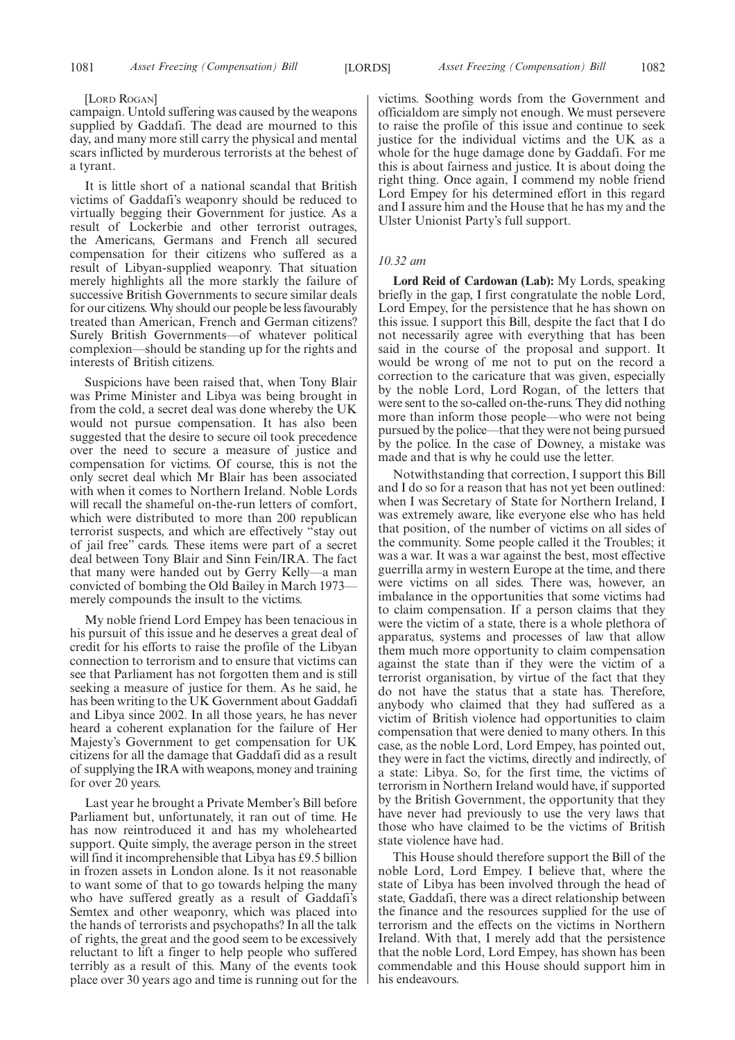#### [LORD ROGAN]

campaign. Untold suffering was caused by the weapons supplied by Gaddafi. The dead are mourned to this day, and many more still carry the physical and mental scars inflicted by murderous terrorists at the behest of a tyrant.

It is little short of a national scandal that British victims of Gaddafi's weaponry should be reduced to virtually begging their Government for justice. As a result of Lockerbie and other terrorist outrages, the Americans, Germans and French all secured compensation for their citizens who suffered as a result of Libyan-supplied weaponry. That situation merely highlights all the more starkly the failure of successive British Governments to secure similar deals for our citizens. Why should our people be less favourably treated than American, French and German citizens? Surely British Governments—of whatever political complexion—should be standing up for the rights and interests of British citizens.

Suspicions have been raised that, when Tony Blair was Prime Minister and Libya was being brought in from the cold, a secret deal was done whereby the UK would not pursue compensation. It has also been suggested that the desire to secure oil took precedence over the need to secure a measure of justice and compensation for victims. Of course, this is not the only secret deal which Mr Blair has been associated with when it comes to Northern Ireland. Noble Lords will recall the shameful on-the-run letters of comfort, which were distributed to more than 200 republican terrorist suspects, and which are effectively "stay out of jail free" cards. These items were part of a secret deal between Tony Blair and Sinn Fein/IRA. The fact that many were handed out by Gerry Kelly—a man convicted of bombing the Old Bailey in March 1973 merely compounds the insult to the victims.

My noble friend Lord Empey has been tenacious in his pursuit of this issue and he deserves a great deal of credit for his efforts to raise the profile of the Libyan connection to terrorism and to ensure that victims can see that Parliament has not forgotten them and is still seeking a measure of justice for them. As he said, he has been writing to the UK Government about Gaddafi and Libya since 2002. In all those years, he has never heard a coherent explanation for the failure of Her Majesty's Government to get compensation for UK citizens for all the damage that Gaddafi did as a result of supplying the IRA with weapons, money and training for over 20 years.

Last year he brought a Private Member's Bill before Parliament but, unfortunately, it ran out of time. He has now reintroduced it and has my wholehearted support. Quite simply, the average person in the street will find it incomprehensible that Libya has £9.5 billion in frozen assets in London alone. Is it not reasonable to want some of that to go towards helping the many who have suffered greatly as a result of Gaddafi's Semtex and other weaponry, which was placed into the hands of terrorists and psychopaths? In all the talk of rights, the great and the good seem to be excessively reluctant to lift a finger to help people who suffered terribly as a result of this. Many of the events took place over 30 years ago and time is running out for the victims. Soothing words from the Government and officialdom are simply not enough. We must persevere to raise the profile of this issue and continue to seek justice for the individual victims and the UK as a whole for the huge damage done by Gaddafi. For me this is about fairness and justice. It is about doing the right thing. Once again, I commend my noble friend Lord Empey for his determined effort in this regard and I assure him and the House that he has my and the Ulster Unionist Party's full support.

#### *10.32 am*

**Lord Reid of Cardowan (Lab):** My Lords, speaking briefly in the gap, I first congratulate the noble Lord, Lord Empey, for the persistence that he has shown on this issue. I support this Bill, despite the fact that I do not necessarily agree with everything that has been said in the course of the proposal and support. It would be wrong of me not to put on the record a correction to the caricature that was given, especially by the noble Lord, Lord Rogan, of the letters that were sent to the so-called on-the-runs. They did nothing more than inform those people—who were not being pursued by the police—that they were not being pursued by the police. In the case of Downey, a mistake was made and that is why he could use the letter.

Notwithstanding that correction, I support this Bill and I do so for a reason that has not yet been outlined: when I was Secretary of State for Northern Ireland, I was extremely aware, like everyone else who has held that position, of the number of victims on all sides of the community. Some people called it the Troubles; it was a war. It was a war against the best, most effective guerrilla army in western Europe at the time, and there were victims on all sides. There was, however, an imbalance in the opportunities that some victims had to claim compensation. If a person claims that they were the victim of a state, there is a whole plethora of apparatus, systems and processes of law that allow them much more opportunity to claim compensation against the state than if they were the victim of a terrorist organisation, by virtue of the fact that they do not have the status that a state has. Therefore, anybody who claimed that they had suffered as a victim of British violence had opportunities to claim compensation that were denied to many others. In this case, as the noble Lord, Lord Empey, has pointed out, they were in fact the victims, directly and indirectly, of a state: Libya. So, for the first time, the victims of terrorism in Northern Ireland would have, if supported by the British Government, the opportunity that they have never had previously to use the very laws that those who have claimed to be the victims of British state violence have had.

This House should therefore support the Bill of the noble Lord, Lord Empey. I believe that, where the state of Libya has been involved through the head of state, Gaddafi, there was a direct relationship between the finance and the resources supplied for the use of terrorism and the effects on the victims in Northern Ireland. With that, I merely add that the persistence that the noble Lord, Lord Empey, has shown has been commendable and this House should support him in his endeavours.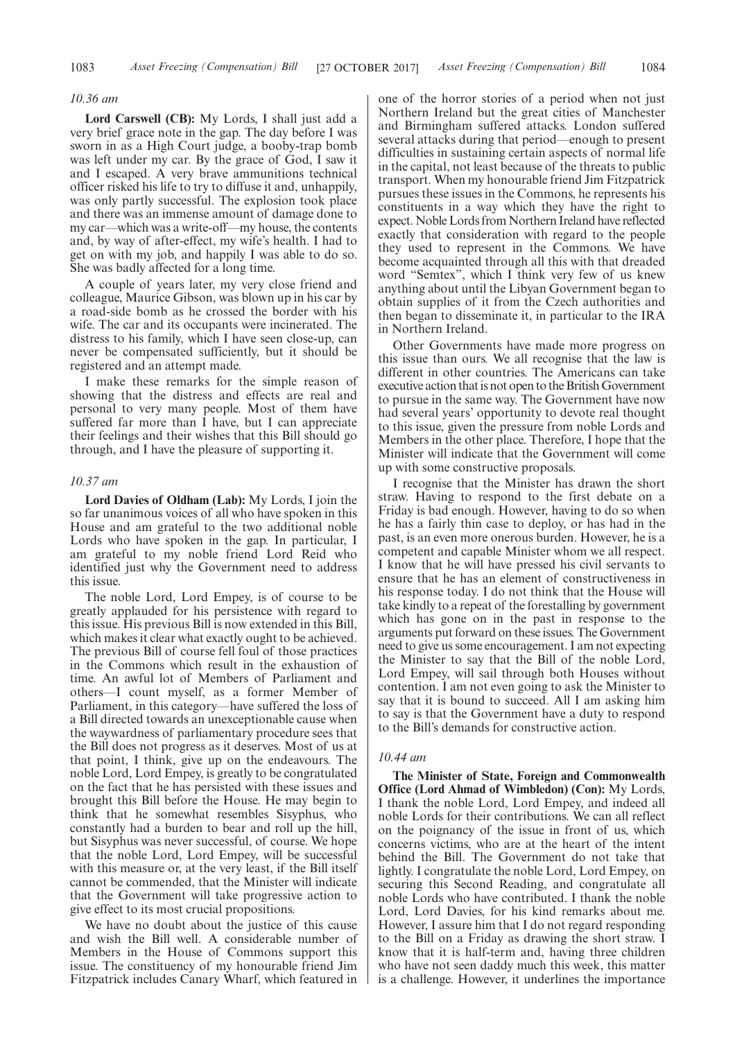#### *10.36 am*

**Lord Carswell (CB):** My Lords, I shall just add a very brief grace note in the gap. The day before I was sworn in as a High Court judge, a booby-trap bomb was left under my car. By the grace of God, I saw it and I escaped. A very brave ammunitions technical officer risked his life to try to diffuse it and, unhappily, was only partly successful. The explosion took place and there was an immense amount of damage done to my car—which was a write-off—my house, the contents and, by way of after-effect, my wife's health. I had to get on with my job, and happily I was able to do so. She was badly affected for a long time.

A couple of years later, my very close friend and colleague, Maurice Gibson, was blown up in his car by a road-side bomb as he crossed the border with his wife. The car and its occupants were incinerated. The distress to his family, which I have seen close-up, can never be compensated sufficiently, but it should be registered and an attempt made.

I make these remarks for the simple reason of showing that the distress and effects are real and personal to very many people. Most of them have suffered far more than I have, but I can appreciate their feelings and their wishes that this Bill should go through, and I have the pleasure of supporting it.

#### *10.37 am*

**Lord Davies of Oldham (Lab):** My Lords, I join the so far unanimous voices of all who have spoken in this House and am grateful to the two additional noble Lords who have spoken in the gap. In particular, I am grateful to my noble friend Lord Reid who identified just why the Government need to address this issue.

The noble Lord, Lord Empey, is of course to be greatly applauded for his persistence with regard to this issue. His previous Bill is now extended in this Bill, which makes it clear what exactly ought to be achieved. The previous Bill of course fell foul of those practices in the Commons which result in the exhaustion of time. An awful lot of Members of Parliament and others—I count myself, as a former Member of Parliament, in this category—have suffered the loss of a Bill directed towards an unexceptionable cause when the waywardness of parliamentary procedure sees that the Bill does not progress as it deserves. Most of us at that point, I think, give up on the endeavours. The noble Lord, Lord Empey, is greatly to be congratulated on the fact that he has persisted with these issues and brought this Bill before the House. He may begin to think that he somewhat resembles Sisyphus, who constantly had a burden to bear and roll up the hill, but Sisyphus was never successful, of course. We hope that the noble Lord, Lord Empey, will be successful with this measure or, at the very least, if the Bill itself cannot be commended, that the Minister will indicate that the Government will take progressive action to give effect to its most crucial propositions.

We have no doubt about the justice of this cause and wish the Bill well. A considerable number of Members in the House of Commons support this issue. The constituency of my honourable friend Jim Fitzpatrick includes Canary Wharf, which featured in

one of the horror stories of a period when not just Northern Ireland but the great cities of Manchester and Birmingham suffered attacks. London suffered several attacks during that period—enough to present difficulties in sustaining certain aspects of normal life in the capital, not least because of the threats to public transport. When my honourable friend Jim Fitzpatrick pursues these issues in the Commons, he represents his constituents in a way which they have the right to expect. Noble Lords from Northern Ireland have reflected exactly that consideration with regard to the people they used to represent in the Commons. We have become acquainted through all this with that dreaded word "Semtex", which I think very few of us knew anything about until the Libyan Government began to obtain supplies of it from the Czech authorities and then began to disseminate it, in particular to the IRA in Northern Ireland.

Other Governments have made more progress on this issue than ours. We all recognise that the law is different in other countries. The Americans can take executive action that is not open to the British Government to pursue in the same way. The Government have now had several years' opportunity to devote real thought to this issue, given the pressure from noble Lords and Members in the other place. Therefore, I hope that the Minister will indicate that the Government will come up with some constructive proposals.

I recognise that the Minister has drawn the short straw. Having to respond to the first debate on a Friday is bad enough. However, having to do so when he has a fairly thin case to deploy, or has had in the past, is an even more onerous burden. However, he is a competent and capable Minister whom we all respect. I know that he will have pressed his civil servants to ensure that he has an element of constructiveness in his response today. I do not think that the House will take kindly to a repeat of the forestalling by government which has gone on in the past in response to the arguments put forward on these issues. The Government need to give us some encouragement. I am not expecting the Minister to say that the Bill of the noble Lord, Lord Empey, will sail through both Houses without contention. I am not even going to ask the Minister to say that it is bound to succeed. All I am asking him to say is that the Government have a duty to respond to the Bill's demands for constructive action.

#### *10.44 am*

**The Minister of State, Foreign and Commonwealth Office (Lord Ahmad of Wimbledon) (Con):** My Lords, I thank the noble Lord, Lord Empey, and indeed all noble Lords for their contributions. We can all reflect on the poignancy of the issue in front of us, which concerns victims, who are at the heart of the intent behind the Bill. The Government do not take that lightly. I congratulate the noble Lord, Lord Empey, on securing this Second Reading, and congratulate all noble Lords who have contributed. I thank the noble Lord, Lord Davies, for his kind remarks about me. However, I assure him that I do not regard responding to the Bill on a Friday as drawing the short straw. I know that it is half-term and, having three children who have not seen daddy much this week, this matter is a challenge. However, it underlines the importance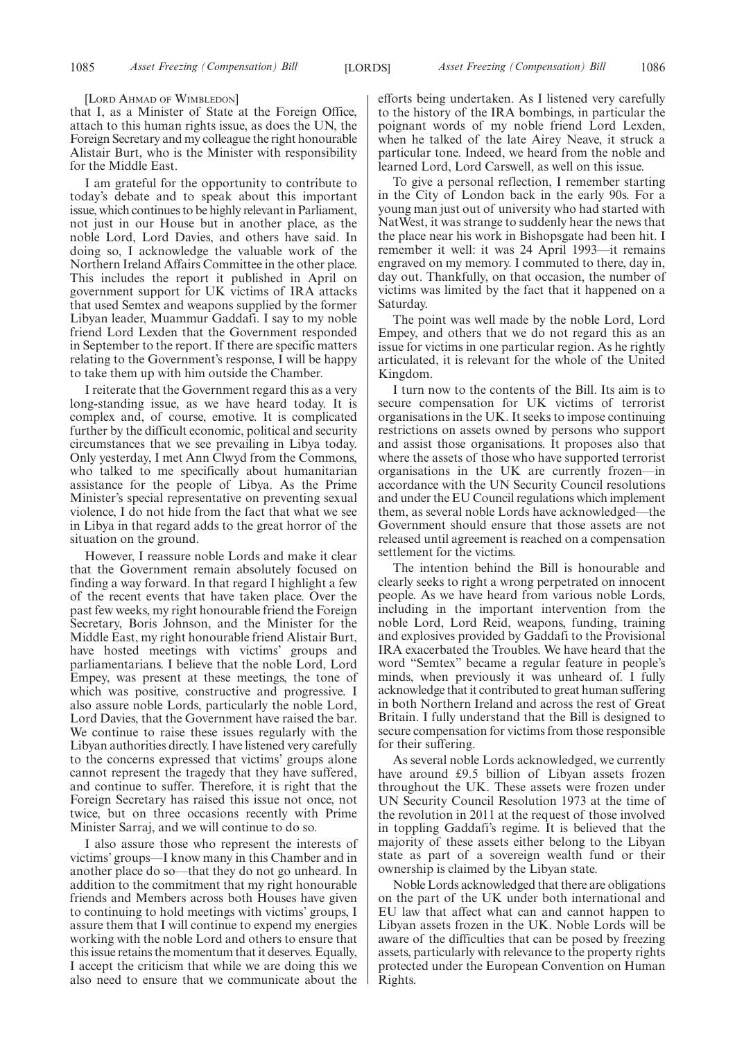[LORD AHMAD OF WIMBLEDON]

that I, as a Minister of State at the Foreign Office, attach to this human rights issue, as does the UN, the Foreign Secretary and my colleague the right honourable Alistair Burt, who is the Minister with responsibility for the Middle East.

I am grateful for the opportunity to contribute to today's debate and to speak about this important issue, which continues to be highly relevant in Parliament, not just in our House but in another place, as the noble Lord, Lord Davies, and others have said. In doing so, I acknowledge the valuable work of the Northern Ireland Affairs Committee in the other place. This includes the report it published in April on government support for UK victims of IRA attacks that used Semtex and weapons supplied by the former Libyan leader, Muammur Gaddafi. I say to my noble friend Lord Lexden that the Government responded in September to the report. If there are specific matters relating to the Government's response, I will be happy to take them up with him outside the Chamber.

I reiterate that the Government regard this as a very long-standing issue, as we have heard today. It is complex and, of course, emotive. It is complicated further by the difficult economic, political and security circumstances that we see prevailing in Libya today. Only yesterday, I met Ann Clwyd from the Commons, who talked to me specifically about humanitarian assistance for the people of Libya. As the Prime Minister's special representative on preventing sexual violence, I do not hide from the fact that what we see in Libya in that regard adds to the great horror of the situation on the ground.

However, I reassure noble Lords and make it clear that the Government remain absolutely focused on finding a way forward. In that regard I highlight a few of the recent events that have taken place. Over the past few weeks, my right honourable friend the Foreign Secretary, Boris Johnson, and the Minister for the Middle East, my right honourable friend Alistair Burt, have hosted meetings with victims' groups and parliamentarians. I believe that the noble Lord, Lord Empey, was present at these meetings, the tone of which was positive, constructive and progressive. I also assure noble Lords, particularly the noble Lord, Lord Davies, that the Government have raised the bar. We continue to raise these issues regularly with the Libyan authorities directly. I have listened very carefully to the concerns expressed that victims' groups alone cannot represent the tragedy that they have suffered, and continue to suffer. Therefore, it is right that the Foreign Secretary has raised this issue not once, not twice, but on three occasions recently with Prime Minister Sarraj, and we will continue to do so.

I also assure those who represent the interests of victims' groups—I know many in this Chamber and in another place do so—that they do not go unheard. In addition to the commitment that my right honourable friends and Members across both Houses have given to continuing to hold meetings with victims' groups, I assure them that I will continue to expend my energies working with the noble Lord and others to ensure that this issue retains the momentum that it deserves. Equally, I accept the criticism that while we are doing this we also need to ensure that we communicate about the efforts being undertaken. As I listened very carefully to the history of the IRA bombings, in particular the poignant words of my noble friend Lord Lexden, when he talked of the late Airey Neave, it struck a particular tone. Indeed, we heard from the noble and learned Lord, Lord Carswell, as well on this issue.

To give a personal reflection, I remember starting in the City of London back in the early 90s. For a young man just out of university who had started with NatWest, it was strange to suddenly hear the news that the place near his work in Bishopsgate had been hit. I remember it well: it was 24 April 1993—it remains engraved on my memory. I commuted to there, day in, day out. Thankfully, on that occasion, the number of victims was limited by the fact that it happened on a Saturday.

The point was well made by the noble Lord, Lord Empey, and others that we do not regard this as an issue for victims in one particular region. As he rightly articulated, it is relevant for the whole of the United Kingdom.

I turn now to the contents of the Bill. Its aim is to secure compensation for UK victims of terrorist organisations in the UK. It seeks to impose continuing restrictions on assets owned by persons who support and assist those organisations. It proposes also that where the assets of those who have supported terrorist organisations in the UK are currently frozen—in accordance with the UN Security Council resolutions and under the EU Council regulations which implement them, as several noble Lords have acknowledged—the Government should ensure that those assets are not released until agreement is reached on a compensation settlement for the victims.

The intention behind the Bill is honourable and clearly seeks to right a wrong perpetrated on innocent people. As we have heard from various noble Lords, including in the important intervention from the noble Lord, Lord Reid, weapons, funding, training and explosives provided by Gaddafi to the Provisional IRA exacerbated the Troubles. We have heard that the word "Semtex" became a regular feature in people's minds, when previously it was unheard of. I fully acknowledge that it contributed to great human suffering in both Northern Ireland and across the rest of Great Britain. I fully understand that the Bill is designed to secure compensation for victims from those responsible for their suffering.

As several noble Lords acknowledged, we currently have around £9.5 billion of Libyan assets frozen throughout the UK. These assets were frozen under UN Security Council Resolution 1973 at the time of the revolution in 2011 at the request of those involved in toppling Gaddafi's regime. It is believed that the majority of these assets either belong to the Libyan state as part of a sovereign wealth fund or their ownership is claimed by the Libyan state.

Noble Lords acknowledged that there are obligations on the part of the UK under both international and EU law that affect what can and cannot happen to Libyan assets frozen in the UK. Noble Lords will be aware of the difficulties that can be posed by freezing assets, particularly with relevance to the property rights protected under the European Convention on Human Rights.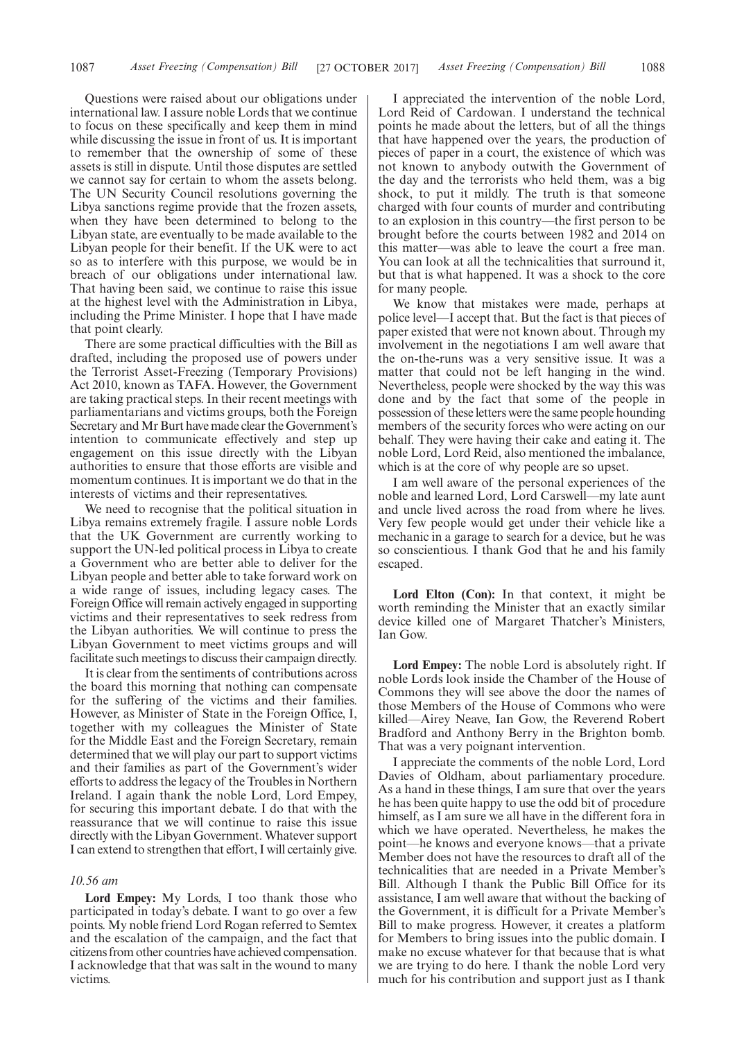Questions were raised about our obligations under international law. I assure noble Lords that we continue to focus on these specifically and keep them in mind while discussing the issue in front of us. It is important to remember that the ownership of some of these assets is still in dispute. Until those disputes are settled we cannot say for certain to whom the assets belong. The UN Security Council resolutions governing the Libya sanctions regime provide that the frozen assets, when they have been determined to belong to the Libyan state, are eventually to be made available to the Libyan people for their benefit. If the UK were to act so as to interfere with this purpose, we would be in breach of our obligations under international law. That having been said, we continue to raise this issue at the highest level with the Administration in Libya, including the Prime Minister. I hope that I have made that point clearly.

There are some practical difficulties with the Bill as drafted, including the proposed use of powers under the Terrorist Asset-Freezing (Temporary Provisions) Act 2010, known as TAFA. However, the Government are taking practical steps. In their recent meetings with parliamentarians and victims groups, both the Foreign Secretary and Mr Burt have made clear the Government's intention to communicate effectively and step up engagement on this issue directly with the Libyan authorities to ensure that those efforts are visible and momentum continues. It is important we do that in the interests of victims and their representatives.

We need to recognise that the political situation in Libya remains extremely fragile. I assure noble Lords that the UK Government are currently working to support the UN-led political process in Libya to create a Government who are better able to deliver for the Libyan people and better able to take forward work on a wide range of issues, including legacy cases. The Foreign Office will remain actively engaged in supporting victims and their representatives to seek redress from the Libyan authorities. We will continue to press the Libyan Government to meet victims groups and will facilitate such meetings to discuss their campaign directly.

It is clear from the sentiments of contributions across the board this morning that nothing can compensate for the suffering of the victims and their families. However, as Minister of State in the Foreign Office, I, together with my colleagues the Minister of State for the Middle East and the Foreign Secretary, remain determined that we will play our part to support victims and their families as part of the Government's wider efforts to address the legacy of the Troubles in Northern Ireland. I again thank the noble Lord, Lord Empey, for securing this important debate. I do that with the reassurance that we will continue to raise this issue directly with the Libyan Government. Whatever support I can extend to strengthen that effort, I will certainly give.

# *10.56 am*

**Lord Empey:** My Lords, I too thank those who participated in today's debate. I want to go over a few points. My noble friend Lord Rogan referred to Semtex and the escalation of the campaign, and the fact that citizens from other countries have achieved compensation. I acknowledge that that was salt in the wound to many victims.

I appreciated the intervention of the noble Lord, Lord Reid of Cardowan. I understand the technical points he made about the letters, but of all the things that have happened over the years, the production of pieces of paper in a court, the existence of which was not known to anybody outwith the Government of the day and the terrorists who held them, was a big shock, to put it mildly. The truth is that someone charged with four counts of murder and contributing to an explosion in this country—the first person to be brought before the courts between 1982 and 2014 on this matter—was able to leave the court a free man. You can look at all the technicalities that surround it, but that is what happened. It was a shock to the core for many people.

We know that mistakes were made, perhaps at police level—I accept that. But the fact is that pieces of paper existed that were not known about. Through my involvement in the negotiations I am well aware that the on-the-runs was a very sensitive issue. It was a matter that could not be left hanging in the wind. Nevertheless, people were shocked by the way this was done and by the fact that some of the people in possession of these letters were the same people hounding members of the security forces who were acting on our behalf. They were having their cake and eating it. The noble Lord, Lord Reid, also mentioned the imbalance, which is at the core of why people are so upset.

I am well aware of the personal experiences of the noble and learned Lord, Lord Carswell—my late aunt and uncle lived across the road from where he lives. Very few people would get under their vehicle like a mechanic in a garage to search for a device, but he was so conscientious. I thank God that he and his family escaped.

Lord Elton (Con): In that context, it might be worth reminding the Minister that an exactly similar device killed one of Margaret Thatcher's Ministers, Ian Gow.

**Lord Empey:** The noble Lord is absolutely right. If noble Lords look inside the Chamber of the House of Commons they will see above the door the names of those Members of the House of Commons who were killed—Airey Neave, Ian Gow, the Reverend Robert Bradford and Anthony Berry in the Brighton bomb. That was a very poignant intervention.

I appreciate the comments of the noble Lord, Lord Davies of Oldham, about parliamentary procedure. As a hand in these things, I am sure that over the years he has been quite happy to use the odd bit of procedure himself, as I am sure we all have in the different fora in which we have operated. Nevertheless, he makes the point—he knows and everyone knows—that a private Member does not have the resources to draft all of the technicalities that are needed in a Private Member's Bill. Although I thank the Public Bill Office for its assistance, I am well aware that without the backing of the Government, it is difficult for a Private Member's Bill to make progress. However, it creates a platform for Members to bring issues into the public domain. I make no excuse whatever for that because that is what we are trying to do here. I thank the noble Lord very much for his contribution and support just as I thank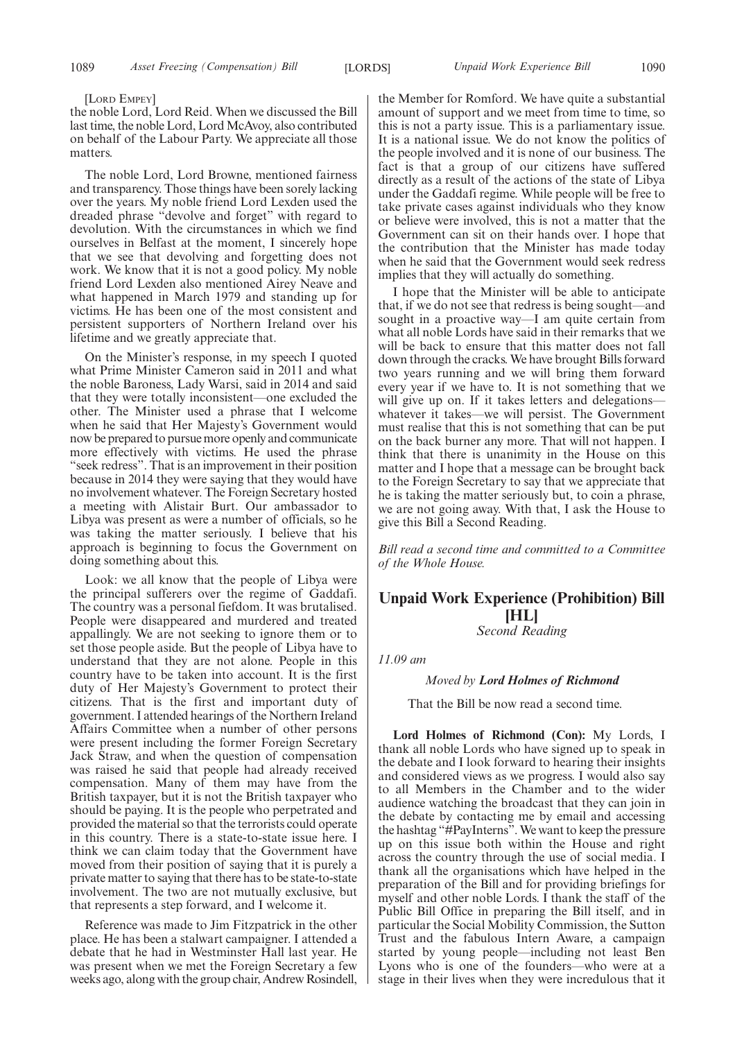#### [LORD EMPEY]

the noble Lord, Lord Reid. When we discussed the Bill last time, the noble Lord, Lord McAvoy, also contributed on behalf of the Labour Party. We appreciate all those matters.

The noble Lord, Lord Browne, mentioned fairness and transparency. Those things have been sorely lacking over the years. My noble friend Lord Lexden used the dreaded phrase "devolve and forget" with regard to devolution. With the circumstances in which we find ourselves in Belfast at the moment, I sincerely hope that we see that devolving and forgetting does not work. We know that it is not a good policy. My noble friend Lord Lexden also mentioned Airey Neave and what happened in March 1979 and standing up for victims. He has been one of the most consistent and persistent supporters of Northern Ireland over his lifetime and we greatly appreciate that.

On the Minister's response, in my speech I quoted what Prime Minister Cameron said in 2011 and what the noble Baroness, Lady Warsi, said in 2014 and said that they were totally inconsistent—one excluded the other. The Minister used a phrase that I welcome when he said that Her Majesty's Government would now be prepared to pursue more openly and communicate more effectively with victims. He used the phrase "seek redress". That is an improvement in their position because in 2014 they were saying that they would have no involvement whatever. The Foreign Secretary hosted a meeting with Alistair Burt. Our ambassador to Libya was present as were a number of officials, so he was taking the matter seriously. I believe that his approach is beginning to focus the Government on doing something about this.

Look: we all know that the people of Libya were the principal sufferers over the regime of Gaddafi. The country was a personal fiefdom. It was brutalised. People were disappeared and murdered and treated appallingly. We are not seeking to ignore them or to set those people aside. But the people of Libya have to understand that they are not alone. People in this country have to be taken into account. It is the first duty of Her Majesty's Government to protect their citizens. That is the first and important duty of government. I attended hearings of the Northern Ireland Affairs Committee when a number of other persons were present including the former Foreign Secretary Jack Straw, and when the question of compensation was raised he said that people had already received compensation. Many of them may have from the British taxpayer, but it is not the British taxpayer who should be paying. It is the people who perpetrated and provided the material so that the terrorists could operate in this country. There is a state-to-state issue here. I think we can claim today that the Government have moved from their position of saying that it is purely a private matter to saying that there has to be state-to-state involvement. The two are not mutually exclusive, but that represents a step forward, and I welcome it.

Reference was made to Jim Fitzpatrick in the other place. He has been a stalwart campaigner. I attended a debate that he had in Westminster Hall last year. He was present when we met the Foreign Secretary a few weeks ago, along with the group chair, Andrew Rosindell, the Member for Romford. We have quite a substantial amount of support and we meet from time to time, so this is not a party issue. This is a parliamentary issue. It is a national issue. We do not know the politics of the people involved and it is none of our business. The fact is that a group of our citizens have suffered directly as a result of the actions of the state of Libya under the Gaddafi regime. While people will be free to take private cases against individuals who they know or believe were involved, this is not a matter that the Government can sit on their hands over. I hope that the contribution that the Minister has made today when he said that the Government would seek redress implies that they will actually do something.

I hope that the Minister will be able to anticipate that, if we do not see that redress is being sought—and sought in a proactive way—I am quite certain from what all noble Lords have said in their remarks that we will be back to ensure that this matter does not fall down through the cracks. We have brought Bills forward two years running and we will bring them forward every year if we have to. It is not something that we will give up on. If it takes letters and delegationswhatever it takes—we will persist. The Government must realise that this is not something that can be put on the back burner any more. That will not happen. I think that there is unanimity in the House on this matter and I hope that a message can be brought back to the Foreign Secretary to say that we appreciate that he is taking the matter seriously but, to coin a phrase, we are not going away. With that, I ask the House to give this Bill a Second Reading.

*Bill read a second time and committed to a Committee of the Whole House.*

# **Unpaid Work Experience (Prohibition) Bill [HL]** *Second Reading*

*11.09 am*

*Moved by Lord Holmes of Richmond*

That the Bill be now read a second time.

**Lord Holmes of Richmond (Con):** My Lords, I thank all noble Lords who have signed up to speak in the debate and I look forward to hearing their insights and considered views as we progress. I would also say to all Members in the Chamber and to the wider audience watching the broadcast that they can join in the debate by contacting me by email and accessing the hashtag "#PayInterns". We want to keep the pressure up on this issue both within the House and right across the country through the use of social media. I thank all the organisations which have helped in the preparation of the Bill and for providing briefings for myself and other noble Lords. I thank the staff of the Public Bill Office in preparing the Bill itself, and in particular the Social Mobility Commission, the Sutton Trust and the fabulous Intern Aware, a campaign started by young people—including not least Ben Lyons who is one of the founders—who were at a stage in their lives when they were incredulous that it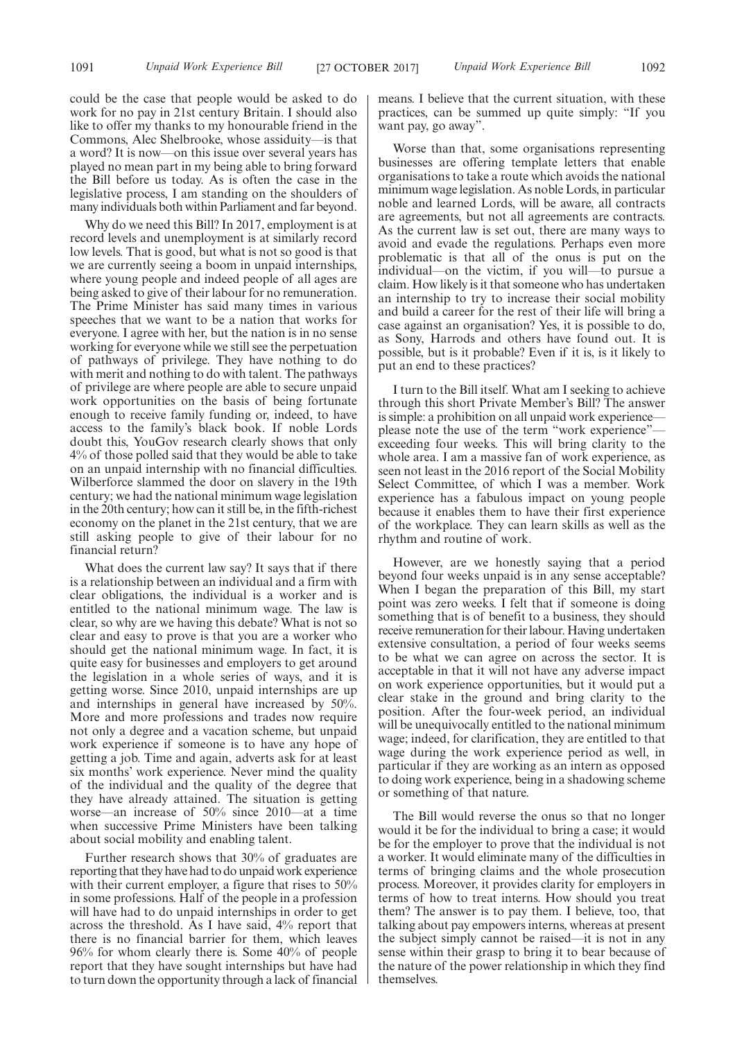could be the case that people would be asked to do work for no pay in 21st century Britain. I should also like to offer my thanks to my honourable friend in the Commons, Alec Shelbrooke, whose assiduity—is that a word? It is now—on this issue over several years has played no mean part in my being able to bring forward the Bill before us today. As is often the case in the legislative process, I am standing on the shoulders of many individuals both within Parliament and far beyond.

Why do we need this Bill? In 2017, employment is at record levels and unemployment is at similarly record low levels. That is good, but what is not so good is that we are currently seeing a boom in unpaid internships, where young people and indeed people of all ages are being asked to give of their labour for no remuneration. The Prime Minister has said many times in various speeches that we want to be a nation that works for everyone. I agree with her, but the nation is in no sense working for everyone while we still see the perpetuation of pathways of privilege. They have nothing to do with merit and nothing to do with talent. The pathways of privilege are where people are able to secure unpaid work opportunities on the basis of being fortunate enough to receive family funding or, indeed, to have access to the family's black book. If noble Lords doubt this, YouGov research clearly shows that only 4% of those polled said that they would be able to take on an unpaid internship with no financial difficulties. Wilberforce slammed the door on slavery in the 19th century; we had the national minimum wage legislation in the 20th century; how can it still be, in the fifth-richest economy on the planet in the 21st century, that we are still asking people to give of their labour for no financial return?

What does the current law say? It says that if there is a relationship between an individual and a firm with clear obligations, the individual is a worker and is entitled to the national minimum wage. The law is clear, so why are we having this debate? What is not so clear and easy to prove is that you are a worker who should get the national minimum wage. In fact, it is quite easy for businesses and employers to get around the legislation in a whole series of ways, and it is getting worse. Since 2010, unpaid internships are up and internships in general have increased by 50%. More and more professions and trades now require not only a degree and a vacation scheme, but unpaid work experience if someone is to have any hope of getting a job. Time and again, adverts ask for at least six months' work experience. Never mind the quality of the individual and the quality of the degree that they have already attained. The situation is getting worse—an increase of 50% since 2010—at a time when successive Prime Ministers have been talking about social mobility and enabling talent.

Further research shows that 30% of graduates are reporting that they have had to do unpaid work experience with their current employer, a figure that rises to 50% in some professions. Half of the people in a profession will have had to do unpaid internships in order to get across the threshold. As I have said, 4% report that there is no financial barrier for them, which leaves 96% for whom clearly there is. Some 40% of people report that they have sought internships but have had to turn down the opportunity through a lack of financial means. I believe that the current situation, with these practices, can be summed up quite simply: "If you want pay, go away".

Worse than that, some organisations representing businesses are offering template letters that enable organisations to take a route which avoids the national minimum wage legislation. As noble Lords, in particular noble and learned Lords, will be aware, all contracts are agreements, but not all agreements are contracts. As the current law is set out, there are many ways to avoid and evade the regulations. Perhaps even more problematic is that all of the onus is put on the individual—on the victim, if you will—to pursue a claim. How likely is it that someone who has undertaken an internship to try to increase their social mobility and build a career for the rest of their life will bring a case against an organisation? Yes, it is possible to do, as Sony, Harrods and others have found out. It is possible, but is it probable? Even if it is, is it likely to put an end to these practices?

I turn to the Bill itself. What am I seeking to achieve through this short Private Member's Bill? The answer is simple: a prohibition on all unpaid work experience please note the use of the term "work experience" exceeding four weeks. This will bring clarity to the whole area. I am a massive fan of work experience, as seen not least in the 2016 report of the Social Mobility Select Committee, of which I was a member. Work experience has a fabulous impact on young people because it enables them to have their first experience of the workplace. They can learn skills as well as the rhythm and routine of work.

However, are we honestly saying that a period beyond four weeks unpaid is in any sense acceptable? When I began the preparation of this Bill, my start point was zero weeks. I felt that if someone is doing something that is of benefit to a business, they should receive remuneration for their labour. Having undertaken extensive consultation, a period of four weeks seems to be what we can agree on across the sector. It is acceptable in that it will not have any adverse impact on work experience opportunities, but it would put a clear stake in the ground and bring clarity to the position. After the four-week period, an individual will be unequivocally entitled to the national minimum wage; indeed, for clarification, they are entitled to that wage during the work experience period as well, in particular if they are working as an intern as opposed to doing work experience, being in a shadowing scheme or something of that nature.

The Bill would reverse the onus so that no longer would it be for the individual to bring a case; it would be for the employer to prove that the individual is not a worker. It would eliminate many of the difficulties in terms of bringing claims and the whole prosecution process. Moreover, it provides clarity for employers in terms of how to treat interns. How should you treat them? The answer is to pay them. I believe, too, that talking about pay empowers interns, whereas at present the subject simply cannot be raised—it is not in any sense within their grasp to bring it to bear because of the nature of the power relationship in which they find themselves.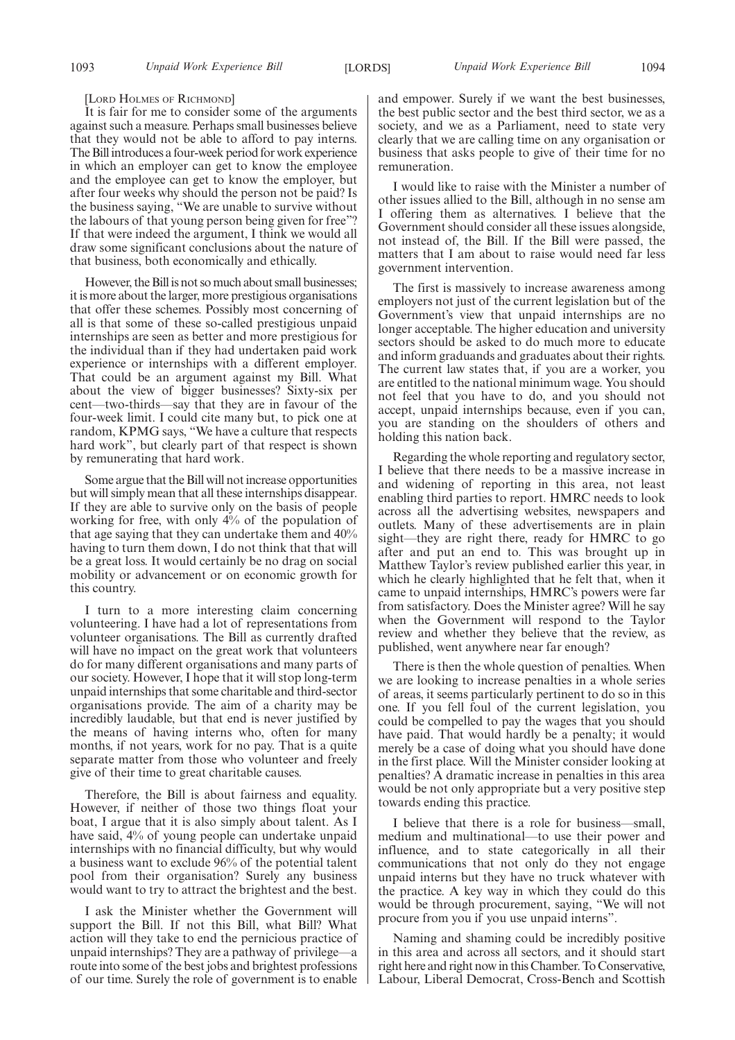#### [LORD HOLMES OF RICHMOND]

It is fair for me to consider some of the arguments against such a measure. Perhaps small businesses believe that they would not be able to afford to pay interns. The Bill introduces a four-week period for work experience in which an employer can get to know the employee and the employee can get to know the employer, but after four weeks why should the person not be paid? Is the business saying, "We are unable to survive without the labours of that young person being given for free"? If that were indeed the argument, I think we would all draw some significant conclusions about the nature of that business, both economically and ethically.

However, the Bill is not so much about small businesses; it is more about the larger, more prestigious organisations that offer these schemes. Possibly most concerning of all is that some of these so-called prestigious unpaid internships are seen as better and more prestigious for the individual than if they had undertaken paid work experience or internships with a different employer. That could be an argument against my Bill. What about the view of bigger businesses? Sixty-six per cent—two-thirds—say that they are in favour of the four-week limit. I could cite many but, to pick one at random, KPMG says, "We have a culture that respects hard work", but clearly part of that respect is shown by remunerating that hard work.

Some argue that the Bill will not increase opportunities but will simply mean that all these internships disappear. If they are able to survive only on the basis of people working for free, with only 4% of the population of that age saying that they can undertake them and 40% having to turn them down, I do not think that that will be a great loss. It would certainly be no drag on social mobility or advancement or on economic growth for this country.

I turn to a more interesting claim concerning volunteering. I have had a lot of representations from volunteer organisations. The Bill as currently drafted will have no impact on the great work that volunteers do for many different organisations and many parts of our society. However, I hope that it will stop long-term unpaid internships that some charitable and third-sector organisations provide. The aim of a charity may be incredibly laudable, but that end is never justified by the means of having interns who, often for many months, if not years, work for no pay. That is a quite separate matter from those who volunteer and freely give of their time to great charitable causes.

Therefore, the Bill is about fairness and equality. However, if neither of those two things float your boat, I argue that it is also simply about talent. As I have said, 4% of young people can undertake unpaid internships with no financial difficulty, but why would a business want to exclude 96% of the potential talent pool from their organisation? Surely any business would want to try to attract the brightest and the best.

I ask the Minister whether the Government will support the Bill. If not this Bill, what Bill? What action will they take to end the pernicious practice of unpaid internships? They are a pathway of privilege—a route into some of the best jobs and brightest professions of our time. Surely the role of government is to enable and empower. Surely if we want the best businesses, the best public sector and the best third sector, we as a society, and we as a Parliament, need to state very clearly that we are calling time on any organisation or business that asks people to give of their time for no remuneration.

I would like to raise with the Minister a number of other issues allied to the Bill, although in no sense am I offering them as alternatives. I believe that the Government should consider all these issues alongside, not instead of, the Bill. If the Bill were passed, the matters that I am about to raise would need far less government intervention.

The first is massively to increase awareness among employers not just of the current legislation but of the Government's view that unpaid internships are no longer acceptable. The higher education and university sectors should be asked to do much more to educate and inform graduands and graduates about their rights. The current law states that, if you are a worker, you are entitled to the national minimum wage. You should not feel that you have to do, and you should not accept, unpaid internships because, even if you can, you are standing on the shoulders of others and holding this nation back.

Regarding the whole reporting and regulatory sector, I believe that there needs to be a massive increase in and widening of reporting in this area, not least enabling third parties to report. HMRC needs to look across all the advertising websites, newspapers and outlets. Many of these advertisements are in plain sight—they are right there, ready for HMRC to go after and put an end to. This was brought up in Matthew Taylor's review published earlier this year, in which he clearly highlighted that he felt that, when it came to unpaid internships, HMRC's powers were far from satisfactory. Does the Minister agree? Will he say when the Government will respond to the Taylor review and whether they believe that the review, as published, went anywhere near far enough?

There is then the whole question of penalties. When we are looking to increase penalties in a whole series of areas, it seems particularly pertinent to do so in this one. If you fell foul of the current legislation, you could be compelled to pay the wages that you should have paid. That would hardly be a penalty; it would merely be a case of doing what you should have done in the first place. Will the Minister consider looking at penalties? A dramatic increase in penalties in this area would be not only appropriate but a very positive step towards ending this practice.

I believe that there is a role for business—small, medium and multinational—to use their power and influence, and to state categorically in all their communications that not only do they not engage unpaid interns but they have no truck whatever with the practice. A key way in which they could do this would be through procurement, saying, "We will not procure from you if you use unpaid interns".

Naming and shaming could be incredibly positive in this area and across all sectors, and it should start right here and right now in this Chamber. To Conservative, Labour, Liberal Democrat, Cross-Bench and Scottish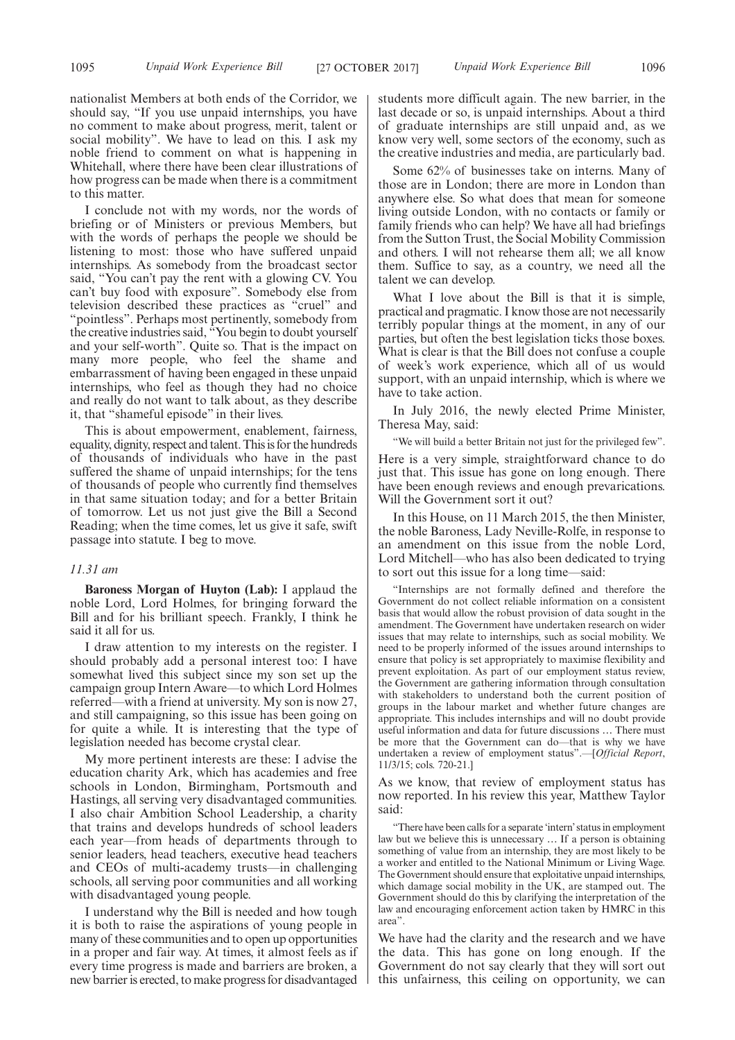nationalist Members at both ends of the Corridor, we should say, "If you use unpaid internships, you have no comment to make about progress, merit, talent or social mobility". We have to lead on this. I ask my noble friend to comment on what is happening in Whitehall, where there have been clear illustrations of how progress can be made when there is a commitment to this matter.

I conclude not with my words, nor the words of briefing or of Ministers or previous Members, but with the words of perhaps the people we should be listening to most: those who have suffered unpaid internships. As somebody from the broadcast sector said, "You can't pay the rent with a glowing CV. You can't buy food with exposure". Somebody else from television described these practices as "cruel" and "pointless". Perhaps most pertinently, somebody from the creative industries said, "You begin to doubt yourself and your self-worth". Quite so. That is the impact on many more people, who feel the shame and embarrassment of having been engaged in these unpaid internships, who feel as though they had no choice and really do not want to talk about, as they describe it, that "shameful episode" in their lives.

This is about empowerment, enablement, fairness, equality, dignity, respect and talent. This is for the hundreds of thousands of individuals who have in the past suffered the shame of unpaid internships; for the tens of thousands of people who currently find themselves in that same situation today; and for a better Britain of tomorrow. Let us not just give the Bill a Second Reading; when the time comes, let us give it safe, swift passage into statute. I beg to move.

#### *11.31 am*

**Baroness Morgan of Huyton (Lab):** I applaud the noble Lord, Lord Holmes, for bringing forward the Bill and for his brilliant speech. Frankly, I think he said it all for us.

I draw attention to my interests on the register. I should probably add a personal interest too: I have somewhat lived this subject since my son set up the campaign group Intern Aware—to which Lord Holmes referred—with a friend at university. My son is now 27, and still campaigning, so this issue has been going on for quite a while. It is interesting that the type of legislation needed has become crystal clear.

My more pertinent interests are these: I advise the education charity Ark, which has academies and free schools in London, Birmingham, Portsmouth and Hastings, all serving very disadvantaged communities. I also chair Ambition School Leadership, a charity that trains and develops hundreds of school leaders each year—from heads of departments through to senior leaders, head teachers, executive head teachers and CEOs of multi-academy trusts—in challenging schools, all serving poor communities and all working with disadvantaged young people.

I understand why the Bill is needed and how tough it is both to raise the aspirations of young people in many of these communities and to open up opportunities in a proper and fair way. At times, it almost feels as if every time progress is made and barriers are broken, a new barrier is erected, to make progress for disadvantaged students more difficult again. The new barrier, in the last decade or so, is unpaid internships. About a third of graduate internships are still unpaid and, as we know very well, some sectors of the economy, such as the creative industries and media, are particularly bad.

Some 62% of businesses take on interns. Many of those are in London; there are more in London than anywhere else. So what does that mean for someone living outside London, with no contacts or family or family friends who can help? We have all had briefings from the Sutton Trust, the Social Mobility Commission and others. I will not rehearse them all; we all know them. Suffice to say, as a country, we need all the talent we can develop.

What I love about the Bill is that it is simple, practical and pragmatic. I know those are not necessarily terribly popular things at the moment, in any of our parties, but often the best legislation ticks those boxes. What is clear is that the Bill does not confuse a couple of week's work experience, which all of us would support, with an unpaid internship, which is where we have to take action.

In July 2016, the newly elected Prime Minister, Theresa May, said:

"We will build a better Britain not just for the privileged few".

Here is a very simple, straightforward chance to do just that. This issue has gone on long enough. There have been enough reviews and enough prevarications. Will the Government sort it out?

In this House, on 11 March 2015, the then Minister, the noble Baroness, Lady Neville-Rolfe, in response to an amendment on this issue from the noble Lord, Lord Mitchell—who has also been dedicated to trying to sort out this issue for a long time—said:

"Internships are not formally defined and therefore the Government do not collect reliable information on a consistent basis that would allow the robust provision of data sought in the amendment. The Government have undertaken research on wider issues that may relate to internships, such as social mobility. We need to be properly informed of the issues around internships to ensure that policy is set appropriately to maximise flexibility and prevent exploitation. As part of our employment status review, the Government are gathering information through consultation with stakeholders to understand both the current position of groups in the labour market and whether future changes are appropriate. This includes internships and will no doubt provide useful information and data for future discussions … There must be more that the Government can do—that is why we have undertaken a review of employment status".—[*Official Report*, 11/3/15; cols. 720-21.]

As we know, that review of employment status has now reported. In his review this year, Matthew Taylor said:

"There have been calls for a separate 'intern'status in employment law but we believe this is unnecessary … If a person is obtaining something of value from an internship, they are most likely to be a worker and entitled to the National Minimum or Living Wage. The Government should ensure that exploitative unpaid internships, which damage social mobility in the UK, are stamped out. The Government should do this by clarifying the interpretation of the law and encouraging enforcement action taken by HMRC in this area".

We have had the clarity and the research and we have the data. This has gone on long enough. If the Government do not say clearly that they will sort out this unfairness, this ceiling on opportunity, we can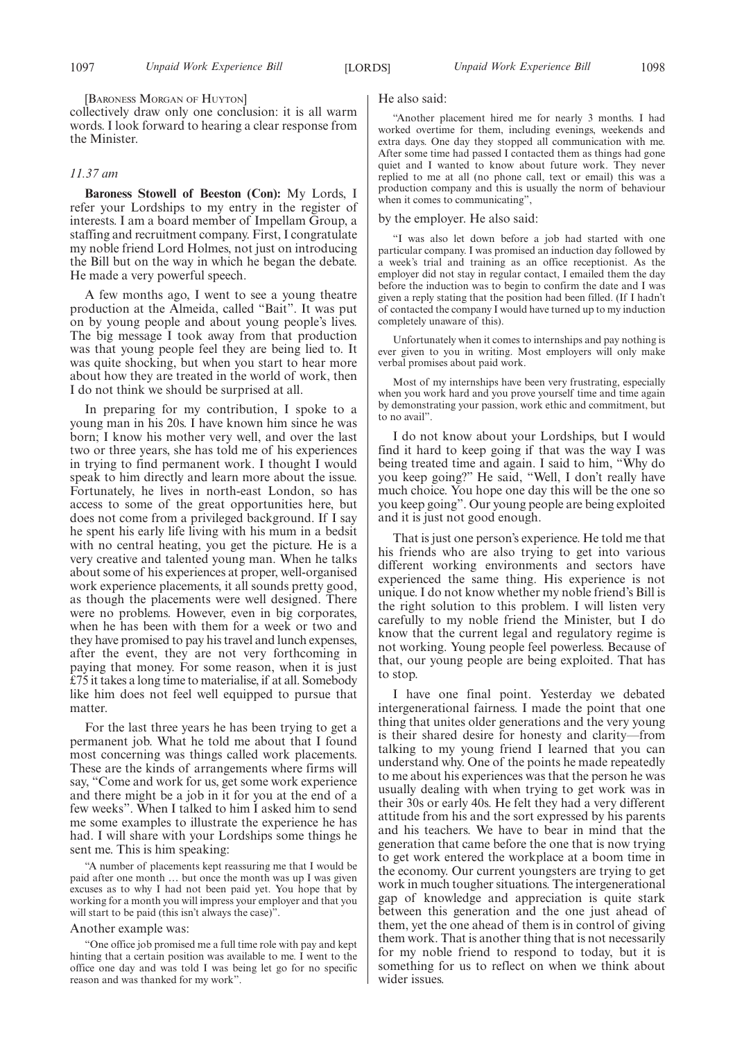#### [BARONESS MORGAN OF HUYTON]

collectively draw only one conclusion: it is all warm words. I look forward to hearing a clear response from the Minister.

#### *11.37 am*

**Baroness Stowell of Beeston (Con):** My Lords, I refer your Lordships to my entry in the register of interests. I am a board member of Impellam Group, a staffing and recruitment company. First, I congratulate my noble friend Lord Holmes, not just on introducing the Bill but on the way in which he began the debate. He made a very powerful speech.

A few months ago, I went to see a young theatre production at the Almeida, called "Bait". It was put on by young people and about young people's lives. The big message I took away from that production was that young people feel they are being lied to. It was quite shocking, but when you start to hear more about how they are treated in the world of work, then I do not think we should be surprised at all.

In preparing for my contribution, I spoke to a young man in his 20s. I have known him since he was born; I know his mother very well, and over the last two or three years, she has told me of his experiences in trying to find permanent work. I thought I would speak to him directly and learn more about the issue. Fortunately, he lives in north-east London, so has access to some of the great opportunities here, but does not come from a privileged background. If I say he spent his early life living with his mum in a bedsit with no central heating, you get the picture. He is a very creative and talented young man. When he talks about some of his experiences at proper, well-organised work experience placements, it all sounds pretty good, as though the placements were well designed. There were no problems. However, even in big corporates, when he has been with them for a week or two and they have promised to pay his travel and lunch expenses, after the event, they are not very forthcoming in paying that money. For some reason, when it is just £75 it takes a long time to materialise, if at all. Somebody like him does not feel well equipped to pursue that matter.

For the last three years he has been trying to get a permanent job. What he told me about that I found most concerning was things called work placements. These are the kinds of arrangements where firms will say, "Come and work for us, get some work experience and there might be a job in it for you at the end of a few weeks". When I talked to him I asked him to send me some examples to illustrate the experience he has had. I will share with your Lordships some things he sent me. This is him speaking:

"A number of placements kept reassuring me that I would be paid after one month … but once the month was up I was given excuses as to why I had not been paid yet. You hope that by working for a month you will impress your employer and that you will start to be paid (this isn't always the case)".

#### Another example was:

"One office job promised me a full time role with pay and kept hinting that a certain position was available to me. I went to the office one day and was told I was being let go for no specific reason and was thanked for my work".

#### He also said:

"Another placement hired me for nearly 3 months. I had worked overtime for them, including evenings, weekends and extra days. One day they stopped all communication with me. After some time had passed I contacted them as things had gone quiet and I wanted to know about future work. They never replied to me at all (no phone call, text or email) this was a production company and this is usually the norm of behaviour when it comes to communicating",

#### by the employer. He also said:

"I was also let down before a job had started with one particular company. I was promised an induction day followed by a week's trial and training as an office receptionist. As the employer did not stay in regular contact, I emailed them the day before the induction was to begin to confirm the date and I was given a reply stating that the position had been filled. (If I hadn't of contacted the company I would have turned up to my induction completely unaware of this).

Unfortunately when it comes to internships and pay nothing is ever given to you in writing. Most employers will only make verbal promises about paid work.

Most of my internships have been very frustrating, especially when you work hard and you prove yourself time and time again by demonstrating your passion, work ethic and commitment, but to no avail".

I do not know about your Lordships, but I would find it hard to keep going if that was the way I was being treated time and again. I said to him, "Why do you keep going?" He said, "Well, I don't really have much choice. You hope one day this will be the one so you keep going". Our young people are being exploited and it is just not good enough.

That is just one person's experience. He told me that his friends who are also trying to get into various different working environments and sectors have experienced the same thing. His experience is not unique. I do not know whether my noble friend's Bill is the right solution to this problem. I will listen very carefully to my noble friend the Minister, but I do know that the current legal and regulatory regime is not working. Young people feel powerless. Because of that, our young people are being exploited. That has to stop.

I have one final point. Yesterday we debated intergenerational fairness. I made the point that one thing that unites older generations and the very young is their shared desire for honesty and clarity—from talking to my young friend I learned that you can understand why. One of the points he made repeatedly to me about his experiences was that the person he was usually dealing with when trying to get work was in their 30s or early 40s. He felt they had a very different attitude from his and the sort expressed by his parents and his teachers. We have to bear in mind that the generation that came before the one that is now trying to get work entered the workplace at a boom time in the economy. Our current youngsters are trying to get work in much tougher situations. The intergenerational gap of knowledge and appreciation is quite stark between this generation and the one just ahead of them, yet the one ahead of them is in control of giving them work. That is another thing that is not necessarily for my noble friend to respond to today, but it is something for us to reflect on when we think about wider issues.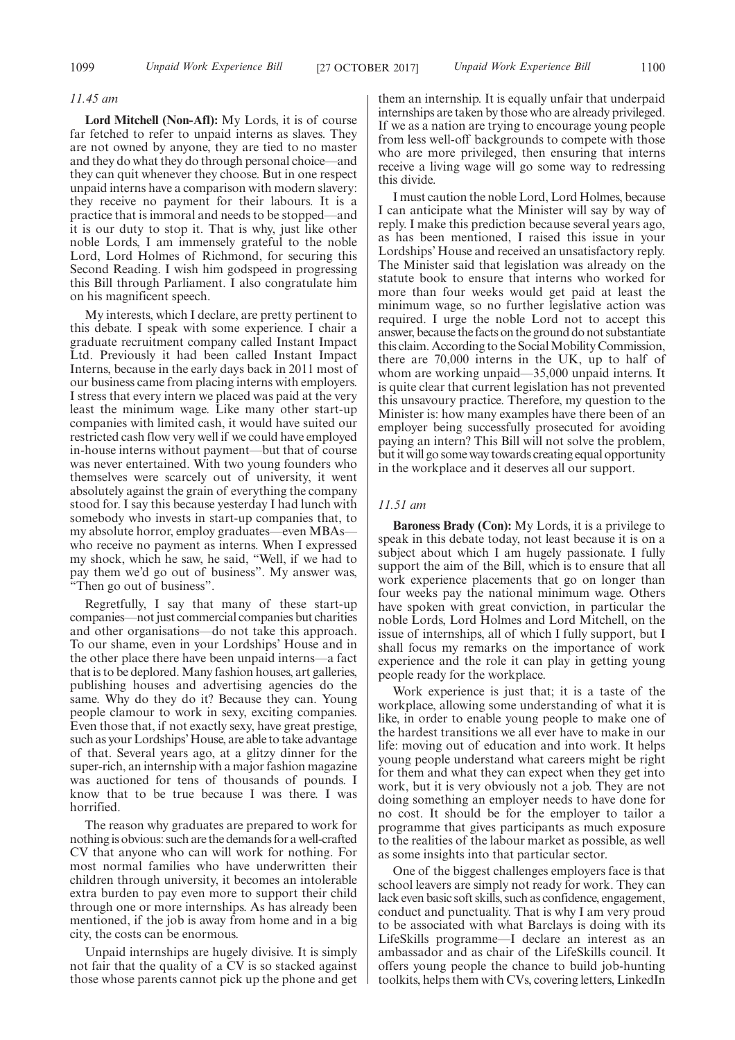#### *11.45 am*

**Lord Mitchell (Non-Afl):** My Lords, it is of course far fetched to refer to unpaid interns as slaves. They are not owned by anyone, they are tied to no master and they do what they do through personal choice—and they can quit whenever they choose. But in one respect unpaid interns have a comparison with modern slavery: they receive no payment for their labours. It is a practice that is immoral and needs to be stopped—and it is our duty to stop it. That is why, just like other noble Lords, I am immensely grateful to the noble Lord, Lord Holmes of Richmond, for securing this Second Reading. I wish him godspeed in progressing this Bill through Parliament. I also congratulate him on his magnificent speech.

My interests, which I declare, are pretty pertinent to this debate. I speak with some experience. I chair a graduate recruitment company called Instant Impact Ltd. Previously it had been called Instant Impact Interns, because in the early days back in 2011 most of our business came from placing interns with employers. I stress that every intern we placed was paid at the very least the minimum wage. Like many other start-up companies with limited cash, it would have suited our restricted cash flow very well if we could have employed in-house interns without payment—but that of course was never entertained. With two young founders who themselves were scarcely out of university, it went absolutely against the grain of everything the company stood for. I say this because yesterday I had lunch with somebody who invests in start-up companies that, to my absolute horror, employ graduates—even MBAs who receive no payment as interns. When I expressed my shock, which he saw, he said, "Well, if we had to pay them we'd go out of business". My answer was, "Then go out of business".

Regretfully, I say that many of these start-up companies—not just commercial companies but charities and other organisations—do not take this approach. To our shame, even in your Lordships' House and in the other place there have been unpaid interns—a fact that is to be deplored. Many fashion houses, art galleries, publishing houses and advertising agencies do the same. Why do they do it? Because they can. Young people clamour to work in sexy, exciting companies. Even those that, if not exactly sexy, have great prestige, such as your Lordships'House, are able to take advantage of that. Several years ago, at a glitzy dinner for the super-rich, an internship with a major fashion magazine was auctioned for tens of thousands of pounds. I know that to be true because I was there. I was horrified.

The reason why graduates are prepared to work for nothing is obvious: such are the demands for a well-crafted CV that anyone who can will work for nothing. For most normal families who have underwritten their children through university, it becomes an intolerable extra burden to pay even more to support their child through one or more internships. As has already been mentioned, if the job is away from home and in a big city, the costs can be enormous.

Unpaid internships are hugely divisive. It is simply not fair that the quality of a CV is so stacked against those whose parents cannot pick up the phone and get them an internship. It is equally unfair that underpaid internships are taken by those who are already privileged. If we as a nation are trying to encourage young people from less well-off backgrounds to compete with those who are more privileged, then ensuring that interns receive a living wage will go some way to redressing this divide.

I must caution the noble Lord, Lord Holmes, because I can anticipate what the Minister will say by way of reply. I make this prediction because several years ago, as has been mentioned, I raised this issue in your Lordships' House and received an unsatisfactory reply. The Minister said that legislation was already on the statute book to ensure that interns who worked for more than four weeks would get paid at least the minimum wage, so no further legislative action was required. I urge the noble Lord not to accept this answer, because the facts on the ground do not substantiate this claim. According to the Social Mobility Commission, there are 70,000 interns in the UK, up to half of whom are working unpaid—35,000 unpaid interns. It is quite clear that current legislation has not prevented this unsavoury practice. Therefore, my question to the Minister is: how many examples have there been of an employer being successfully prosecuted for avoiding paying an intern? This Bill will not solve the problem, but it will go some way towards creating equal opportunity in the workplace and it deserves all our support.

#### *11.51 am*

**Baroness Brady (Con):** My Lords, it is a privilege to speak in this debate today, not least because it is on a subject about which I am hugely passionate. I fully support the aim of the Bill, which is to ensure that all work experience placements that go on longer than four weeks pay the national minimum wage. Others have spoken with great conviction, in particular the noble Lords, Lord Holmes and Lord Mitchell, on the issue of internships, all of which I fully support, but I shall focus my remarks on the importance of work experience and the role it can play in getting young people ready for the workplace.

Work experience is just that; it is a taste of the workplace, allowing some understanding of what it is like, in order to enable young people to make one of the hardest transitions we all ever have to make in our life: moving out of education and into work. It helps young people understand what careers might be right for them and what they can expect when they get into work, but it is very obviously not a job. They are not doing something an employer needs to have done for no cost. It should be for the employer to tailor a programme that gives participants as much exposure to the realities of the labour market as possible, as well as some insights into that particular sector.

One of the biggest challenges employers face is that school leavers are simply not ready for work. They can lack even basic soft skills, such as confidence, engagement, conduct and punctuality. That is why I am very proud to be associated with what Barclays is doing with its LifeSkills programme—I declare an interest as an ambassador and as chair of the LifeSkills council. It offers young people the chance to build job-hunting toolkits, helps them with CVs, covering letters, LinkedIn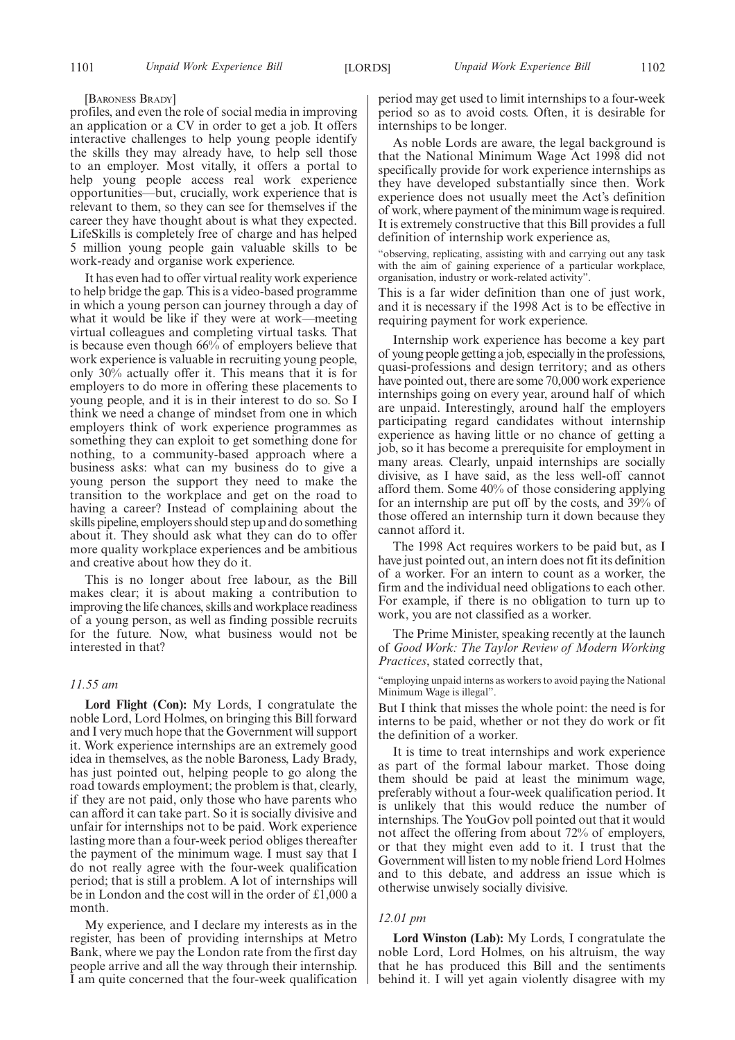#### [BARONESS BRADY]

profiles, and even the role of social media in improving an application or a CV in order to get a job. It offers interactive challenges to help young people identify the skills they may already have, to help sell those to an employer. Most vitally, it offers a portal to help young people access real work experience opportunities—but, crucially, work experience that is relevant to them, so they can see for themselves if the career they have thought about is what they expected. LifeSkills is completely free of charge and has helped 5 million young people gain valuable skills to be work-ready and organise work experience.

It has even had to offer virtual reality work experience to help bridge the gap. This is a video-based programme in which a young person can journey through a day of what it would be like if they were at work—meeting virtual colleagues and completing virtual tasks. That is because even though 66% of employers believe that work experience is valuable in recruiting young people, only 30% actually offer it. This means that it is for employers to do more in offering these placements to young people, and it is in their interest to do so. So I think we need a change of mindset from one in which employers think of work experience programmes as something they can exploit to get something done for nothing, to a community-based approach where a business asks: what can my business do to give a young person the support they need to make the transition to the workplace and get on the road to having a career? Instead of complaining about the skills pipeline, employers should step up and do something about it. They should ask what they can do to offer more quality workplace experiences and be ambitious and creative about how they do it.

This is no longer about free labour, as the Bill makes clear; it is about making a contribution to improving the life chances, skills and workplace readiness of a young person, as well as finding possible recruits for the future. Now, what business would not be interested in that?

# *11.55 am*

**Lord Flight (Con):** My Lords, I congratulate the noble Lord, Lord Holmes, on bringing this Bill forward and I very much hope that the Government will support it. Work experience internships are an extremely good idea in themselves, as the noble Baroness, Lady Brady, has just pointed out, helping people to go along the road towards employment; the problem is that, clearly, if they are not paid, only those who have parents who can afford it can take part. So it is socially divisive and unfair for internships not to be paid. Work experience lasting more than a four-week period obliges thereafter the payment of the minimum wage. I must say that I do not really agree with the four-week qualification period; that is still a problem. A lot of internships will be in London and the cost will in the order of £1,000 a month.

My experience, and I declare my interests as in the register, has been of providing internships at Metro Bank, where we pay the London rate from the first day people arrive and all the way through their internship. I am quite concerned that the four-week qualification period may get used to limit internships to a four-week period so as to avoid costs. Often, it is desirable for internships to be longer.

As noble Lords are aware, the legal background is that the National Minimum Wage Act 1998 did not specifically provide for work experience internships as they have developed substantially since then. Work experience does not usually meet the Act's definition of work, where payment of the minimum wage is required. It is extremely constructive that this Bill provides a full definition of internship work experience as,

"observing, replicating, assisting with and carrying out any task with the aim of gaining experience of a particular workplace, organisation, industry or work-related activity".

This is a far wider definition than one of just work, and it is necessary if the 1998 Act is to be effective in requiring payment for work experience.

Internship work experience has become a key part of young people getting a job, especially in the professions, quasi-professions and design territory; and as others have pointed out, there are some 70,000 work experience internships going on every year, around half of which are unpaid. Interestingly, around half the employers participating regard candidates without internship experience as having little or no chance of getting a job, so it has become a prerequisite for employment in many areas. Clearly, unpaid internships are socially divisive, as I have said, as the less well-off cannot afford them. Some 40% of those considering applying for an internship are put off by the costs, and 39% of those offered an internship turn it down because they cannot afford it.

The 1998 Act requires workers to be paid but, as I have just pointed out, an intern does not fit its definition of a worker. For an intern to count as a worker, the firm and the individual need obligations to each other. For example, if there is no obligation to turn up to work, you are not classified as a worker.

The Prime Minister, speaking recently at the launch of *Good Work: The Taylor Review of Modern Working Practices*, stated correctly that,

"employing unpaid interns as workers to avoid paying the National Minimum Wage is illegal".

But I think that misses the whole point: the need is for interns to be paid, whether or not they do work or fit the definition of a worker.

It is time to treat internships and work experience as part of the formal labour market. Those doing them should be paid at least the minimum wage, preferably without a four-week qualification period. It is unlikely that this would reduce the number of internships. The YouGov poll pointed out that it would not affect the offering from about 72% of employers, or that they might even add to it. I trust that the Government will listen to my noble friend Lord Holmes and to this debate, and address an issue which is otherwise unwisely socially divisive.

#### *12.01 pm*

**Lord Winston (Lab):** My Lords, I congratulate the noble Lord, Lord Holmes, on his altruism, the way that he has produced this Bill and the sentiments behind it. I will yet again violently disagree with my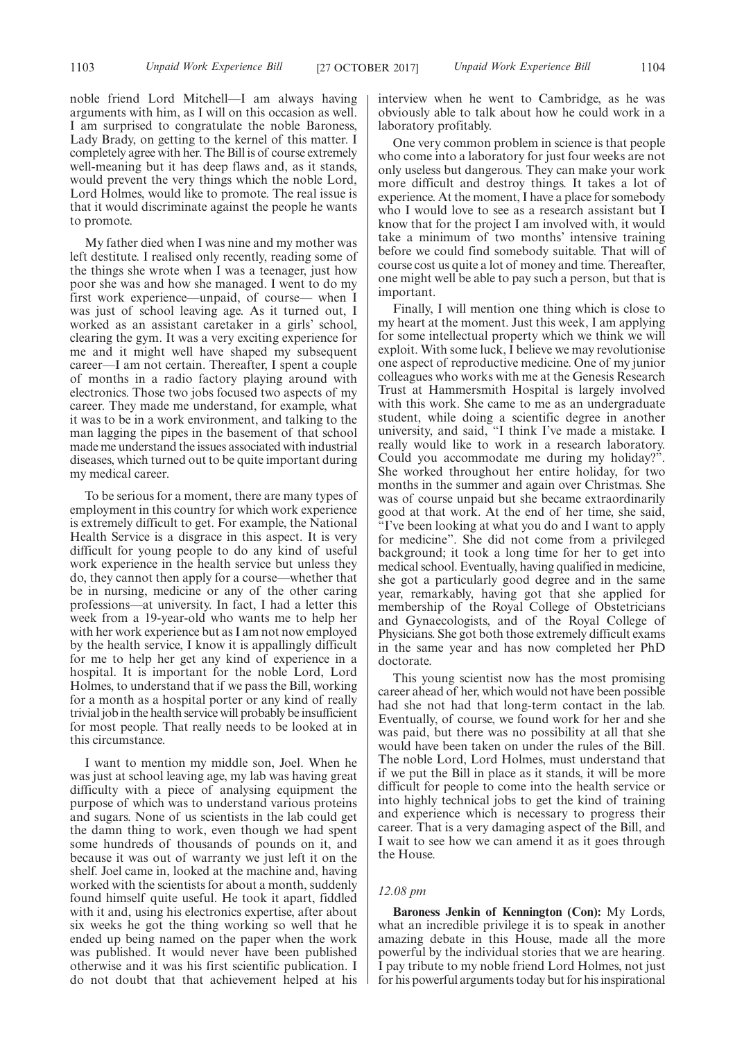noble friend Lord Mitchell—I am always having arguments with him, as I will on this occasion as well. I am surprised to congratulate the noble Baroness, Lady Brady, on getting to the kernel of this matter. I completely agree with her. The Bill is of course extremely well-meaning but it has deep flaws and, as it stands, would prevent the very things which the noble Lord, Lord Holmes, would like to promote. The real issue is that it would discriminate against the people he wants to promote.

My father died when I was nine and my mother was left destitute. I realised only recently, reading some of the things she wrote when I was a teenager, just how poor she was and how she managed. I went to do my first work experience—unpaid, of course— when I was just of school leaving age. As it turned out, I worked as an assistant caretaker in a girls' school, clearing the gym. It was a very exciting experience for me and it might well have shaped my subsequent career—I am not certain. Thereafter, I spent a couple of months in a radio factory playing around with electronics. Those two jobs focused two aspects of my career. They made me understand, for example, what it was to be in a work environment, and talking to the man lagging the pipes in the basement of that school made me understand the issues associated with industrial diseases, which turned out to be quite important during my medical career.

To be serious for a moment, there are many types of employment in this country for which work experience is extremely difficult to get. For example, the National Health Service is a disgrace in this aspect. It is very difficult for young people to do any kind of useful work experience in the health service but unless they do, they cannot then apply for a course—whether that be in nursing, medicine or any of the other caring professions—at university. In fact, I had a letter this week from a 19-year-old who wants me to help her with her work experience but as I am not now employed by the health service, I know it is appallingly difficult for me to help her get any kind of experience in a hospital. It is important for the noble Lord, Lord Holmes, to understand that if we pass the Bill, working for a month as a hospital porter or any kind of really trivial job in the health service will probably be insufficient for most people. That really needs to be looked at in this circumstance.

I want to mention my middle son, Joel. When he was just at school leaving age, my lab was having great difficulty with a piece of analysing equipment the purpose of which was to understand various proteins and sugars. None of us scientists in the lab could get the damn thing to work, even though we had spent some hundreds of thousands of pounds on it, and because it was out of warranty we just left it on the shelf. Joel came in, looked at the machine and, having worked with the scientists for about a month, suddenly found himself quite useful. He took it apart, fiddled with it and, using his electronics expertise, after about six weeks he got the thing working so well that he ended up being named on the paper when the work was published. It would never have been published otherwise and it was his first scientific publication. I do not doubt that that achievement helped at his interview when he went to Cambridge, as he was obviously able to talk about how he could work in a laboratory profitably.

One very common problem in science is that people who come into a laboratory for just four weeks are not only useless but dangerous. They can make your work more difficult and destroy things. It takes a lot of experience. At the moment, I have a place for somebody who I would love to see as a research assistant but I know that for the project I am involved with, it would take a minimum of two months' intensive training before we could find somebody suitable. That will of course cost us quite a lot of money and time. Thereafter, one might well be able to pay such a person, but that is important.

Finally, I will mention one thing which is close to my heart at the moment. Just this week, I am applying for some intellectual property which we think we will exploit. With some luck, I believe we may revolutionise one aspect of reproductive medicine. One of my junior colleagues who works with me at the Genesis Research Trust at Hammersmith Hospital is largely involved with this work. She came to me as an undergraduate student, while doing a scientific degree in another university, and said, "I think I've made a mistake. I really would like to work in a research laboratory. Could you accommodate me during my holiday?". She worked throughout her entire holiday, for two months in the summer and again over Christmas. She was of course unpaid but she became extraordinarily good at that work. At the end of her time, she said, "I've been looking at what you do and I want to apply for medicine". She did not come from a privileged background; it took a long time for her to get into medical school. Eventually, having qualified in medicine, she got a particularly good degree and in the same year, remarkably, having got that she applied for membership of the Royal College of Obstetricians and Gynaecologists, and of the Royal College of Physicians. She got both those extremely difficult exams in the same year and has now completed her PhD doctorate.

This young scientist now has the most promising career ahead of her, which would not have been possible had she not had that long-term contact in the lab. Eventually, of course, we found work for her and she was paid, but there was no possibility at all that she would have been taken on under the rules of the Bill. The noble Lord, Lord Holmes, must understand that if we put the Bill in place as it stands, it will be more difficult for people to come into the health service or into highly technical jobs to get the kind of training and experience which is necessary to progress their career. That is a very damaging aspect of the Bill, and I wait to see how we can amend it as it goes through the House.

# *12.08 pm*

**Baroness Jenkin of Kennington (Con):** My Lords, what an incredible privilege it is to speak in another amazing debate in this House, made all the more powerful by the individual stories that we are hearing. I pay tribute to my noble friend Lord Holmes, not just for his powerful arguments today but for his inspirational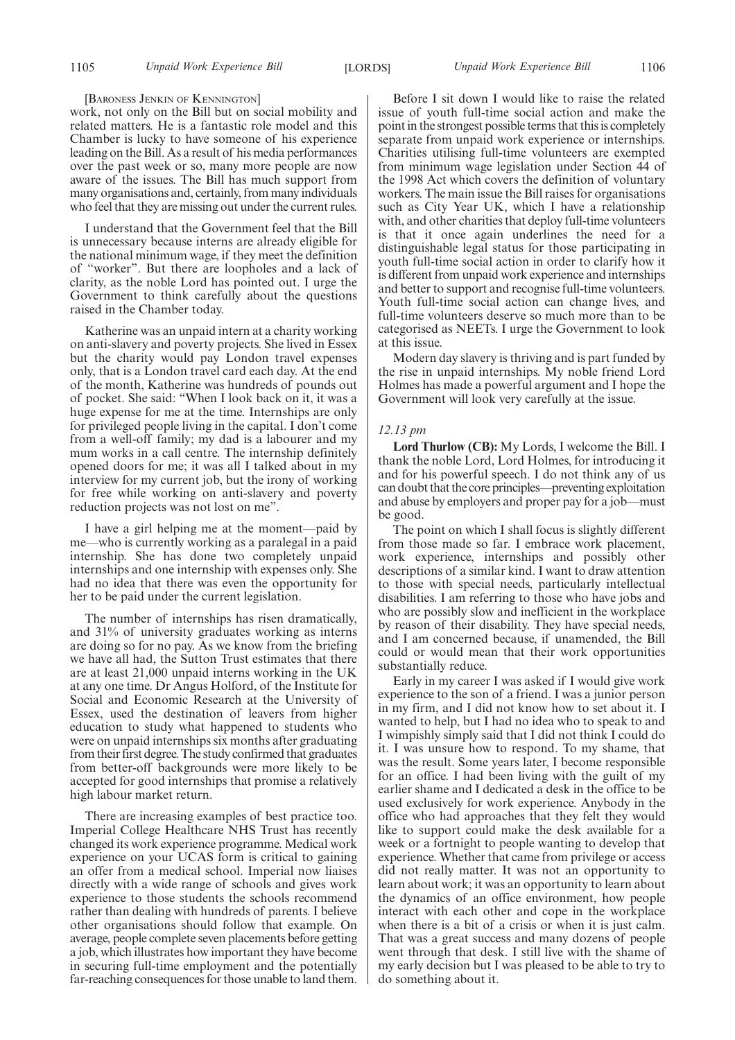[BARONESS JENKIN OF KENNINGTON]

work, not only on the Bill but on social mobility and related matters. He is a fantastic role model and this Chamber is lucky to have someone of his experience leading on the Bill. As a result of his media performances over the past week or so, many more people are now aware of the issues. The Bill has much support from many organisations and, certainly, from many individuals who feel that they are missing out under the current rules.

I understand that the Government feel that the Bill is unnecessary because interns are already eligible for the national minimum wage, if they meet the definition of "worker". But there are loopholes and a lack of clarity, as the noble Lord has pointed out. I urge the Government to think carefully about the questions raised in the Chamber today.

Katherine was an unpaid intern at a charity working on anti-slavery and poverty projects. She lived in Essex but the charity would pay London travel expenses only, that is a London travel card each day. At the end of the month, Katherine was hundreds of pounds out of pocket. She said: "When I look back on it, it was a huge expense for me at the time. Internships are only for privileged people living in the capital. I don't come from a well-off family; my dad is a labourer and my mum works in a call centre. The internship definitely opened doors for me; it was all I talked about in my interview for my current job, but the irony of working for free while working on anti-slavery and poverty reduction projects was not lost on me".

I have a girl helping me at the moment—paid by me—who is currently working as a paralegal in a paid internship. She has done two completely unpaid internships and one internship with expenses only. She had no idea that there was even the opportunity for her to be paid under the current legislation.

The number of internships has risen dramatically, and 31% of university graduates working as interns are doing so for no pay. As we know from the briefing we have all had, the Sutton Trust estimates that there are at least 21,000 unpaid interns working in the UK at any one time. Dr Angus Holford, of the Institute for Social and Economic Research at the University of Essex, used the destination of leavers from higher education to study what happened to students who were on unpaid internships six months after graduating from their first degree. The study confirmed that graduates from better-off backgrounds were more likely to be accepted for good internships that promise a relatively high labour market return.

There are increasing examples of best practice too. Imperial College Healthcare NHS Trust has recently changed its work experience programme. Medical work experience on your UCAS form is critical to gaining an offer from a medical school. Imperial now liaises directly with a wide range of schools and gives work experience to those students the schools recommend rather than dealing with hundreds of parents. I believe other organisations should follow that example. On average, people complete seven placements before getting a job, which illustrates how important they have become in securing full-time employment and the potentially far-reaching consequences for those unable to land them.

Before I sit down I would like to raise the related issue of youth full-time social action and make the point in the strongest possible terms that this is completely separate from unpaid work experience or internships. Charities utilising full-time volunteers are exempted from minimum wage legislation under Section 44 of the 1998 Act which covers the definition of voluntary workers. The main issue the Bill raises for organisations such as City Year UK, which I have a relationship with, and other charities that deploy full-time volunteers is that it once again underlines the need for a distinguishable legal status for those participating in youth full-time social action in order to clarify how it is different from unpaid work experience and internships and better to support and recognise full-time volunteers. Youth full-time social action can change lives, and full-time volunteers deserve so much more than to be categorised as NEETs. I urge the Government to look at this issue.

Modern day slavery is thriving and is part funded by the rise in unpaid internships. My noble friend Lord Holmes has made a powerful argument and I hope the Government will look very carefully at the issue.

#### *12.13 pm*

**Lord Thurlow (CB):** My Lords, I welcome the Bill. I thank the noble Lord, Lord Holmes, for introducing it and for his powerful speech. I do not think any of us can doubt that the core principles—preventing exploitation and abuse by employers and proper pay for a job—must be good.

The point on which I shall focus is slightly different from those made so far. I embrace work placement, work experience, internships and possibly other descriptions of a similar kind. I want to draw attention to those with special needs, particularly intellectual disabilities. I am referring to those who have jobs and who are possibly slow and inefficient in the workplace by reason of their disability. They have special needs, and I am concerned because, if unamended, the Bill could or would mean that their work opportunities substantially reduce.

Early in my career I was asked if I would give work experience to the son of a friend. I was a junior person in my firm, and I did not know how to set about it. I wanted to help, but I had no idea who to speak to and I wimpishly simply said that I did not think I could do it. I was unsure how to respond. To my shame, that was the result. Some years later, I become responsible for an office. I had been living with the guilt of my earlier shame and I dedicated a desk in the office to be used exclusively for work experience. Anybody in the office who had approaches that they felt they would like to support could make the desk available for a week or a fortnight to people wanting to develop that experience. Whether that came from privilege or access did not really matter. It was not an opportunity to learn about work; it was an opportunity to learn about the dynamics of an office environment, how people interact with each other and cope in the workplace when there is a bit of a crisis or when it is just calm. That was a great success and many dozens of people went through that desk. I still live with the shame of my early decision but I was pleased to be able to try to do something about it.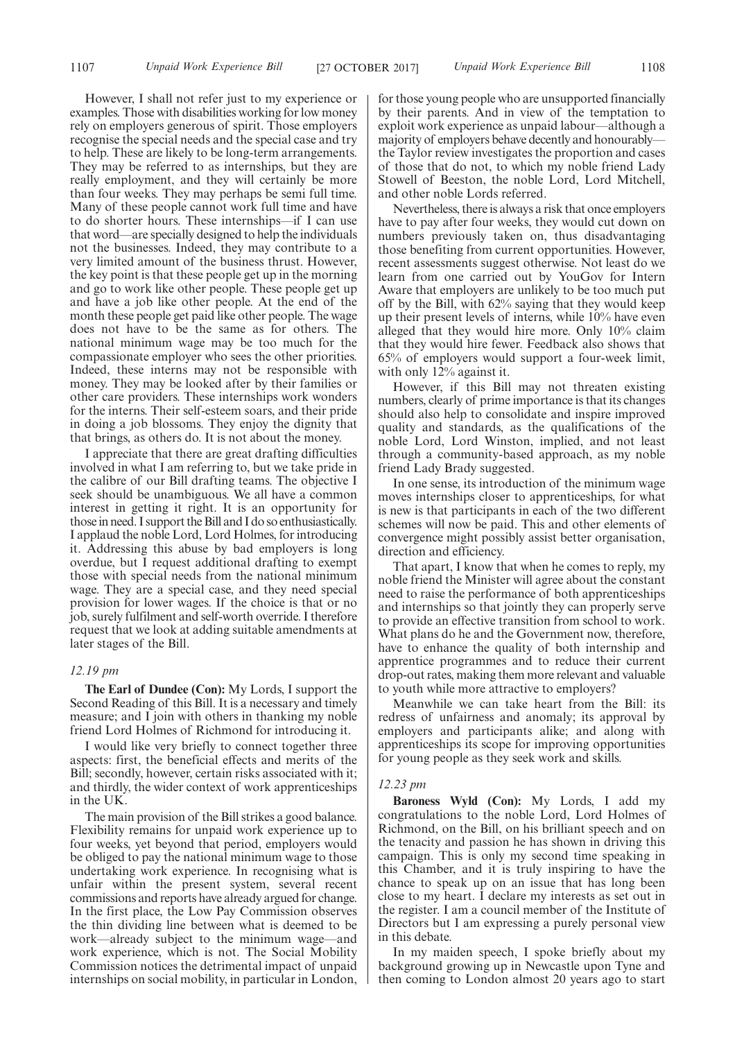However, I shall not refer just to my experience or examples. Those with disabilities working for low money rely on employers generous of spirit. Those employers recognise the special needs and the special case and try to help. These are likely to be long-term arrangements. They may be referred to as internships, but they are really employment, and they will certainly be more than four weeks. They may perhaps be semi full time. Many of these people cannot work full time and have to do shorter hours. These internships—if I can use that word—are specially designed to help the individuals not the businesses. Indeed, they may contribute to a very limited amount of the business thrust. However, the key point is that these people get up in the morning and go to work like other people. These people get up and have a job like other people. At the end of the month these people get paid like other people. The wage does not have to be the same as for others. The national minimum wage may be too much for the compassionate employer who sees the other priorities. Indeed, these interns may not be responsible with money. They may be looked after by their families or other care providers. These internships work wonders for the interns. Their self-esteem soars, and their pride in doing a job blossoms. They enjoy the dignity that that brings, as others do. It is not about the money.

I appreciate that there are great drafting difficulties involved in what I am referring to, but we take pride in the calibre of our Bill drafting teams. The objective I seek should be unambiguous. We all have a common interest in getting it right. It is an opportunity for those in need. I support the Bill and I do so enthusiastically. I applaud the noble Lord, Lord Holmes, for introducing it. Addressing this abuse by bad employers is long overdue, but I request additional drafting to exempt those with special needs from the national minimum wage. They are a special case, and they need special provision for lower wages. If the choice is that or no job, surely fulfilment and self-worth override. I therefore request that we look at adding suitable amendments at later stages of the Bill.

# *12.19 pm*

**The Earl of Dundee (Con):** My Lords, I support the Second Reading of this Bill. It is a necessary and timely measure; and I join with others in thanking my noble friend Lord Holmes of Richmond for introducing it.

I would like very briefly to connect together three aspects: first, the beneficial effects and merits of the Bill; secondly, however, certain risks associated with it; and thirdly, the wider context of work apprenticeships in the UK.

The main provision of the Bill strikes a good balance. Flexibility remains for unpaid work experience up to four weeks, yet beyond that period, employers would be obliged to pay the national minimum wage to those undertaking work experience. In recognising what is unfair within the present system, several recent commissions and reports have already argued for change. In the first place, the Low Pay Commission observes the thin dividing line between what is deemed to be work—already subject to the minimum wage—and work experience, which is not. The Social Mobility Commission notices the detrimental impact of unpaid internships on social mobility, in particular in London, for those young people who are unsupported financially by their parents. And in view of the temptation to exploit work experience as unpaid labour—although a majority of employers behave decently and honourably the Taylor review investigates the proportion and cases of those that do not, to which my noble friend Lady Stowell of Beeston, the noble Lord, Lord Mitchell, and other noble Lords referred.

Nevertheless, there is always a risk that once employers have to pay after four weeks, they would cut down on numbers previously taken on, thus disadvantaging those benefiting from current opportunities. However, recent assessments suggest otherwise. Not least do we learn from one carried out by YouGov for Intern Aware that employers are unlikely to be too much put off by the Bill, with 62% saying that they would keep up their present levels of interns, while 10% have even alleged that they would hire more. Only 10% claim that they would hire fewer. Feedback also shows that 65% of employers would support a four-week limit, with only 12% against it.

However, if this Bill may not threaten existing numbers, clearly of prime importance is that its changes should also help to consolidate and inspire improved quality and standards, as the qualifications of the noble Lord, Lord Winston, implied, and not least through a community-based approach, as my noble friend Lady Brady suggested.

In one sense, its introduction of the minimum wage moves internships closer to apprenticeships, for what is new is that participants in each of the two different schemes will now be paid. This and other elements of convergence might possibly assist better organisation, direction and efficiency.

That apart, I know that when he comes to reply, my noble friend the Minister will agree about the constant need to raise the performance of both apprenticeships and internships so that jointly they can properly serve to provide an effective transition from school to work. What plans do he and the Government now, therefore, have to enhance the quality of both internship and apprentice programmes and to reduce their current drop-out rates, making them more relevant and valuable to youth while more attractive to employers?

Meanwhile we can take heart from the Bill: its redress of unfairness and anomaly; its approval by employers and participants alike; and along with apprenticeships its scope for improving opportunities for young people as they seek work and skills.

#### *12.23 pm*

**Baroness Wyld (Con):** My Lords, I add my congratulations to the noble Lord, Lord Holmes of Richmond, on the Bill, on his brilliant speech and on the tenacity and passion he has shown in driving this campaign. This is only my second time speaking in this Chamber, and it is truly inspiring to have the chance to speak up on an issue that has long been close to my heart. I declare my interests as set out in the register. I am a council member of the Institute of Directors but I am expressing a purely personal view in this debate.

In my maiden speech, I spoke briefly about my background growing up in Newcastle upon Tyne and then coming to London almost 20 years ago to start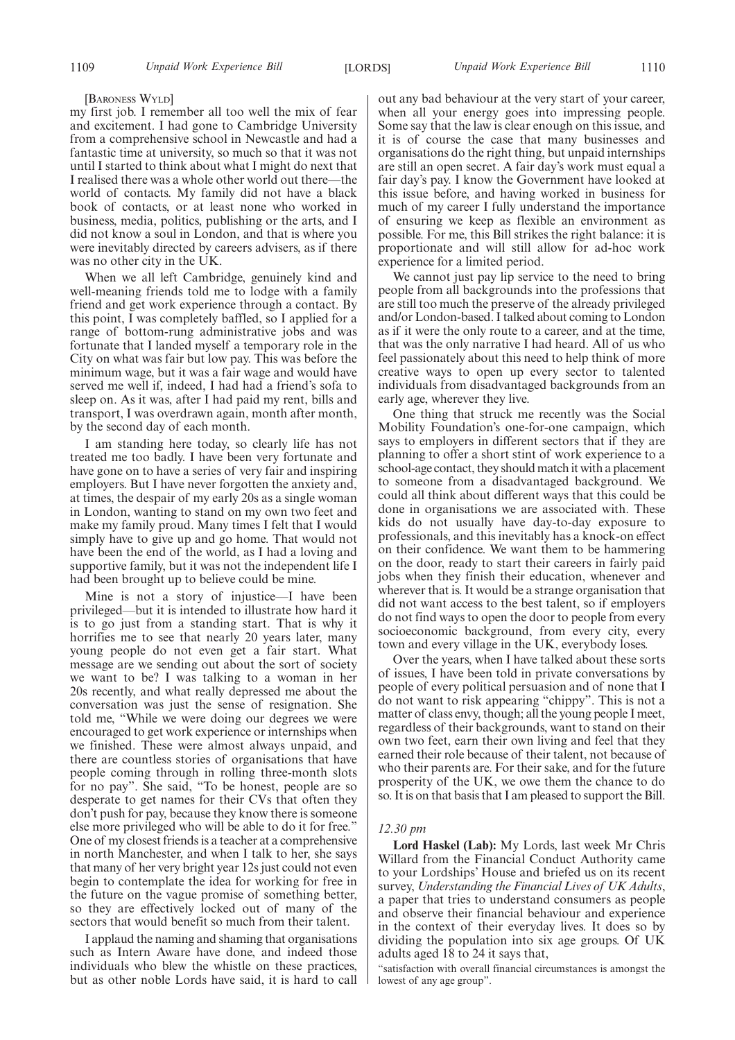#### [BARONESS WYLD]

my first job. I remember all too well the mix of fear and excitement. I had gone to Cambridge University from a comprehensive school in Newcastle and had a fantastic time at university, so much so that it was not until I started to think about what I might do next that I realised there was a whole other world out there—the world of contacts. My family did not have a black book of contacts, or at least none who worked in business, media, politics, publishing or the arts, and I did not know a soul in London, and that is where you were inevitably directed by careers advisers, as if there was no other city in the UK.

When we all left Cambridge, genuinely kind and well-meaning friends told me to lodge with a family friend and get work experience through a contact. By this point, I was completely baffled, so I applied for a range of bottom-rung administrative jobs and was fortunate that I landed myself a temporary role in the City on what was fair but low pay. This was before the minimum wage, but it was a fair wage and would have served me well if, indeed, I had had a friend's sofa to sleep on. As it was, after I had paid my rent, bills and transport, I was overdrawn again, month after month, by the second day of each month.

I am standing here today, so clearly life has not treated me too badly. I have been very fortunate and have gone on to have a series of very fair and inspiring employers. But I have never forgotten the anxiety and, at times, the despair of my early 20s as a single woman in London, wanting to stand on my own two feet and make my family proud. Many times I felt that I would simply have to give up and go home. That would not have been the end of the world, as I had a loving and supportive family, but it was not the independent life I had been brought up to believe could be mine.

Mine is not a story of injustice—I have been privileged—but it is intended to illustrate how hard it is to go just from a standing start. That is why it horrifies me to see that nearly 20 years later, many young people do not even get a fair start. What message are we sending out about the sort of society we want to be? I was talking to a woman in her 20s recently, and what really depressed me about the conversation was just the sense of resignation. She told me, "While we were doing our degrees we were encouraged to get work experience or internships when we finished. These were almost always unpaid, and there are countless stories of organisations that have people coming through in rolling three-month slots for no pay". She said, "To be honest, people are so desperate to get names for their CVs that often they don't push for pay, because they know there is someone else more privileged who will be able to do it for free." One of my closest friends is a teacher at a comprehensive in north Manchester, and when I talk to her, she says that many of her very bright year 12s just could not even begin to contemplate the idea for working for free in the future on the vague promise of something better, so they are effectively locked out of many of the sectors that would benefit so much from their talent.

I applaud the naming and shaming that organisations such as Intern Aware have done, and indeed those individuals who blew the whistle on these practices, but as other noble Lords have said, it is hard to call out any bad behaviour at the very start of your career, when all your energy goes into impressing people. Some say that the law is clear enough on this issue, and it is of course the case that many businesses and organisations do the right thing, but unpaid internships are still an open secret. A fair day's work must equal a fair day's pay. I know the Government have looked at this issue before, and having worked in business for much of my career I fully understand the importance of ensuring we keep as flexible an environment as possible. For me, this Bill strikes the right balance: it is proportionate and will still allow for ad-hoc work experience for a limited period.

We cannot just pay lip service to the need to bring people from all backgrounds into the professions that are still too much the preserve of the already privileged and/or London-based. I talked about coming to London as if it were the only route to a career, and at the time, that was the only narrative I had heard. All of us who feel passionately about this need to help think of more creative ways to open up every sector to talented individuals from disadvantaged backgrounds from an early age, wherever they live.

One thing that struck me recently was the Social Mobility Foundation's one-for-one campaign, which says to employers in different sectors that if they are planning to offer a short stint of work experience to a school-age contact, they should match it with a placement to someone from a disadvantaged background. We could all think about different ways that this could be done in organisations we are associated with. These kids do not usually have day-to-day exposure to professionals, and this inevitably has a knock-on effect on their confidence. We want them to be hammering on the door, ready to start their careers in fairly paid jobs when they finish their education, whenever and wherever that is. It would be a strange organisation that did not want access to the best talent, so if employers do not find ways to open the door to people from every socioeconomic background, from every city, every town and every village in the UK, everybody loses.

Over the years, when I have talked about these sorts of issues, I have been told in private conversations by people of every political persuasion and of none that I do not want to risk appearing "chippy". This is not a matter of class envy, though; all the young people I meet, regardless of their backgrounds, want to stand on their own two feet, earn their own living and feel that they earned their role because of their talent, not because of who their parents are. For their sake, and for the future prosperity of the UK, we owe them the chance to do so. It is on that basis that I am pleased to support the Bill.

#### *12.30 pm*

**Lord Haskel (Lab):** My Lords, last week Mr Chris Willard from the Financial Conduct Authority came to your Lordships' House and briefed us on its recent survey, *Understanding the Financial Lives of UK Adults*, a paper that tries to understand consumers as people and observe their financial behaviour and experience in the context of their everyday lives. It does so by dividing the population into six age groups. Of UK adults aged 18 to 24 it says that,

"satisfaction with overall financial circumstances is amongst the lowest of any age group".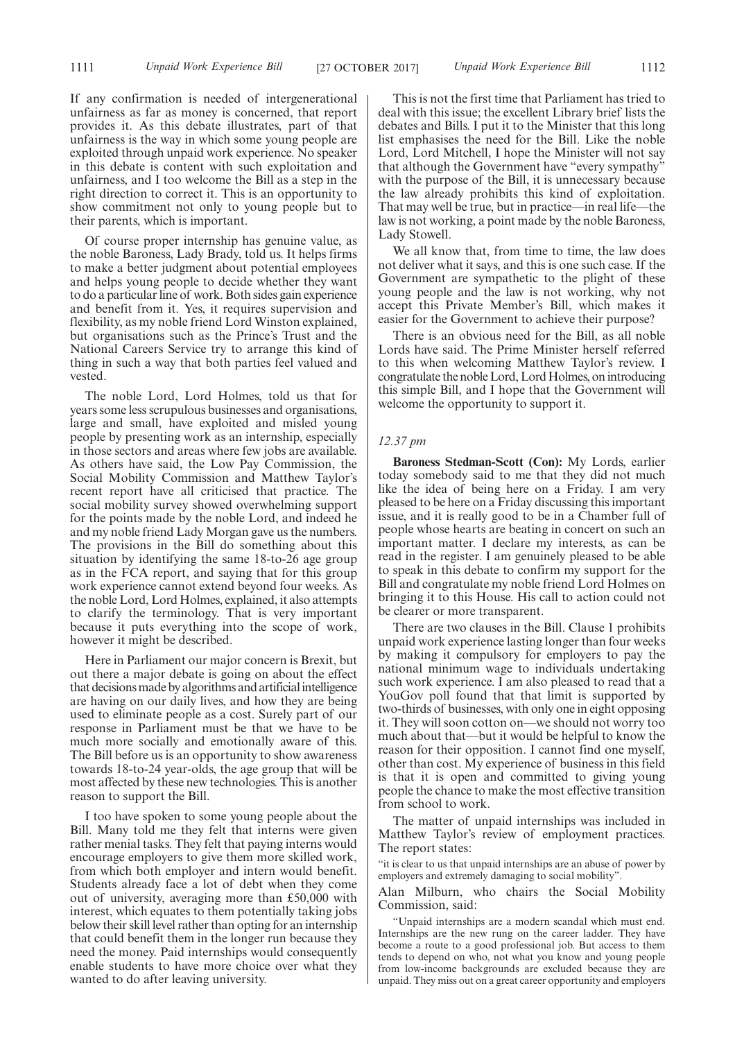If any confirmation is needed of intergenerational unfairness as far as money is concerned, that report provides it. As this debate illustrates, part of that unfairness is the way in which some young people are exploited through unpaid work experience. No speaker in this debate is content with such exploitation and unfairness, and I too welcome the Bill as a step in the right direction to correct it. This is an opportunity to show commitment not only to young people but to their parents, which is important.

Of course proper internship has genuine value, as the noble Baroness, Lady Brady, told us. It helps firms to make a better judgment about potential employees and helps young people to decide whether they want to do a particular line of work. Both sides gain experience and benefit from it. Yes, it requires supervision and flexibility, as my noble friend Lord Winston explained, but organisations such as the Prince's Trust and the National Careers Service try to arrange this kind of thing in such a way that both parties feel valued and vested.

The noble Lord, Lord Holmes, told us that for years some less scrupulous businesses and organisations, large and small, have exploited and misled young people by presenting work as an internship, especially in those sectors and areas where few jobs are available. As others have said, the Low Pay Commission, the Social Mobility Commission and Matthew Taylor's recent report have all criticised that practice. The social mobility survey showed overwhelming support for the points made by the noble Lord, and indeed he and my noble friend Lady Morgan gave us the numbers. The provisions in the Bill do something about this situation by identifying the same 18-to-26 age group as in the FCA report, and saying that for this group work experience cannot extend beyond four weeks. As the noble Lord, Lord Holmes, explained, it also attempts to clarify the terminology. That is very important because it puts everything into the scope of work, however it might be described.

Here in Parliament our major concern is Brexit, but out there a major debate is going on about the effect that decisions made by algorithms and artificial intelligence are having on our daily lives, and how they are being used to eliminate people as a cost. Surely part of our response in Parliament must be that we have to be much more socially and emotionally aware of this. The Bill before us is an opportunity to show awareness towards 18-to-24 year-olds, the age group that will be most affected by these new technologies. This is another reason to support the Bill.

I too have spoken to some young people about the Bill. Many told me they felt that interns were given rather menial tasks. They felt that paying interns would encourage employers to give them more skilled work, from which both employer and intern would benefit. Students already face a lot of debt when they come out of university, averaging more than £50,000 with interest, which equates to them potentially taking jobs below their skill level rather than opting for an internship that could benefit them in the longer run because they need the money. Paid internships would consequently enable students to have more choice over what they wanted to do after leaving university.

This is not the first time that Parliament has tried to deal with this issue; the excellent Library brief lists the debates and Bills. I put it to the Minister that this long list emphasises the need for the Bill. Like the noble Lord, Lord Mitchell, I hope the Minister will not say that although the Government have "every sympathy" with the purpose of the Bill, it is unnecessary because the law already prohibits this kind of exploitation. That may well be true, but in practice—in real life—the law is not working, a point made by the noble Baroness, Lady Stowell.

We all know that, from time to time, the law does not deliver what it says, and this is one such case. If the Government are sympathetic to the plight of these young people and the law is not working, why not accept this Private Member's Bill, which makes it easier for the Government to achieve their purpose?

There is an obvious need for the Bill, as all noble Lords have said. The Prime Minister herself referred to this when welcoming Matthew Taylor's review. I congratulate the noble Lord, Lord Holmes, on introducing this simple Bill, and I hope that the Government will welcome the opportunity to support it.

# *12.37 pm*

**Baroness Stedman-Scott (Con):** My Lords, earlier today somebody said to me that they did not much like the idea of being here on a Friday. I am very pleased to be here on a Friday discussing this important issue, and it is really good to be in a Chamber full of people whose hearts are beating in concert on such an important matter. I declare my interests, as can be read in the register. I am genuinely pleased to be able to speak in this debate to confirm my support for the Bill and congratulate my noble friend Lord Holmes on bringing it to this House. His call to action could not be clearer or more transparent.

There are two clauses in the Bill. Clause 1 prohibits unpaid work experience lasting longer than four weeks by making it compulsory for employers to pay the national minimum wage to individuals undertaking such work experience. I am also pleased to read that a YouGov poll found that that limit is supported by two-thirds of businesses, with only one in eight opposing it. They will soon cotton on—we should not worry too much about that—but it would be helpful to know the reason for their opposition. I cannot find one myself, other than cost. My experience of business in this field is that it is open and committed to giving young people the chance to make the most effective transition from school to work.

The matter of unpaid internships was included in Matthew Taylor's review of employment practices. The report states:

"it is clear to us that unpaid internships are an abuse of power by employers and extremely damaging to social mobility".

Alan Milburn, who chairs the Social Mobility Commission, said:

"Unpaid internships are a modern scandal which must end. Internships are the new rung on the career ladder. They have become a route to a good professional job. But access to them tends to depend on who, not what you know and young people from low-income backgrounds are excluded because they are unpaid. They miss out on a great career opportunity and employers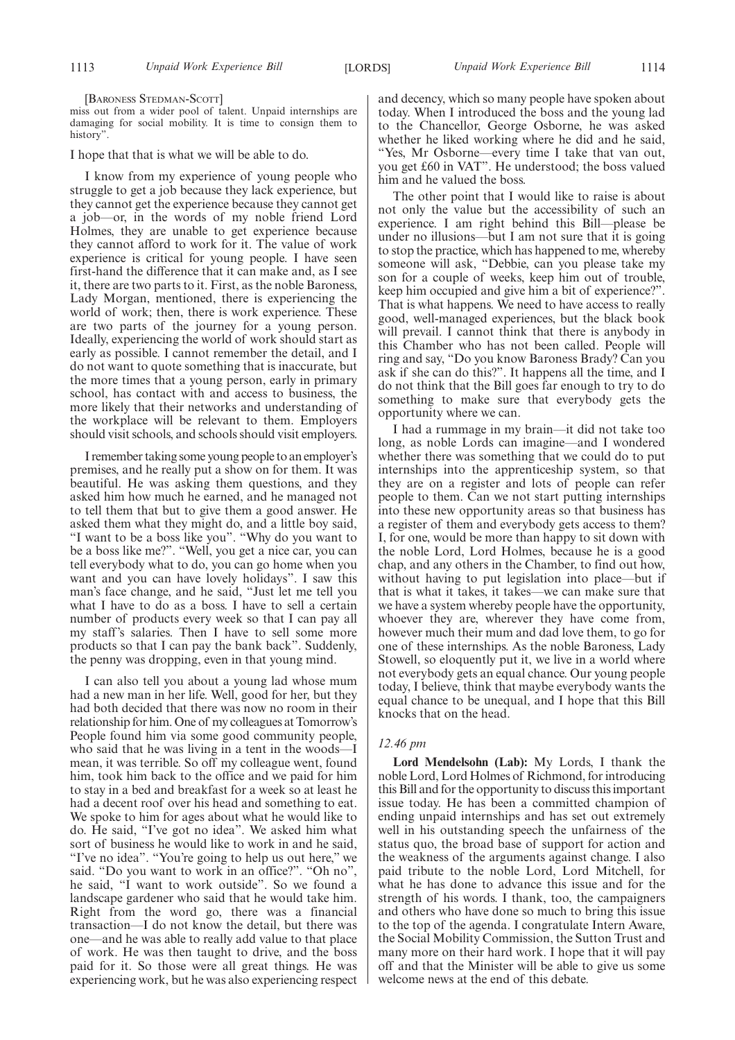[BARONESS STEDMAN-SCOTT]

miss out from a wider pool of talent. Unpaid internships are damaging for social mobility. It is time to consign them to history".

I hope that that is what we will be able to do.

I know from my experience of young people who struggle to get a job because they lack experience, but they cannot get the experience because they cannot get a job—or, in the words of my noble friend Lord Holmes, they are unable to get experience because they cannot afford to work for it. The value of work experience is critical for young people. I have seen first-hand the difference that it can make and, as I see it, there are two parts to it. First, as the noble Baroness, Lady Morgan, mentioned, there is experiencing the world of work; then, there is work experience. These are two parts of the journey for a young person. Ideally, experiencing the world of work should start as early as possible. I cannot remember the detail, and I do not want to quote something that is inaccurate, but the more times that a young person, early in primary school, has contact with and access to business, the more likely that their networks and understanding of the workplace will be relevant to them. Employers should visit schools, and schools should visit employers.

I remember taking some young people to an employer's premises, and he really put a show on for them. It was beautiful. He was asking them questions, and they asked him how much he earned, and he managed not to tell them that but to give them a good answer. He asked them what they might do, and a little boy said, "I want to be a boss like you". "Why do you want to be a boss like me?". "Well, you get a nice car, you can tell everybody what to do, you can go home when you want and you can have lovely holidays". I saw this man's face change, and he said, "Just let me tell you what I have to do as a boss. I have to sell a certain number of products every week so that I can pay all my staff's salaries. Then I have to sell some more products so that I can pay the bank back". Suddenly, the penny was dropping, even in that young mind.

I can also tell you about a young lad whose mum had a new man in her life. Well, good for her, but they had both decided that there was now no room in their relationship for him. One of my colleagues at Tomorrow's People found him via some good community people, who said that he was living in a tent in the woods—I mean, it was terrible. So off my colleague went, found him, took him back to the office and we paid for him to stay in a bed and breakfast for a week so at least he had a decent roof over his head and something to eat. We spoke to him for ages about what he would like to do. He said, "I've got no idea". We asked him what sort of business he would like to work in and he said, "I've no idea". "You're going to help us out here," we said. "Do you want to work in an office?". "Oh no", he said, "I want to work outside". So we found a landscape gardener who said that he would take him. Right from the word go, there was a financial transaction—I do not know the detail, but there was one—and he was able to really add value to that place of work. He was then taught to drive, and the boss paid for it. So those were all great things. He was experiencing work, but he was also experiencing respect and decency, which so many people have spoken about today. When I introduced the boss and the young lad to the Chancellor, George Osborne, he was asked whether he liked working where he did and he said, "Yes, Mr Osborne—every time I take that van out, you get £60 in VAT". He understood; the boss valued him and he valued the boss.

The other point that I would like to raise is about not only the value but the accessibility of such an experience. I am right behind this Bill—please be under no illusions—but I am not sure that it is going to stop the practice, which has happened to me, whereby someone will ask, "Debbie, can you please take my son for a couple of weeks, keep him out of trouble, keep him occupied and give him a bit of experience?". That is what happens. We need to have access to really good, well-managed experiences, but the black book will prevail. I cannot think that there is anybody in this Chamber who has not been called. People will ring and say, "Do you know Baroness Brady? Can you ask if she can do this?". It happens all the time, and I do not think that the Bill goes far enough to try to do something to make sure that everybody gets the opportunity where we can.

I had a rummage in my brain—it did not take too long, as noble Lords can imagine—and I wondered whether there was something that we could do to put internships into the apprenticeship system, so that they are on a register and lots of people can refer people to them. Can we not start putting internships into these new opportunity areas so that business has a register of them and everybody gets access to them? I, for one, would be more than happy to sit down with the noble Lord, Lord Holmes, because he is a good chap, and any others in the Chamber, to find out how, without having to put legislation into place—but if that is what it takes, it takes—we can make sure that we have a system whereby people have the opportunity, whoever they are, wherever they have come from, however much their mum and dad love them, to go for one of these internships. As the noble Baroness, Lady Stowell, so eloquently put it, we live in a world where not everybody gets an equal chance. Our young people today, I believe, think that maybe everybody wants the equal chance to be unequal, and I hope that this Bill knocks that on the head.

#### *12.46 pm*

**Lord Mendelsohn (Lab):** My Lords, I thank the noble Lord, Lord Holmes of Richmond, for introducing this Bill and for the opportunity to discuss this important issue today. He has been a committed champion of ending unpaid internships and has set out extremely well in his outstanding speech the unfairness of the status quo, the broad base of support for action and the weakness of the arguments against change. I also paid tribute to the noble Lord, Lord Mitchell, for what he has done to advance this issue and for the strength of his words. I thank, too, the campaigners and others who have done so much to bring this issue to the top of the agenda. I congratulate Intern Aware, the Social Mobility Commission, the Sutton Trust and many more on their hard work. I hope that it will pay off and that the Minister will be able to give us some welcome news at the end of this debate.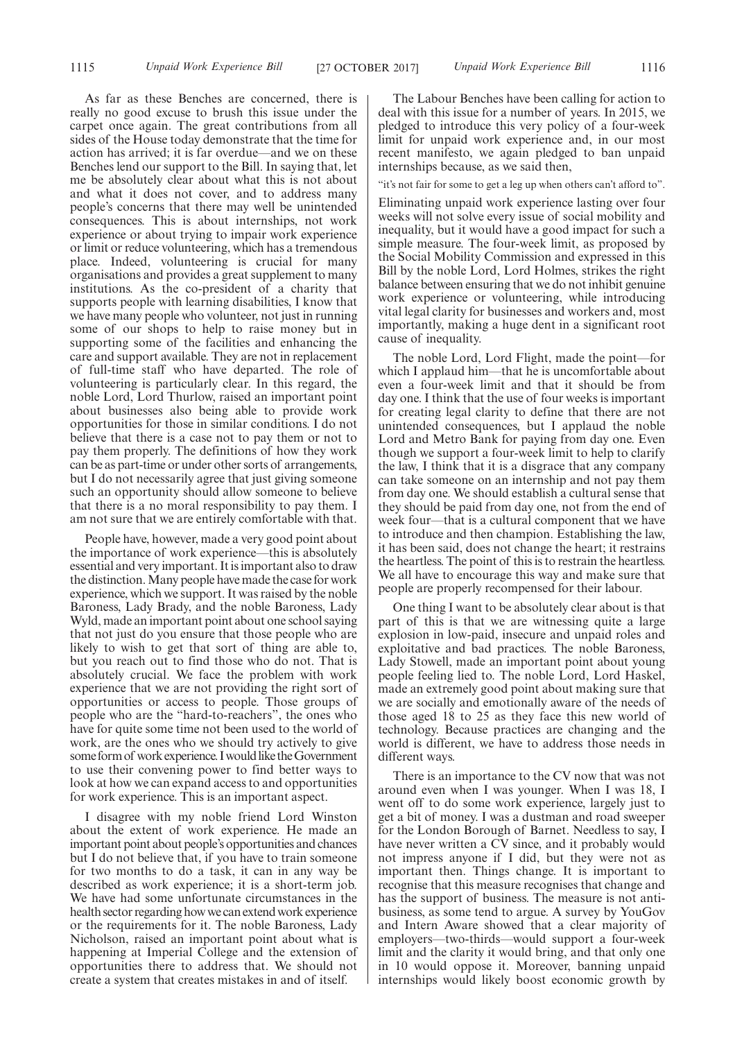As far as these Benches are concerned, there is really no good excuse to brush this issue under the carpet once again. The great contributions from all sides of the House today demonstrate that the time for action has arrived; it is far overdue—and we on these Benches lend our support to the Bill. In saying that, let me be absolutely clear about what this is not about and what it does not cover, and to address many people's concerns that there may well be unintended consequences. This is about internships, not work experience or about trying to impair work experience or limit or reduce volunteering, which has a tremendous place. Indeed, volunteering is crucial for many organisations and provides a great supplement to many institutions. As the co-president of a charity that supports people with learning disabilities, I know that we have many people who volunteer, not just in running some of our shops to help to raise money but in supporting some of the facilities and enhancing the care and support available. They are not in replacement of full-time staff who have departed. The role of volunteering is particularly clear. In this regard, the noble Lord, Lord Thurlow, raised an important point about businesses also being able to provide work opportunities for those in similar conditions. I do not believe that there is a case not to pay them or not to pay them properly. The definitions of how they work can be as part-time or under other sorts of arrangements, but I do not necessarily agree that just giving someone such an opportunity should allow someone to believe that there is a no moral responsibility to pay them. I am not sure that we are entirely comfortable with that.

People have, however, made a very good point about the importance of work experience—this is absolutely essential and very important. It is important also to draw the distinction. Many people have made the case for work experience, which we support. It was raised by the noble Baroness, Lady Brady, and the noble Baroness, Lady Wyld, made an important point about one school saying that not just do you ensure that those people who are likely to wish to get that sort of thing are able to, but you reach out to find those who do not. That is absolutely crucial. We face the problem with work experience that we are not providing the right sort of opportunities or access to people. Those groups of people who are the "hard-to-reachers", the ones who have for quite some time not been used to the world of work, are the ones who we should try actively to give some form of work experience. I would like the Government to use their convening power to find better ways to look at how we can expand access to and opportunities for work experience. This is an important aspect.

I disagree with my noble friend Lord Winston about the extent of work experience. He made an important point about people's opportunities and chances but I do not believe that, if you have to train someone for two months to do a task, it can in any way be described as work experience; it is a short-term job. We have had some unfortunate circumstances in the health sector regarding how we can extend work experience or the requirements for it. The noble Baroness, Lady Nicholson, raised an important point about what is happening at Imperial College and the extension of opportunities there to address that. We should not create a system that creates mistakes in and of itself.

The Labour Benches have been calling for action to deal with this issue for a number of years. In 2015, we pledged to introduce this very policy of a four-week limit for unpaid work experience and, in our most recent manifesto, we again pledged to ban unpaid internships because, as we said then,

"it's not fair for some to get a leg up when others can't afford to".

Eliminating unpaid work experience lasting over four weeks will not solve every issue of social mobility and inequality, but it would have a good impact for such a simple measure. The four-week limit, as proposed by the Social Mobility Commission and expressed in this Bill by the noble Lord, Lord Holmes, strikes the right balance between ensuring that we do not inhibit genuine work experience or volunteering, while introducing vital legal clarity for businesses and workers and, most importantly, making a huge dent in a significant root cause of inequality.

The noble Lord, Lord Flight, made the point—for which I applaud him—that he is uncomfortable about even a four-week limit and that it should be from day one. I think that the use of four weeks is important for creating legal clarity to define that there are not unintended consequences, but I applaud the noble Lord and Metro Bank for paying from day one. Even though we support a four-week limit to help to clarify the law, I think that it is a disgrace that any company can take someone on an internship and not pay them from day one. We should establish a cultural sense that they should be paid from day one, not from the end of week four—that is a cultural component that we have to introduce and then champion. Establishing the law, it has been said, does not change the heart; it restrains the heartless. The point of this is to restrain the heartless. We all have to encourage this way and make sure that people are properly recompensed for their labour.

One thing I want to be absolutely clear about is that part of this is that we are witnessing quite a large explosion in low-paid, insecure and unpaid roles and exploitative and bad practices. The noble Baroness, Lady Stowell, made an important point about young people feeling lied to. The noble Lord, Lord Haskel, made an extremely good point about making sure that we are socially and emotionally aware of the needs of those aged 18 to 25 as they face this new world of technology. Because practices are changing and the world is different, we have to address those needs in different ways.

There is an importance to the CV now that was not around even when I was younger. When I was 18, I went off to do some work experience, largely just to get a bit of money. I was a dustman and road sweeper for the London Borough of Barnet. Needless to say, I have never written a CV since, and it probably would not impress anyone if I did, but they were not as important then. Things change. It is important to recognise that this measure recognises that change and has the support of business. The measure is not antibusiness, as some tend to argue. A survey by YouGov and Intern Aware showed that a clear majority of employers—two-thirds—would support a four-week limit and the clarity it would bring, and that only one in 10 would oppose it. Moreover, banning unpaid internships would likely boost economic growth by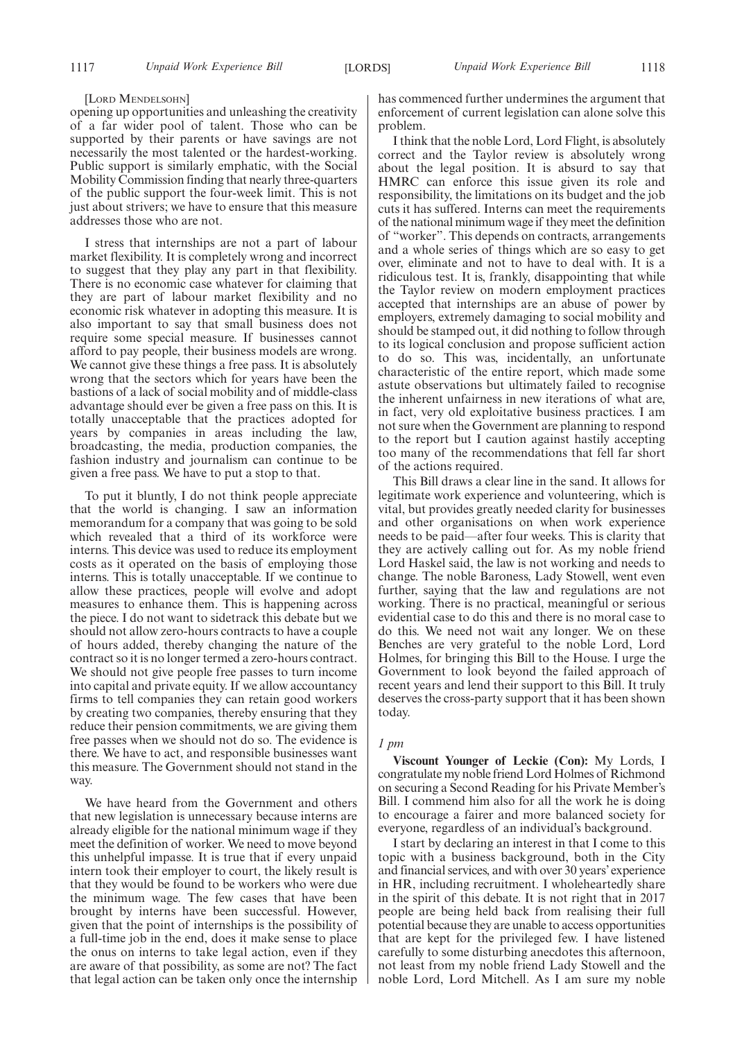#### [LORD MENDELSOHN]

opening up opportunities and unleashing the creativity of a far wider pool of talent. Those who can be supported by their parents or have savings are not necessarily the most talented or the hardest-working. Public support is similarly emphatic, with the Social Mobility Commission finding that nearly three-quarters of the public support the four-week limit. This is not just about strivers; we have to ensure that this measure addresses those who are not.

I stress that internships are not a part of labour market flexibility. It is completely wrong and incorrect to suggest that they play any part in that flexibility. There is no economic case whatever for claiming that they are part of labour market flexibility and no economic risk whatever in adopting this measure. It is also important to say that small business does not require some special measure. If businesses cannot afford to pay people, their business models are wrong. We cannot give these things a free pass. It is absolutely wrong that the sectors which for years have been the bastions of a lack of social mobility and of middle-class advantage should ever be given a free pass on this. It is totally unacceptable that the practices adopted for years by companies in areas including the law, broadcasting, the media, production companies, the fashion industry and journalism can continue to be given a free pass. We have to put a stop to that.

To put it bluntly, I do not think people appreciate that the world is changing. I saw an information memorandum for a company that was going to be sold which revealed that a third of its workforce were interns. This device was used to reduce its employment costs as it operated on the basis of employing those interns. This is totally unacceptable. If we continue to allow these practices, people will evolve and adopt measures to enhance them. This is happening across the piece. I do not want to sidetrack this debate but we should not allow zero-hours contracts to have a couple of hours added, thereby changing the nature of the contract so it is no longer termed a zero-hours contract. We should not give people free passes to turn income into capital and private equity. If we allow accountancy firms to tell companies they can retain good workers by creating two companies, thereby ensuring that they reduce their pension commitments, we are giving them free passes when we should not do so. The evidence is there. We have to act, and responsible businesses want this measure. The Government should not stand in the way.

We have heard from the Government and others that new legislation is unnecessary because interns are already eligible for the national minimum wage if they meet the definition of worker. We need to move beyond this unhelpful impasse. It is true that if every unpaid intern took their employer to court, the likely result is that they would be found to be workers who were due the minimum wage. The few cases that have been brought by interns have been successful. However, given that the point of internships is the possibility of a full-time job in the end, does it make sense to place the onus on interns to take legal action, even if they are aware of that possibility, as some are not? The fact that legal action can be taken only once the internship has commenced further undermines the argument that enforcement of current legislation can alone solve this problem.

I think that the noble Lord, Lord Flight, is absolutely correct and the Taylor review is absolutely wrong about the legal position. It is absurd to say that HMRC can enforce this issue given its role and responsibility, the limitations on its budget and the job cuts it has suffered. Interns can meet the requirements of the national minimum wage if they meet the definition of "worker". This depends on contracts, arrangements and a whole series of things which are so easy to get over, eliminate and not to have to deal with. It is a ridiculous test. It is, frankly, disappointing that while the Taylor review on modern employment practices accepted that internships are an abuse of power by employers, extremely damaging to social mobility and should be stamped out, it did nothing to follow through to its logical conclusion and propose sufficient action to do so. This was, incidentally, an unfortunate characteristic of the entire report, which made some astute observations but ultimately failed to recognise the inherent unfairness in new iterations of what are, in fact, very old exploitative business practices. I am not sure when the Government are planning to respond to the report but I caution against hastily accepting too many of the recommendations that fell far short of the actions required.

This Bill draws a clear line in the sand. It allows for legitimate work experience and volunteering, which is vital, but provides greatly needed clarity for businesses and other organisations on when work experience needs to be paid—after four weeks. This is clarity that they are actively calling out for. As my noble friend Lord Haskel said, the law is not working and needs to change. The noble Baroness, Lady Stowell, went even further, saying that the law and regulations are not working. There is no practical, meaningful or serious evidential case to do this and there is no moral case to do this. We need not wait any longer. We on these Benches are very grateful to the noble Lord, Lord Holmes, for bringing this Bill to the House. I urge the Government to look beyond the failed approach of recent years and lend their support to this Bill. It truly deserves the cross-party support that it has been shown today.

# *1 pm*

**Viscount Younger of Leckie (Con):** My Lords, I congratulate my noble friend Lord Holmes of Richmond on securing a Second Reading for his Private Member's Bill. I commend him also for all the work he is doing to encourage a fairer and more balanced society for everyone, regardless of an individual's background.

I start by declaring an interest in that I come to this topic with a business background, both in the City and financial services, and with over 30 years' experience in HR, including recruitment. I wholeheartedly share in the spirit of this debate. It is not right that in 2017 people are being held back from realising their full potential because they are unable to access opportunities that are kept for the privileged few. I have listened carefully to some disturbing anecdotes this afternoon, not least from my noble friend Lady Stowell and the noble Lord, Lord Mitchell. As I am sure my noble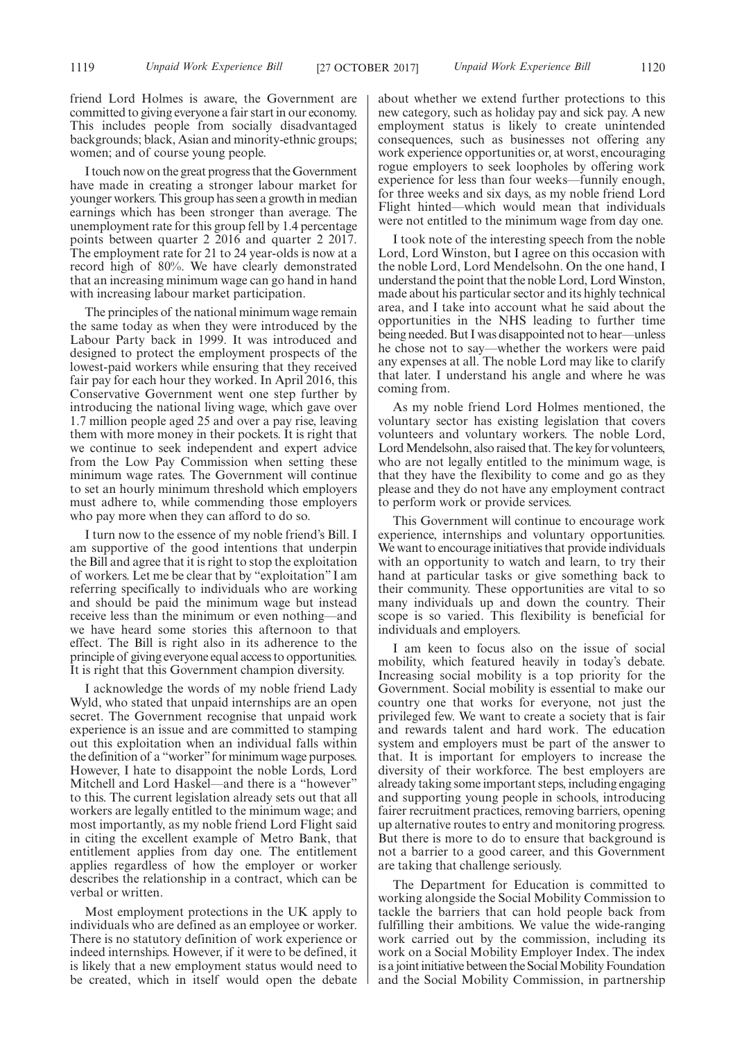I touch now on the great progress that the Government have made in creating a stronger labour market for younger workers. This group has seen a growth in median earnings which has been stronger than average. The unemployment rate for this group fell by 1.4 percentage points between quarter 2 2016 and quarter 2 2017. The employment rate for 21 to 24 year-olds is now at a record high of 80%. We have clearly demonstrated that an increasing minimum wage can go hand in hand with increasing labour market participation.

The principles of the national minimum wage remain the same today as when they were introduced by the Labour Party back in 1999. It was introduced and designed to protect the employment prospects of the lowest-paid workers while ensuring that they received fair pay for each hour they worked. In April 2016, this Conservative Government went one step further by introducing the national living wage, which gave over 1.7 million people aged 25 and over a pay rise, leaving them with more money in their pockets. It is right that we continue to seek independent and expert advice from the Low Pay Commission when setting these minimum wage rates. The Government will continue to set an hourly minimum threshold which employers must adhere to, while commending those employers who pay more when they can afford to do so.

I turn now to the essence of my noble friend's Bill. I am supportive of the good intentions that underpin the Bill and agree that it is right to stop the exploitation of workers. Let me be clear that by "exploitation" I am referring specifically to individuals who are working and should be paid the minimum wage but instead receive less than the minimum or even nothing—and we have heard some stories this afternoon to that effect. The Bill is right also in its adherence to the principle of giving everyone equal access to opportunities. It is right that this Government champion diversity.

I acknowledge the words of my noble friend Lady Wyld, who stated that unpaid internships are an open secret. The Government recognise that unpaid work experience is an issue and are committed to stamping out this exploitation when an individual falls within the definition of a "worker" for minimum wage purposes. However, I hate to disappoint the noble Lords, Lord Mitchell and Lord Haskel—and there is a "however" to this. The current legislation already sets out that all workers are legally entitled to the minimum wage; and most importantly, as my noble friend Lord Flight said in citing the excellent example of Metro Bank, that entitlement applies from day one. The entitlement applies regardless of how the employer or worker describes the relationship in a contract, which can be verbal or written.

Most employment protections in the UK apply to individuals who are defined as an employee or worker. There is no statutory definition of work experience or indeed internships. However, if it were to be defined, it is likely that a new employment status would need to be created, which in itself would open the debate about whether we extend further protections to this new category, such as holiday pay and sick pay. A new employment status is likely to create unintended consequences, such as businesses not offering any work experience opportunities or, at worst, encouraging rogue employers to seek loopholes by offering work experience for less than four weeks—funnily enough, for three weeks and six days, as my noble friend Lord Flight hinted—which would mean that individuals were not entitled to the minimum wage from day one.

I took note of the interesting speech from the noble Lord, Lord Winston, but I agree on this occasion with the noble Lord, Lord Mendelsohn. On the one hand, I understand the point that the noble Lord, Lord Winston, made about his particular sector and its highly technical area, and I take into account what he said about the opportunities in the NHS leading to further time being needed. But I was disappointed not to hear—unless he chose not to say—whether the workers were paid any expenses at all. The noble Lord may like to clarify that later. I understand his angle and where he was coming from.

As my noble friend Lord Holmes mentioned, the voluntary sector has existing legislation that covers volunteers and voluntary workers. The noble Lord, Lord Mendelsohn, also raised that. The key for volunteers, who are not legally entitled to the minimum wage, is that they have the flexibility to come and go as they please and they do not have any employment contract to perform work or provide services.

This Government will continue to encourage work experience, internships and voluntary opportunities. We want to encourage initiatives that provide individuals with an opportunity to watch and learn, to try their hand at particular tasks or give something back to their community. These opportunities are vital to so many individuals up and down the country. Their scope is so varied. This flexibility is beneficial for individuals and employers.

I am keen to focus also on the issue of social mobility, which featured heavily in today's debate. Increasing social mobility is a top priority for the Government. Social mobility is essential to make our country one that works for everyone, not just the privileged few. We want to create a society that is fair and rewards talent and hard work. The education system and employers must be part of the answer to that. It is important for employers to increase the diversity of their workforce. The best employers are already taking some important steps, including engaging and supporting young people in schools, introducing fairer recruitment practices, removing barriers, opening up alternative routes to entry and monitoring progress. But there is more to do to ensure that background is not a barrier to a good career, and this Government are taking that challenge seriously.

The Department for Education is committed to working alongside the Social Mobility Commission to tackle the barriers that can hold people back from fulfilling their ambitions. We value the wide-ranging work carried out by the commission, including its work on a Social Mobility Employer Index. The index is a joint initiative between the Social Mobility Foundation and the Social Mobility Commission, in partnership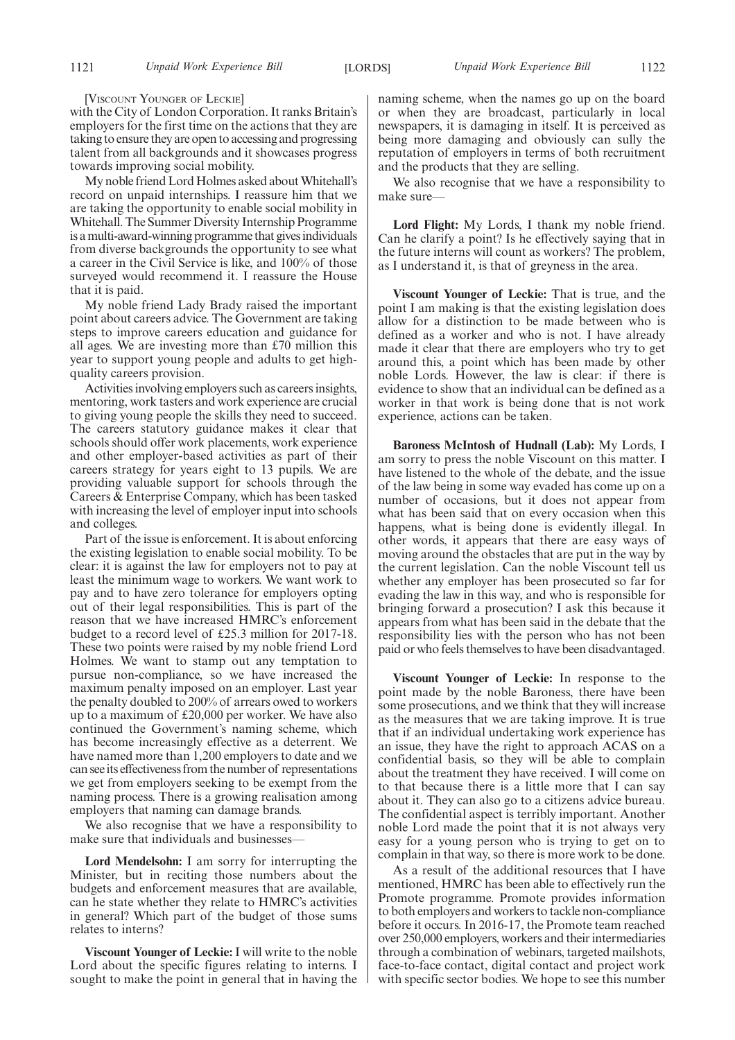[VISCOUNT YOUNGER OF LECKIE]

with the City of London Corporation. It ranks Britain's employers for the first time on the actions that they are taking to ensure they are open to accessing and progressing talent from all backgrounds and it showcases progress towards improving social mobility.

My noble friend Lord Holmes asked about Whitehall's record on unpaid internships. I reassure him that we are taking the opportunity to enable social mobility in Whitehall. The Summer Diversity Internship Programme is a multi-award-winning programme that gives individuals from diverse backgrounds the opportunity to see what a career in the Civil Service is like, and 100% of those surveyed would recommend it. I reassure the House that it is paid.

My noble friend Lady Brady raised the important point about careers advice. The Government are taking steps to improve careers education and guidance for all ages. We are investing more than £70 million this year to support young people and adults to get highquality careers provision.

Activities involving employers such as careers insights, mentoring, work tasters and work experience are crucial to giving young people the skills they need to succeed. The careers statutory guidance makes it clear that schools should offer work placements, work experience and other employer-based activities as part of their careers strategy for years eight to 13 pupils. We are providing valuable support for schools through the Careers & Enterprise Company, which has been tasked with increasing the level of employer input into schools and colleges.

Part of the issue is enforcement. It is about enforcing the existing legislation to enable social mobility. To be clear: it is against the law for employers not to pay at least the minimum wage to workers. We want work to pay and to have zero tolerance for employers opting out of their legal responsibilities. This is part of the reason that we have increased HMRC's enforcement budget to a record level of £25.3 million for 2017-18. These two points were raised by my noble friend Lord Holmes. We want to stamp out any temptation to pursue non-compliance, so we have increased the maximum penalty imposed on an employer. Last year the penalty doubled to 200% of arrears owed to workers up to a maximum of £20,000 per worker. We have also continued the Government's naming scheme, which has become increasingly effective as a deterrent. We have named more than 1,200 employers to date and we can see its effectiveness from the number of representations we get from employers seeking to be exempt from the naming process. There is a growing realisation among employers that naming can damage brands.

We also recognise that we have a responsibility to make sure that individuals and businesses-

**Lord Mendelsohn:** I am sorry for interrupting the Minister, but in reciting those numbers about the budgets and enforcement measures that are available, can he state whether they relate to HMRC's activities in general? Which part of the budget of those sums relates to interns?

**Viscount Younger of Leckie:** I will write to the noble Lord about the specific figures relating to interns. I sought to make the point in general that in having the naming scheme, when the names go up on the board or when they are broadcast, particularly in local newspapers, it is damaging in itself. It is perceived as being more damaging and obviously can sully the reputation of employers in terms of both recruitment and the products that they are selling.

We also recognise that we have a responsibility to make sure—

**Lord Flight:** My Lords, I thank my noble friend. Can he clarify a point? Is he effectively saying that in the future interns will count as workers? The problem, as I understand it, is that of greyness in the area.

**Viscount Younger of Leckie:** That is true, and the point I am making is that the existing legislation does allow for a distinction to be made between who is defined as a worker and who is not. I have already made it clear that there are employers who try to get around this, a point which has been made by other noble Lords. However, the law is clear: if there is evidence to show that an individual can be defined as a worker in that work is being done that is not work experience, actions can be taken.

**Baroness McIntosh of Hudnall (Lab):** My Lords, I am sorry to press the noble Viscount on this matter. I have listened to the whole of the debate, and the issue of the law being in some way evaded has come up on a number of occasions, but it does not appear from what has been said that on every occasion when this happens, what is being done is evidently illegal. In other words, it appears that there are easy ways of moving around the obstacles that are put in the way by the current legislation. Can the noble Viscount tell us whether any employer has been prosecuted so far for evading the law in this way, and who is responsible for bringing forward a prosecution? I ask this because it appears from what has been said in the debate that the responsibility lies with the person who has not been paid or who feels themselves to have been disadvantaged.

**Viscount Younger of Leckie:** In response to the point made by the noble Baroness, there have been some prosecutions, and we think that they will increase as the measures that we are taking improve. It is true that if an individual undertaking work experience has an issue, they have the right to approach ACAS on a confidential basis, so they will be able to complain about the treatment they have received. I will come on to that because there is a little more that I can say about it. They can also go to a citizens advice bureau. The confidential aspect is terribly important. Another noble Lord made the point that it is not always very easy for a young person who is trying to get on to complain in that way, so there is more work to be done.

As a result of the additional resources that I have mentioned, HMRC has been able to effectively run the Promote programme. Promote provides information to both employers and workers to tackle non-compliance before it occurs. In 2016-17, the Promote team reached over 250,000 employers, workers and their intermediaries through a combination of webinars, targeted mailshots, face-to-face contact, digital contact and project work with specific sector bodies. We hope to see this number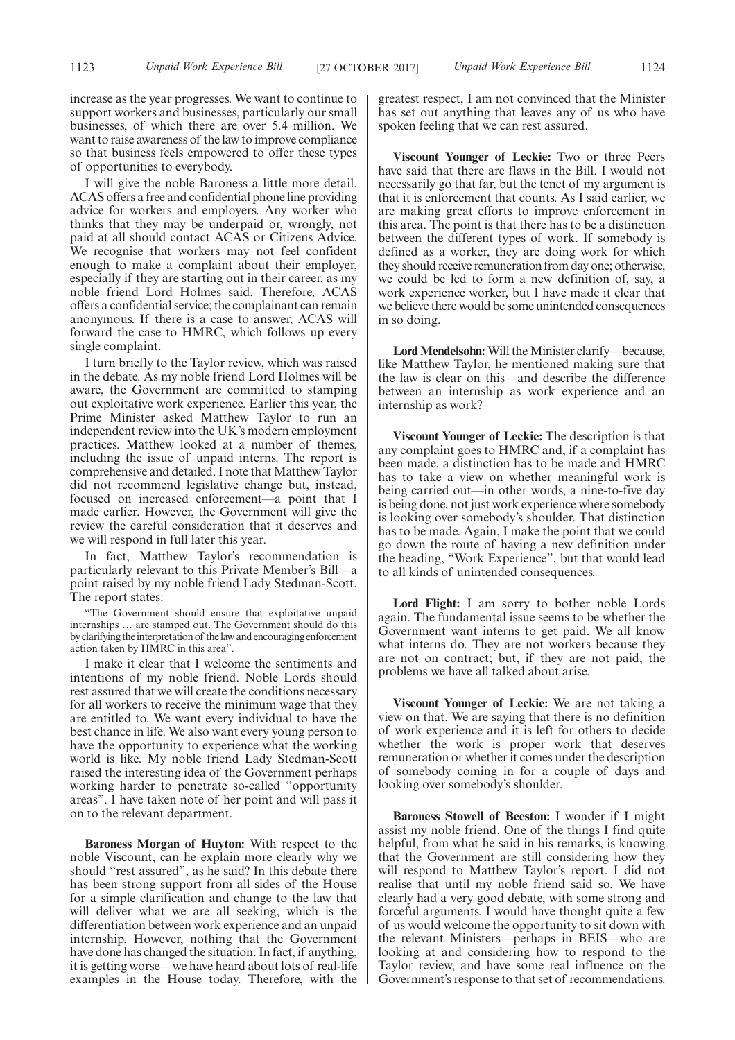increase as the year progresses. We want to continue to support workers and businesses, particularly our small businesses, of which there are over 5.4 million. We want to raise awareness of the law to improve compliance so that business feels empowered to offer these types of opportunities to everybody.

I will give the noble Baroness a little more detail. ACAS offers a free and confidential phone line providing advice for workers and employers. Any worker who thinks that they may be underpaid or, wrongly, not paid at all should contact ACAS or Citizens Advice. We recognise that workers may not feel confident enough to make a complaint about their employer, especially if they are starting out in their career, as my noble friend Lord Holmes said. Therefore, ACAS offers a confidential service; the complainant can remain anonymous. If there is a case to answer, ACAS will forward the case to HMRC, which follows up every single complaint.

I turn briefly to the Taylor review, which was raised in the debate. As my noble friend Lord Holmes will be aware, the Government are committed to stamping out exploitative work experience. Earlier this year, the Prime Minister asked Matthew Taylor to run an independent review into the UK's modern employment practices. Matthew looked at a number of themes, including the issue of unpaid interns. The report is comprehensive and detailed. I note that Matthew Taylor did not recommend legislative change but, instead, focused on increased enforcement—a point that I made earlier. However, the Government will give the review the careful consideration that it deserves and we will respond in full later this year.

In fact, Matthew Taylor's recommendation is particularly relevant to this Private Member's Bill—a point raised by my noble friend Lady Stedman-Scott. The report states:

"The Government should ensure that exploitative unpaid internships … are stamped out. The Government should do this by clarifying the interpretation of the law and encouraging enforcement action taken by HMRC in this area".

I make it clear that I welcome the sentiments and intentions of my noble friend. Noble Lords should rest assured that we will create the conditions necessary for all workers to receive the minimum wage that they are entitled to. We want every individual to have the best chance in life. We also want every young person to have the opportunity to experience what the working world is like. My noble friend Lady Stedman-Scott raised the interesting idea of the Government perhaps working harder to penetrate so-called "opportunity areas". I have taken note of her point and will pass it on to the relevant department.

**Baroness Morgan of Huyton:** With respect to the noble Viscount, can he explain more clearly why we should "rest assured", as he said? In this debate there has been strong support from all sides of the House for a simple clarification and change to the law that will deliver what we are all seeking, which is the differentiation between work experience and an unpaid internship. However, nothing that the Government have done has changed the situation. In fact, if anything, it is getting worse—we have heard about lots of real-life examples in the House today. Therefore, with the

greatest respect, I am not convinced that the Minister has set out anything that leaves any of us who have spoken feeling that we can rest assured.

**Viscount Younger of Leckie:** Two or three Peers have said that there are flaws in the Bill. I would not necessarily go that far, but the tenet of my argument is that it is enforcement that counts. As I said earlier, we are making great efforts to improve enforcement in this area. The point is that there has to be a distinction between the different types of work. If somebody is defined as a worker, they are doing work for which they should receive remuneration from day one; otherwise, we could be led to form a new definition of, say, a work experience worker, but I have made it clear that we believe there would be some unintended consequences in so doing.

**Lord Mendelsohn:** Will the Minister clarify—because, like Matthew Taylor, he mentioned making sure that the law is clear on this—and describe the difference between an internship as work experience and an internship as work?

**Viscount Younger of Leckie:** The description is that any complaint goes to HMRC and, if a complaint has been made, a distinction has to be made and HMRC has to take a view on whether meaningful work is being carried out—in other words, a nine-to-five day is being done, not just work experience where somebody is looking over somebody's shoulder. That distinction has to be made. Again, I make the point that we could go down the route of having a new definition under the heading, "Work Experience", but that would lead to all kinds of unintended consequences.

**Lord Flight:** I am sorry to bother noble Lords again. The fundamental issue seems to be whether the Government want interns to get paid. We all know what interns do. They are not workers because they are not on contract; but, if they are not paid, the problems we have all talked about arise.

**Viscount Younger of Leckie:** We are not taking a view on that. We are saying that there is no definition of work experience and it is left for others to decide whether the work is proper work that deserves remuneration or whether it comes under the description of somebody coming in for a couple of days and looking over somebody's shoulder.

**Baroness Stowell of Beeston:** I wonder if I might assist my noble friend. One of the things I find quite helpful, from what he said in his remarks, is knowing that the Government are still considering how they will respond to Matthew Taylor's report. I did not realise that until my noble friend said so. We have clearly had a very good debate, with some strong and forceful arguments. I would have thought quite a few of us would welcome the opportunity to sit down with the relevant Ministers—perhaps in BEIS—who are looking at and considering how to respond to the Taylor review, and have some real influence on the Government's response to that set of recommendations.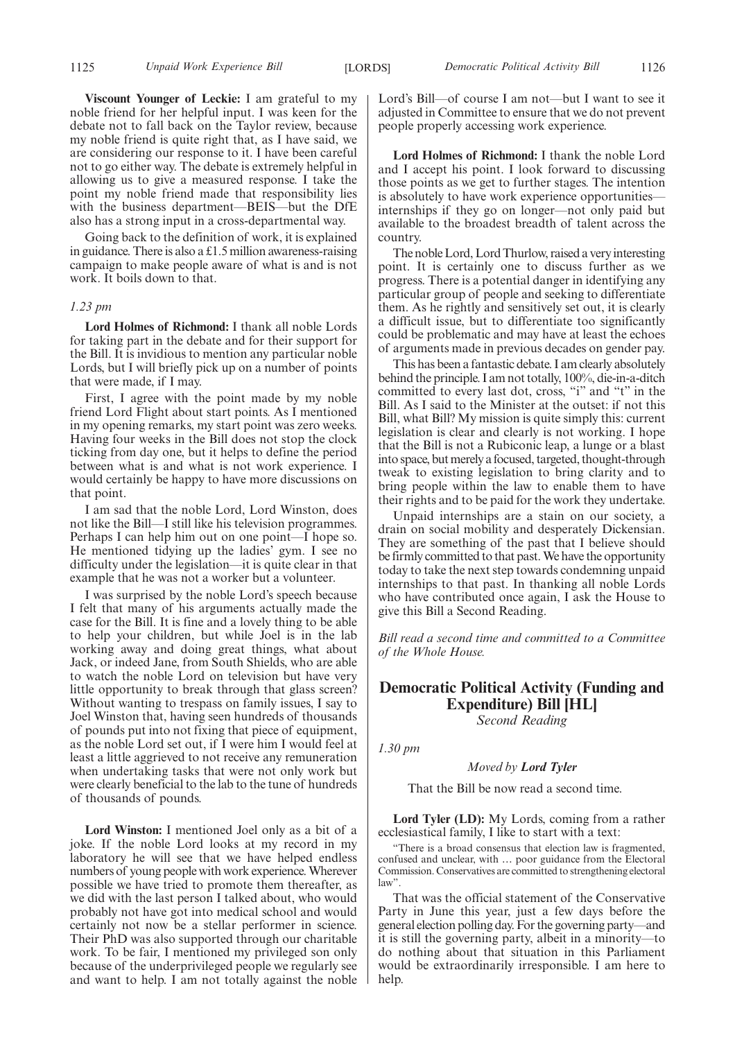**Viscount Younger of Leckie:** I am grateful to my noble friend for her helpful input. I was keen for the debate not to fall back on the Taylor review, because my noble friend is quite right that, as I have said, we are considering our response to it. I have been careful not to go either way. The debate is extremely helpful in allowing us to give a measured response. I take the point my noble friend made that responsibility lies with the business department—BEIS—but the DfE also has a strong input in a cross-departmental way.

Going back to the definition of work, it is explained in guidance. There is also a £1.5 million awareness-raising campaign to make people aware of what is and is not work. It boils down to that.

#### *1.23 pm*

**Lord Holmes of Richmond:** I thank all noble Lords for taking part in the debate and for their support for the Bill. It is invidious to mention any particular noble Lords, but I will briefly pick up on a number of points that were made, if I may.

First, I agree with the point made by my noble friend Lord Flight about start points. As I mentioned in my opening remarks, my start point was zero weeks. Having four weeks in the Bill does not stop the clock ticking from day one, but it helps to define the period between what is and what is not work experience. I would certainly be happy to have more discussions on that point.

I am sad that the noble Lord, Lord Winston, does not like the Bill—I still like his television programmes. Perhaps I can help him out on one point—I hope so. He mentioned tidying up the ladies' gym. I see no difficulty under the legislation—it is quite clear in that example that he was not a worker but a volunteer.

I was surprised by the noble Lord's speech because I felt that many of his arguments actually made the case for the Bill. It is fine and a lovely thing to be able to help your children, but while Joel is in the lab working away and doing great things, what about Jack, or indeed Jane, from South Shields, who are able to watch the noble Lord on television but have very little opportunity to break through that glass screen? Without wanting to trespass on family issues, I say to Joel Winston that, having seen hundreds of thousands of pounds put into not fixing that piece of equipment, as the noble Lord set out, if I were him I would feel at least a little aggrieved to not receive any remuneration when undertaking tasks that were not only work but were clearly beneficial to the lab to the tune of hundreds of thousands of pounds.

**Lord Winston:** I mentioned Joel only as a bit of a joke. If the noble Lord looks at my record in my laboratory he will see that we have helped endless numbers of young people with work experience. Wherever possible we have tried to promote them thereafter, as we did with the last person I talked about, who would probably not have got into medical school and would certainly not now be a stellar performer in science. Their PhD was also supported through our charitable work. To be fair, I mentioned my privileged son only because of the underprivileged people we regularly see and want to help. I am not totally against the noble Lord's Bill—of course I am not—but I want to see it adjusted in Committee to ensure that we do not prevent people properly accessing work experience.

**Lord Holmes of Richmond:** I thank the noble Lord and I accept his point. I look forward to discussing those points as we get to further stages. The intention is absolutely to have work experience opportunities internships if they go on longer—not only paid but available to the broadest breadth of talent across the country.

The noble Lord, Lord Thurlow, raised a very interesting point. It is certainly one to discuss further as we progress. There is a potential danger in identifying any particular group of people and seeking to differentiate them. As he rightly and sensitively set out, it is clearly a difficult issue, but to differentiate too significantly could be problematic and may have at least the echoes of arguments made in previous decades on gender pay.

This has been a fantastic debate. I am clearly absolutely behind the principle. I am not totally, 100%, die-in-a-ditch committed to every last dot, cross, "i" and "t" in the Bill. As I said to the Minister at the outset: if not this Bill, what Bill? My mission is quite simply this: current legislation is clear and clearly is not working. I hope that the Bill is not a Rubiconic leap, a lunge or a blast into space, but merely a focused, targeted, thought-through tweak to existing legislation to bring clarity and to bring people within the law to enable them to have their rights and to be paid for the work they undertake.

Unpaid internships are a stain on our society, a drain on social mobility and desperately Dickensian. They are something of the past that I believe should be firmly committed to that past. We have the opportunity today to take the next step towards condemning unpaid internships to that past. In thanking all noble Lords who have contributed once again, I ask the House to give this Bill a Second Reading.

*Bill read a second time and committed to a Committee of the Whole House.*

# **Democratic Political Activity (Funding and Expenditure) Bill [HL]**

*Second Reading*

*1.30 pm*

#### *Moved by Lord Tyler*

That the Bill be now read a second time.

**Lord Tyler (LD):** My Lords, coming from a rather ecclesiastical family, I like to start with a text:

"There is a broad consensus that election law is fragmented, confused and unclear, with … poor guidance from the Electoral Commission. Conservatives are committed to strengthening electoral law".

That was the official statement of the Conservative Party in June this year, just a few days before the general election polling day. For the governing party—and it is still the governing party, albeit in a minority—to do nothing about that situation in this Parliament would be extraordinarily irresponsible. I am here to help.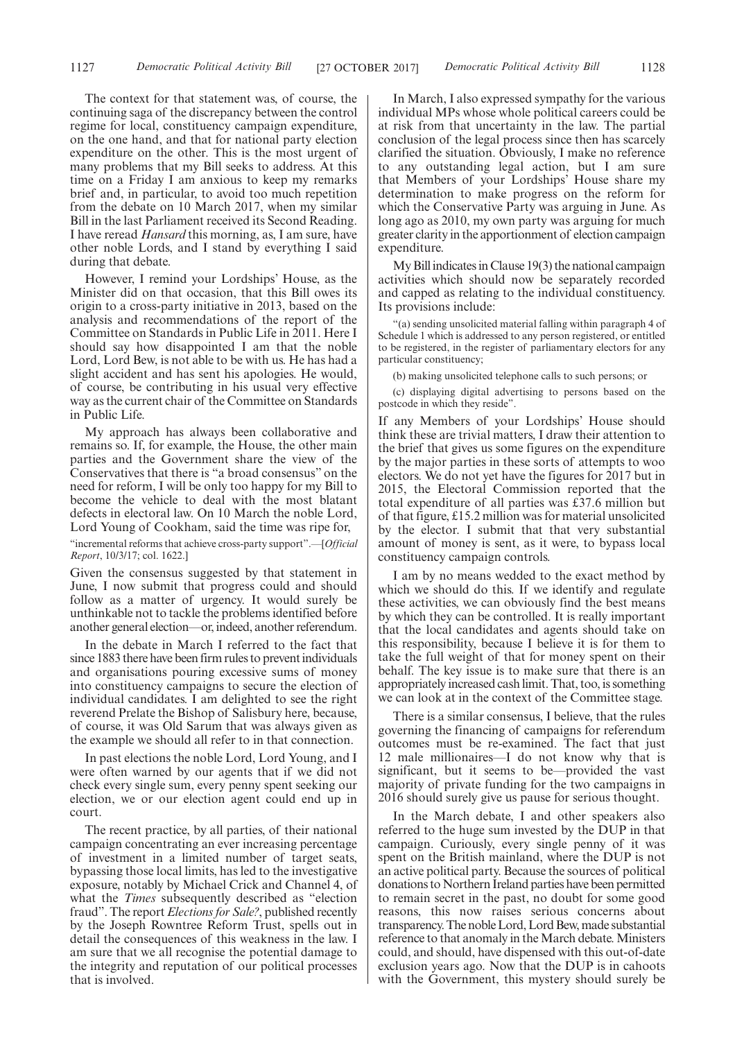The context for that statement was, of course, the continuing saga of the discrepancy between the control regime for local, constituency campaign expenditure, on the one hand, and that for national party election expenditure on the other. This is the most urgent of many problems that my Bill seeks to address. At this time on a Friday I am anxious to keep my remarks brief and, in particular, to avoid too much repetition from the debate on 10 March 2017, when my similar Bill in the last Parliament received its Second Reading. I have reread *Hansard* this morning, as, I am sure, have other noble Lords, and I stand by everything I said during that debate.

However, I remind your Lordships' House, as the Minister did on that occasion, that this Bill owes its origin to a cross-party initiative in 2013, based on the analysis and recommendations of the report of the Committee on Standards in Public Life in 2011. Here I should say how disappointed I am that the noble Lord, Lord Bew, is not able to be with us. He has had a slight accident and has sent his apologies. He would, of course, be contributing in his usual very effective way as the current chair of the Committee on Standards in Public Life.

My approach has always been collaborative and remains so. If, for example, the House, the other main parties and the Government share the view of the Conservatives that there is "a broad consensus" on the need for reform, I will be only too happy for my Bill to become the vehicle to deal with the most blatant defects in electoral law. On 10 March the noble Lord, Lord Young of Cookham, said the time was ripe for,

"incremental reforms that achieve cross-party support".—[*Official Report*, 10/3/17; col. 1622.]

Given the consensus suggested by that statement in June, I now submit that progress could and should follow as a matter of urgency. It would surely be unthinkable not to tackle the problems identified before another general election—or, indeed, another referendum.

In the debate in March I referred to the fact that since 1883 there have been firm rules to prevent individuals and organisations pouring excessive sums of money into constituency campaigns to secure the election of individual candidates. I am delighted to see the right reverend Prelate the Bishop of Salisbury here, because, of course, it was Old Sarum that was always given as the example we should all refer to in that connection.

In past elections the noble Lord, Lord Young, and I were often warned by our agents that if we did not check every single sum, every penny spent seeking our election, we or our election agent could end up in court.

The recent practice, by all parties, of their national campaign concentrating an ever increasing percentage of investment in a limited number of target seats, bypassing those local limits, has led to the investigative exposure, notably by Michael Crick and Channel 4, of what the *Times* subsequently described as "election fraud". The report*Elections for Sale?*, published recently by the Joseph Rowntree Reform Trust, spells out in detail the consequences of this weakness in the law. I am sure that we all recognise the potential damage to the integrity and reputation of our political processes that is involved.

In March, I also expressed sympathy for the various individual MPs whose whole political careers could be at risk from that uncertainty in the law. The partial conclusion of the legal process since then has scarcely clarified the situation. Obviously, I make no reference to any outstanding legal action, but I am sure that Members of your Lordships' House share my determination to make progress on the reform for which the Conservative Party was arguing in June. As long ago as 2010, my own party was arguing for much greater clarity in the apportionment of election campaign expenditure.

My Bill indicates in Clause 19(3) the national campaign activities which should now be separately recorded and capped as relating to the individual constituency. Its provisions include:

"(a) sending unsolicited material falling within paragraph 4 of Schedule 1 which is addressed to any person registered, or entitled to be registered, in the register of parliamentary electors for any particular constituency;

(b) making unsolicited telephone calls to such persons; or

(c) displaying digital advertising to persons based on the postcode in which they reside".

If any Members of your Lordships' House should think these are trivial matters, I draw their attention to the brief that gives us some figures on the expenditure by the major parties in these sorts of attempts to woo electors. We do not yet have the figures for 2017 but in 2015, the Electoral Commission reported that the total expenditure of all parties was £37.6 million but of that figure, £15.2 million was for material unsolicited by the elector. I submit that that very substantial amount of money is sent, as it were, to bypass local constituency campaign controls.

I am by no means wedded to the exact method by which we should do this. If we identify and regulate these activities, we can obviously find the best means by which they can be controlled. It is really important that the local candidates and agents should take on this responsibility, because I believe it is for them to take the full weight of that for money spent on their behalf. The key issue is to make sure that there is an appropriately increased cash limit. That, too, is something we can look at in the context of the Committee stage.

There is a similar consensus, I believe, that the rules governing the financing of campaigns for referendum outcomes must be re-examined. The fact that just 12 male millionaires—I do not know why that is significant, but it seems to be—provided the vast majority of private funding for the two campaigns in 2016 should surely give us pause for serious thought.

In the March debate, I and other speakers also referred to the huge sum invested by the DUP in that campaign. Curiously, every single penny of it was spent on the British mainland, where the DUP is not an active political party. Because the sources of political donations to Northern Ireland parties have been permitted to remain secret in the past, no doubt for some good reasons, this now raises serious concerns about transparency. The noble Lord, Lord Bew, made substantial reference to that anomaly in the March debate. Ministers could, and should, have dispensed with this out-of-date exclusion years ago. Now that the DUP is in cahoots with the Government, this mystery should surely be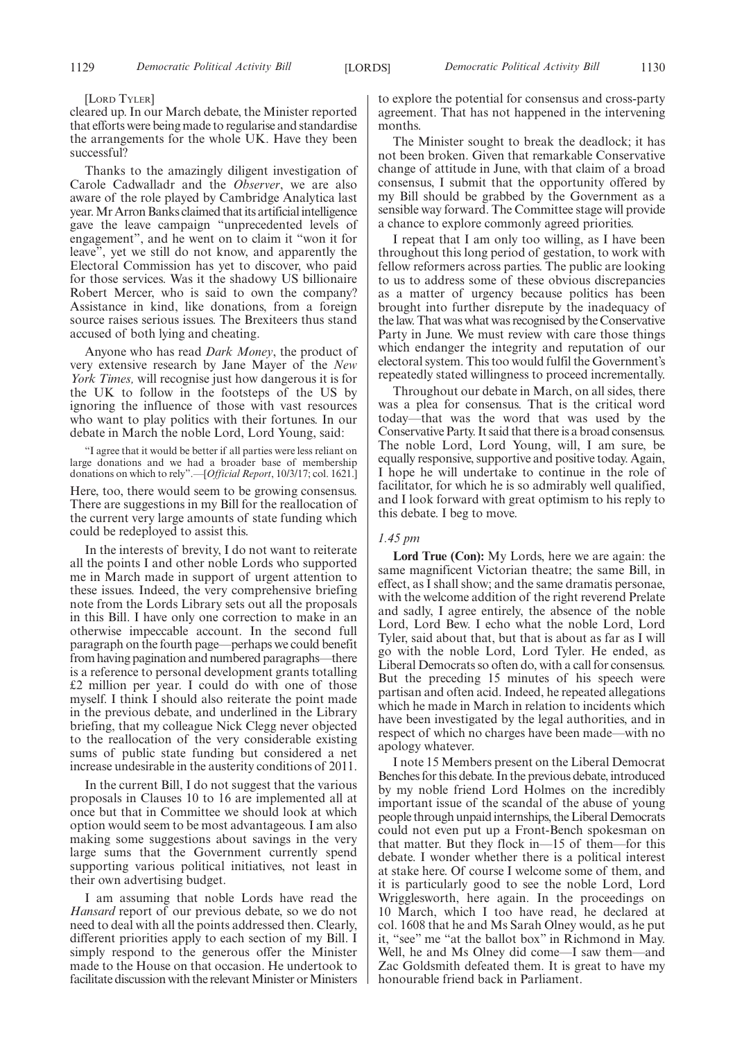[LORD TYLER]

cleared up. In our March debate, the Minister reported that efforts were being made to regularise and standardise the arrangements for the whole UK. Have they been successful?

Thanks to the amazingly diligent investigation of Carole Cadwalladr and the *Observer*, we are also aware of the role played by Cambridge Analytica last year. Mr Arron Banks claimed that its artificial intelligence gave the leave campaign "unprecedented levels of engagement", and he went on to claim it "won it for leave", yet we still do not know, and apparently the Electoral Commission has yet to discover, who paid for those services. Was it the shadowy US billionaire Robert Mercer, who is said to own the company? Assistance in kind, like donations, from a foreign source raises serious issues. The Brexiteers thus stand accused of both lying and cheating.

Anyone who has read *Dark Money*, the product of very extensive research by Jane Mayer of the *New York Times,* will recognise just how dangerous it is for the UK to follow in the footsteps of the US by ignoring the influence of those with vast resources who want to play politics with their fortunes. In our debate in March the noble Lord, Lord Young, said:

"I agree that it would be better if all parties were less reliant on large donations and we had a broader base of membership donations on which to rely".—[*Official Report*, 10/3/17; col. 1621.] Here, too, there would seem to be growing consensus. There are suggestions in my Bill for the reallocation of the current very large amounts of state funding which could be redeployed to assist this.

In the interests of brevity, I do not want to reiterate all the points I and other noble Lords who supported me in March made in support of urgent attention to these issues. Indeed, the very comprehensive briefing note from the Lords Library sets out all the proposals in this Bill. I have only one correction to make in an otherwise impeccable account. In the second full paragraph on the fourth page—perhaps we could benefit from having pagination and numbered paragraphs—there is a reference to personal development grants totalling £2 million per year. I could do with one of those myself. I think I should also reiterate the point made in the previous debate, and underlined in the Library briefing, that my colleague Nick Clegg never objected to the reallocation of the very considerable existing sums of public state funding but considered a net increase undesirable in the austerity conditions of 2011.

In the current Bill, I do not suggest that the various proposals in Clauses 10 to 16 are implemented all at once but that in Committee we should look at which option would seem to be most advantageous. I am also making some suggestions about savings in the very large sums that the Government currently spend supporting various political initiatives, not least in their own advertising budget.

I am assuming that noble Lords have read the *Hansard* report of our previous debate, so we do not need to deal with all the points addressed then. Clearly, different priorities apply to each section of my Bill. I simply respond to the generous offer the Minister made to the House on that occasion. He undertook to facilitate discussion with the relevant Minister or Ministers

to explore the potential for consensus and cross-party agreement. That has not happened in the intervening months.

The Minister sought to break the deadlock; it has not been broken. Given that remarkable Conservative change of attitude in June, with that claim of a broad consensus, I submit that the opportunity offered by my Bill should be grabbed by the Government as a sensible way forward. The Committee stage will provide a chance to explore commonly agreed priorities.

I repeat that I am only too willing, as I have been throughout this long period of gestation, to work with fellow reformers across parties. The public are looking to us to address some of these obvious discrepancies as a matter of urgency because politics has been brought into further disrepute by the inadequacy of the law. That was what was recognised by the Conservative Party in June. We must review with care those things which endanger the integrity and reputation of our electoral system. This too would fulfil the Government's repeatedly stated willingness to proceed incrementally.

Throughout our debate in March, on all sides, there was a plea for consensus. That is the critical word today—that was the word that was used by the Conservative Party. It said that there is a broad consensus. The noble Lord, Lord Young, will, I am sure, be equally responsive, supportive and positive today. Again, I hope he will undertake to continue in the role of facilitator, for which he is so admirably well qualified, and I look forward with great optimism to his reply to this debate. I beg to move.

# *1.45 pm*

**Lord True (Con):** My Lords, here we are again: the same magnificent Victorian theatre; the same Bill, in effect, as I shall show; and the same dramatis personae, with the welcome addition of the right reverend Prelate and sadly, I agree entirely, the absence of the noble Lord, Lord Bew. I echo what the noble Lord, Lord Tyler, said about that, but that is about as far as I will go with the noble Lord, Lord Tyler. He ended, as Liberal Democrats so often do, with a call for consensus. But the preceding 15 minutes of his speech were partisan and often acid. Indeed, he repeated allegations which he made in March in relation to incidents which have been investigated by the legal authorities, and in respect of which no charges have been made—with no apology whatever.

I note 15 Members present on the Liberal Democrat Benches for this debate. In the previous debate, introduced by my noble friend Lord Holmes on the incredibly important issue of the scandal of the abuse of young people through unpaid internships, the Liberal Democrats could not even put up a Front-Bench spokesman on that matter. But they flock in—15 of them—for this debate. I wonder whether there is a political interest at stake here. Of course I welcome some of them, and it is particularly good to see the noble Lord, Lord Wrigglesworth, here again. In the proceedings on 10 March, which I too have read, he declared at col. 1608 that he and Ms Sarah Olney would, as he put it, "see" me "at the ballot box" in Richmond in May. Well, he and Ms Olney did come—I saw them—and Zac Goldsmith defeated them. It is great to have my honourable friend back in Parliament.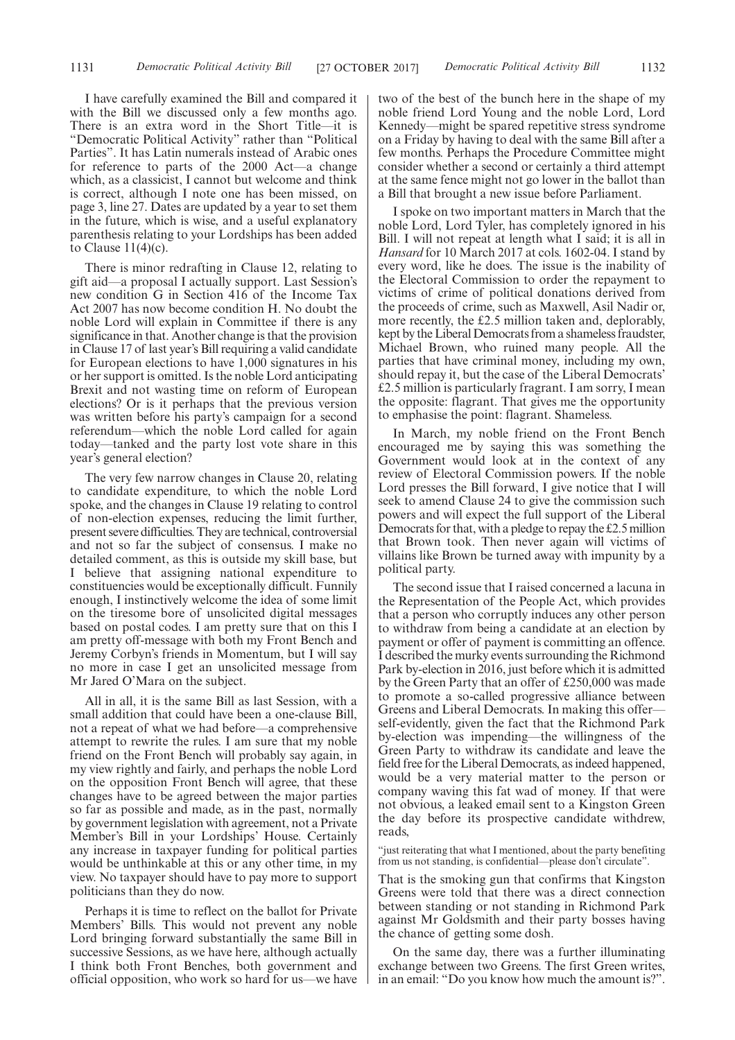I have carefully examined the Bill and compared it with the Bill we discussed only a few months ago. There is an extra word in the Short Title—it is "Democratic Political Activity" rather than "Political Parties". It has Latin numerals instead of Arabic ones for reference to parts of the 2000 Act—a change which, as a classicist, I cannot but welcome and think is correct, although I note one has been missed, on page 3, line 27. Dates are updated by a year to set them in the future, which is wise, and a useful explanatory parenthesis relating to your Lordships has been added to Clause  $11(4)(c)$ .

There is minor redrafting in Clause 12, relating to gift aid—a proposal I actually support. Last Session's new condition G in Section 416 of the Income Tax Act 2007 has now become condition H. No doubt the noble Lord will explain in Committee if there is any significance in that. Another change is that the provision in Clause 17 of last year's Bill requiring a valid candidate for European elections to have 1,000 signatures in his or her support is omitted. Is the noble Lord anticipating Brexit and not wasting time on reform of European elections? Or is it perhaps that the previous version was written before his party's campaign for a second referendum—which the noble Lord called for again today—tanked and the party lost vote share in this year's general election?

The very few narrow changes in Clause 20, relating to candidate expenditure, to which the noble Lord spoke, and the changes in Clause 19 relating to control of non-election expenses, reducing the limit further, present severe difficulties. They are technical, controversial and not so far the subject of consensus. I make no detailed comment, as this is outside my skill base, but I believe that assigning national expenditure to constituencies would be exceptionally difficult. Funnily enough, I instinctively welcome the idea of some limit on the tiresome bore of unsolicited digital messages based on postal codes. I am pretty sure that on this I am pretty off-message with both my Front Bench and Jeremy Corbyn's friends in Momentum, but I will say no more in case I get an unsolicited message from Mr Jared O'Mara on the subject.

All in all, it is the same Bill as last Session, with a small addition that could have been a one-clause Bill, not a repeat of what we had before—a comprehensive attempt to rewrite the rules. I am sure that my noble friend on the Front Bench will probably say again, in my view rightly and fairly, and perhaps the noble Lord on the opposition Front Bench will agree, that these changes have to be agreed between the major parties so far as possible and made, as in the past, normally by government legislation with agreement, not a Private Member's Bill in your Lordships' House. Certainly any increase in taxpayer funding for political parties would be unthinkable at this or any other time, in my view. No taxpayer should have to pay more to support politicians than they do now.

Perhaps it is time to reflect on the ballot for Private Members' Bills. This would not prevent any noble Lord bringing forward substantially the same Bill in successive Sessions, as we have here, although actually I think both Front Benches, both government and official opposition, who work so hard for us—we have two of the best of the bunch here in the shape of my noble friend Lord Young and the noble Lord, Lord Kennedy—might be spared repetitive stress syndrome on a Friday by having to deal with the same Bill after a few months. Perhaps the Procedure Committee might consider whether a second or certainly a third attempt at the same fence might not go lower in the ballot than a Bill that brought a new issue before Parliament.

I spoke on two important matters in March that the noble Lord, Lord Tyler, has completely ignored in his Bill. I will not repeat at length what I said; it is all in *Hansard* for 10 March 2017 at cols. 1602-04. I stand by every word, like he does. The issue is the inability of the Electoral Commission to order the repayment to victims of crime of political donations derived from the proceeds of crime, such as Maxwell, Asil Nadir or, more recently, the £2.5 million taken and, deplorably, kept by the Liberal Democrats from a shameless fraudster, Michael Brown, who ruined many people. All the parties that have criminal money, including my own, should repay it, but the case of the Liberal Democrats' £2.5 million is particularly fragrant. I am sorry, I mean the opposite: flagrant. That gives me the opportunity to emphasise the point: flagrant. Shameless.

In March, my noble friend on the Front Bench encouraged me by saying this was something the Government would look at in the context of any review of Electoral Commission powers. If the noble Lord presses the Bill forward, I give notice that I will seek to amend Clause 24 to give the commission such powers and will expect the full support of the Liberal Democrats for that, with a pledge to repay the £2.5 million that Brown took. Then never again will victims of villains like Brown be turned away with impunity by a political party.

The second issue that I raised concerned a lacuna in the Representation of the People Act, which provides that a person who corruptly induces any other person to withdraw from being a candidate at an election by payment or offer of payment is committing an offence. I described the murky events surrounding the Richmond Park by-election in 2016, just before which it is admitted by the Green Party that an offer of £250,000 was made to promote a so-called progressive alliance between Greens and Liberal Democrats. In making this offer self-evidently, given the fact that the Richmond Park by-election was impending—the willingness of the Green Party to withdraw its candidate and leave the field free for the Liberal Democrats, as indeed happened, would be a very material matter to the person or company waving this fat wad of money. If that were not obvious, a leaked email sent to a Kingston Green the day before its prospective candidate withdrew, reads,

"just reiterating that what I mentioned, about the party benefiting from us not standing, is confidential—please don't circulate".

That is the smoking gun that confirms that Kingston Greens were told that there was a direct connection between standing or not standing in Richmond Park against Mr Goldsmith and their party bosses having the chance of getting some dosh.

On the same day, there was a further illuminating exchange between two Greens. The first Green writes, in an email: "Do you know how much the amount is?".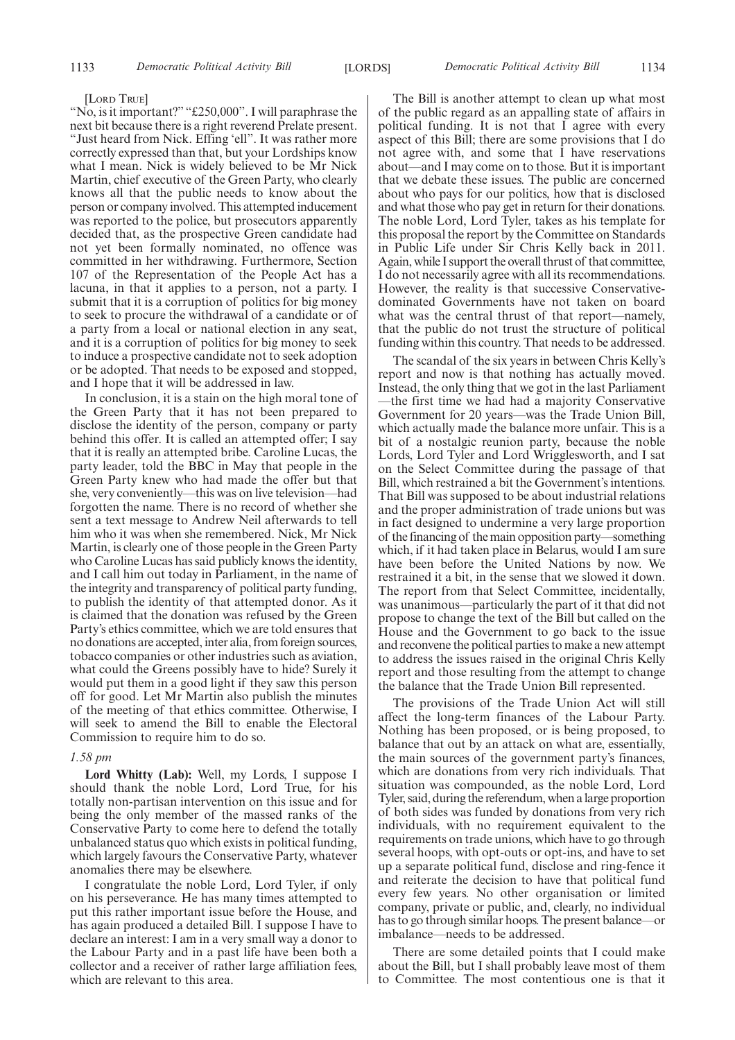#### [LORD TRUE]

"No, is it important?" "£250,000". I will paraphrase the next bit because there is a right reverend Prelate present. "Just heard from Nick. Effing 'ell". It was rather more correctly expressed than that, but your Lordships know what I mean. Nick is widely believed to be Mr Nick Martin, chief executive of the Green Party, who clearly knows all that the public needs to know about the person or company involved. This attempted inducement was reported to the police, but prosecutors apparently decided that, as the prospective Green candidate had not yet been formally nominated, no offence was committed in her withdrawing. Furthermore, Section 107 of the Representation of the People Act has a lacuna, in that it applies to a person, not a party. I submit that it is a corruption of politics for big money to seek to procure the withdrawal of a candidate or of a party from a local or national election in any seat, and it is a corruption of politics for big money to seek to induce a prospective candidate not to seek adoption or be adopted. That needs to be exposed and stopped, and I hope that it will be addressed in law.

In conclusion, it is a stain on the high moral tone of the Green Party that it has not been prepared to disclose the identity of the person, company or party behind this offer. It is called an attempted offer; I say that it is really an attempted bribe. Caroline Lucas, the party leader, told the BBC in May that people in the Green Party knew who had made the offer but that she, very conveniently—this was on live television—had forgotten the name. There is no record of whether she sent a text message to Andrew Neil afterwards to tell him who it was when she remembered. Nick, Mr Nick Martin, is clearly one of those people in the Green Party who Caroline Lucas has said publicly knows the identity, and I call him out today in Parliament, in the name of the integrity and transparency of political party funding, to publish the identity of that attempted donor. As it is claimed that the donation was refused by the Green Party's ethics committee, which we are told ensures that no donations are accepted, inter alia, from foreign sources, tobacco companies or other industries such as aviation, what could the Greens possibly have to hide? Surely it would put them in a good light if they saw this person off for good. Let Mr Martin also publish the minutes of the meeting of that ethics committee. Otherwise, I will seek to amend the Bill to enable the Electoral Commission to require him to do so.

#### *1.58 pm*

**Lord Whitty (Lab):** Well, my Lords, I suppose I should thank the noble Lord, Lord True, for his totally non-partisan intervention on this issue and for being the only member of the massed ranks of the Conservative Party to come here to defend the totally unbalanced status quo which exists in political funding, which largely favours the Conservative Party, whatever anomalies there may be elsewhere.

I congratulate the noble Lord, Lord Tyler, if only on his perseverance. He has many times attempted to put this rather important issue before the House, and has again produced a detailed Bill. I suppose I have to declare an interest: I am in a very small way a donor to the Labour Party and in a past life have been both a collector and a receiver of rather large affiliation fees, which are relevant to this area.

The Bill is another attempt to clean up what most of the public regard as an appalling state of affairs in political funding. It is not that I agree with every aspect of this Bill; there are some provisions that I do not agree with, and some that I have reservations about—and I may come on to those. But it is important that we debate these issues. The public are concerned about who pays for our politics, how that is disclosed and what those who pay get in return for their donations. The noble Lord, Lord Tyler, takes as his template for this proposal the report by the Committee on Standards in Public Life under Sir Chris Kelly back in 2011. Again, while I support the overall thrust of that committee, I do not necessarily agree with all its recommendations. However, the reality is that successive Conservativedominated Governments have not taken on board what was the central thrust of that report—namely, that the public do not trust the structure of political funding within this country. That needs to be addressed.

The scandal of the six years in between Chris Kelly's report and now is that nothing has actually moved. Instead, the only thing that we got in the last Parliament —the first time we had had a majority Conservative Government for 20 years—was the Trade Union Bill, which actually made the balance more unfair. This is a bit of a nostalgic reunion party, because the noble Lords, Lord Tyler and Lord Wrigglesworth, and I sat on the Select Committee during the passage of that Bill, which restrained a bit the Government's intentions. That Bill was supposed to be about industrial relations and the proper administration of trade unions but was in fact designed to undermine a very large proportion of the financing of the main opposition party—something which, if it had taken place in Belarus, would I am sure have been before the United Nations by now. We restrained it a bit, in the sense that we slowed it down. The report from that Select Committee, incidentally, was unanimous—particularly the part of it that did not propose to change the text of the Bill but called on the House and the Government to go back to the issue and reconvene the political parties to make a new attempt to address the issues raised in the original Chris Kelly report and those resulting from the attempt to change the balance that the Trade Union Bill represented.

The provisions of the Trade Union Act will still affect the long-term finances of the Labour Party. Nothing has been proposed, or is being proposed, to balance that out by an attack on what are, essentially, the main sources of the government party's finances, which are donations from very rich individuals. That situation was compounded, as the noble Lord, Lord Tyler, said, during the referendum, when a large proportion of both sides was funded by donations from very rich individuals, with no requirement equivalent to the requirements on trade unions, which have to go through several hoops, with opt-outs or opt-ins, and have to set up a separate political fund, disclose and ring-fence it and reiterate the decision to have that political fund every few years. No other organisation or limited company, private or public, and, clearly, no individual has to go through similar hoops. The present balance—or imbalance—needs to be addressed.

There are some detailed points that I could make about the Bill, but I shall probably leave most of them to Committee. The most contentious one is that it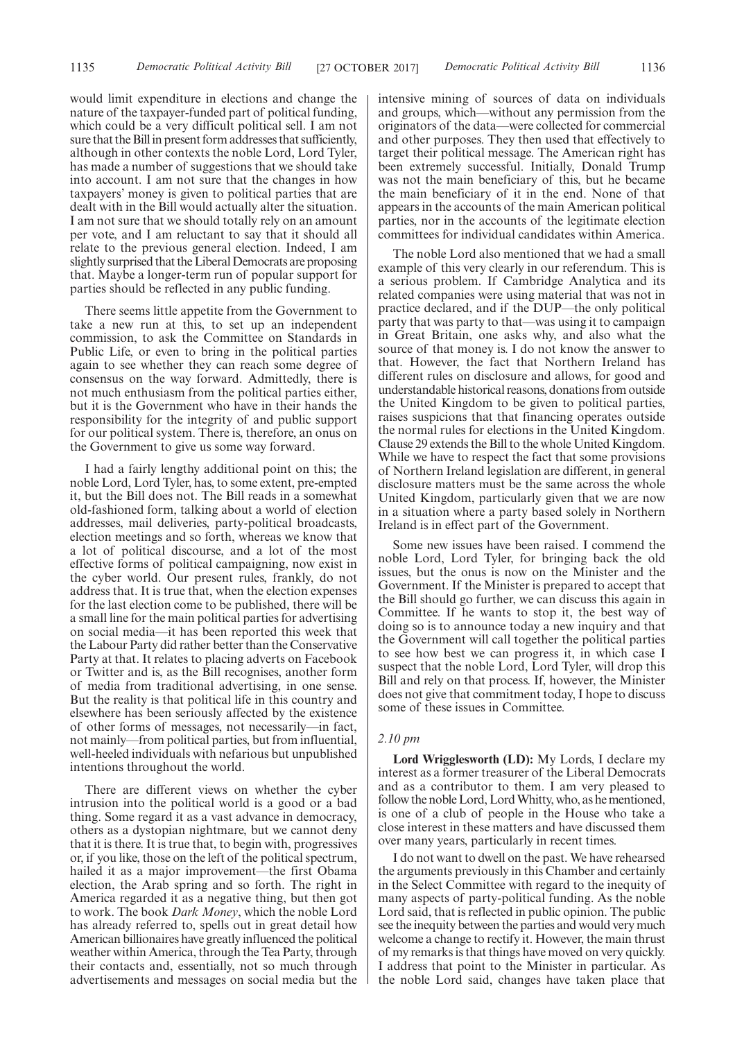would limit expenditure in elections and change the nature of the taxpayer-funded part of political funding, which could be a very difficult political sell. I am not sure that the Bill in present form addresses that sufficiently, although in other contexts the noble Lord, Lord Tyler, has made a number of suggestions that we should take into account. I am not sure that the changes in how taxpayers' money is given to political parties that are dealt with in the Bill would actually alter the situation. I am not sure that we should totally rely on an amount per vote, and I am reluctant to say that it should all relate to the previous general election. Indeed, I am slightly surprised that the Liberal Democrats are proposing that. Maybe a longer-term run of popular support for parties should be reflected in any public funding.

There seems little appetite from the Government to take a new run at this, to set up an independent commission, to ask the Committee on Standards in Public Life, or even to bring in the political parties again to see whether they can reach some degree of consensus on the way forward. Admittedly, there is not much enthusiasm from the political parties either, but it is the Government who have in their hands the responsibility for the integrity of and public support for our political system. There is, therefore, an onus on the Government to give us some way forward.

I had a fairly lengthy additional point on this; the noble Lord, Lord Tyler, has, to some extent, pre-empted it, but the Bill does not. The Bill reads in a somewhat old-fashioned form, talking about a world of election addresses, mail deliveries, party-political broadcasts, election meetings and so forth, whereas we know that a lot of political discourse, and a lot of the most effective forms of political campaigning, now exist in the cyber world. Our present rules, frankly, do not address that. It is true that, when the election expenses for the last election come to be published, there will be a small line for the main political parties for advertising on social media—it has been reported this week that the Labour Party did rather better than the Conservative Party at that. It relates to placing adverts on Facebook or Twitter and is, as the Bill recognises, another form of media from traditional advertising, in one sense. But the reality is that political life in this country and elsewhere has been seriously affected by the existence of other forms of messages, not necessarily—in fact, not mainly—from political parties, but from influential, well-heeled individuals with nefarious but unpublished intentions throughout the world.

There are different views on whether the cyber intrusion into the political world is a good or a bad thing. Some regard it as a vast advance in democracy, others as a dystopian nightmare, but we cannot deny that it is there. It is true that, to begin with, progressives or, if you like, those on the left of the political spectrum, hailed it as a major improvement—the first Obama election, the Arab spring and so forth. The right in America regarded it as a negative thing, but then got to work. The book *Dark Money*, which the noble Lord has already referred to, spells out in great detail how American billionaires have greatly influenced the political weather within America, through the Tea Party, through their contacts and, essentially, not so much through advertisements and messages on social media but the intensive mining of sources of data on individuals and groups, which—without any permission from the originators of the data—were collected for commercial and other purposes. They then used that effectively to target their political message. The American right has been extremely successful. Initially, Donald Trump was not the main beneficiary of this, but he became the main beneficiary of it in the end. None of that appears in the accounts of the main American political parties, nor in the accounts of the legitimate election committees for individual candidates within America.

The noble Lord also mentioned that we had a small example of this very clearly in our referendum. This is a serious problem. If Cambridge Analytica and its related companies were using material that was not in practice declared, and if the DUP—the only political party that was party to that—was using it to campaign in Great Britain, one asks why, and also what the source of that money is. I do not know the answer to that. However, the fact that Northern Ireland has different rules on disclosure and allows, for good and understandable historical reasons, donations from outside the United Kingdom to be given to political parties, raises suspicions that that financing operates outside the normal rules for elections in the United Kingdom. Clause 29 extends the Bill to the whole United Kingdom. While we have to respect the fact that some provisions of Northern Ireland legislation are different, in general disclosure matters must be the same across the whole United Kingdom, particularly given that we are now in a situation where a party based solely in Northern Ireland is in effect part of the Government.

Some new issues have been raised. I commend the noble Lord, Lord Tyler, for bringing back the old issues, but the onus is now on the Minister and the Government. If the Minister is prepared to accept that the Bill should go further, we can discuss this again in Committee. If he wants to stop it, the best way of doing so is to announce today a new inquiry and that the Government will call together the political parties to see how best we can progress it, in which case I suspect that the noble Lord, Lord Tyler, will drop this Bill and rely on that process. If, however, the Minister does not give that commitment today, I hope to discuss some of these issues in Committee.

# *2.10 pm*

**Lord Wrigglesworth (LD):** My Lords, I declare my interest as a former treasurer of the Liberal Democrats and as a contributor to them. I am very pleased to follow the noble Lord, Lord Whitty, who, as he mentioned, is one of a club of people in the House who take a close interest in these matters and have discussed them over many years, particularly in recent times.

I do not want to dwell on the past. We have rehearsed the arguments previously in this Chamber and certainly in the Select Committee with regard to the inequity of many aspects of party-political funding. As the noble Lord said, that is reflected in public opinion. The public see the inequity between the parties and would very much welcome a change to rectify it. However, the main thrust of my remarks is that things have moved on very quickly. I address that point to the Minister in particular. As the noble Lord said, changes have taken place that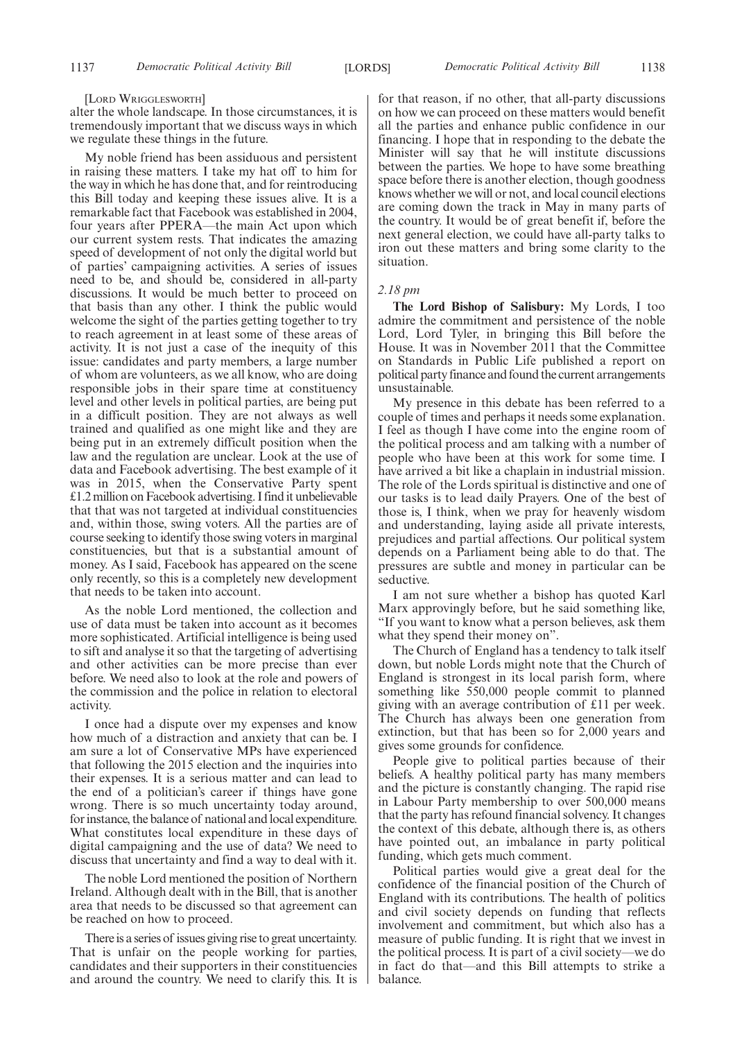#### [LORD WRIGGLESWORTH]

alter the whole landscape. In those circumstances, it is tremendously important that we discuss ways in which we regulate these things in the future.

My noble friend has been assiduous and persistent in raising these matters. I take my hat off to him for the way in which he has done that, and for reintroducing this Bill today and keeping these issues alive. It is a remarkable fact that Facebook was established in 2004, four years after PPERA—the main Act upon which our current system rests. That indicates the amazing speed of development of not only the digital world but of parties' campaigning activities. A series of issues need to be, and should be, considered in all-party discussions. It would be much better to proceed on that basis than any other. I think the public would welcome the sight of the parties getting together to try to reach agreement in at least some of these areas of activity. It is not just a case of the inequity of this issue: candidates and party members, a large number of whom are volunteers, as we all know, who are doing responsible jobs in their spare time at constituency level and other levels in political parties, are being put in a difficult position. They are not always as well trained and qualified as one might like and they are being put in an extremely difficult position when the law and the regulation are unclear. Look at the use of data and Facebook advertising. The best example of it was in 2015, when the Conservative Party spent £1.2 million on Facebook advertising. I find it unbelievable that that was not targeted at individual constituencies and, within those, swing voters. All the parties are of course seeking to identify those swing voters in marginal constituencies, but that is a substantial amount of money. As I said, Facebook has appeared on the scene only recently, so this is a completely new development that needs to be taken into account.

As the noble Lord mentioned, the collection and use of data must be taken into account as it becomes more sophisticated. Artificial intelligence is being used to sift and analyse it so that the targeting of advertising and other activities can be more precise than ever before. We need also to look at the role and powers of the commission and the police in relation to electoral activity.

I once had a dispute over my expenses and know how much of a distraction and anxiety that can be. I am sure a lot of Conservative MPs have experienced that following the 2015 election and the inquiries into their expenses. It is a serious matter and can lead to the end of a politician's career if things have gone wrong. There is so much uncertainty today around, for instance, the balance of national and local expenditure. What constitutes local expenditure in these days of digital campaigning and the use of data? We need to discuss that uncertainty and find a way to deal with it.

The noble Lord mentioned the position of Northern Ireland. Although dealt with in the Bill, that is another area that needs to be discussed so that agreement can be reached on how to proceed.

There is a series of issues giving rise to great uncertainty. That is unfair on the people working for parties, candidates and their supporters in their constituencies and around the country. We need to clarify this. It is for that reason, if no other, that all-party discussions on how we can proceed on these matters would benefit all the parties and enhance public confidence in our financing. I hope that in responding to the debate the Minister will say that he will institute discussions between the parties. We hope to have some breathing space before there is another election, though goodness knows whether we will or not, and local council elections are coming down the track in May in many parts of the country. It would be of great benefit if, before the next general election, we could have all-party talks to iron out these matters and bring some clarity to the situation.

# *2.18 pm*

**The Lord Bishop of Salisbury:** My Lords, I too admire the commitment and persistence of the noble Lord, Lord Tyler, in bringing this Bill before the House. It was in November 2011 that the Committee on Standards in Public Life published a report on political party finance and found the current arrangements unsustainable.

My presence in this debate has been referred to a couple of times and perhaps it needs some explanation. I feel as though I have come into the engine room of the political process and am talking with a number of people who have been at this work for some time. I have arrived a bit like a chaplain in industrial mission. The role of the Lords spiritual is distinctive and one of our tasks is to lead daily Prayers. One of the best of those is, I think, when we pray for heavenly wisdom and understanding, laying aside all private interests, prejudices and partial affections. Our political system depends on a Parliament being able to do that. The pressures are subtle and money in particular can be seductive.

I am not sure whether a bishop has quoted Karl Marx approvingly before, but he said something like, "If you want to know what a person believes, ask them what they spend their money on".

The Church of England has a tendency to talk itself down, but noble Lords might note that the Church of England is strongest in its local parish form, where something like 550,000 people commit to planned giving with an average contribution of £11 per week. The Church has always been one generation from extinction, but that has been so for 2,000 years and gives some grounds for confidence.

People give to political parties because of their beliefs. A healthy political party has many members and the picture is constantly changing. The rapid rise in Labour Party membership to over 500,000 means that the party has refound financial solvency. It changes the context of this debate, although there is, as others have pointed out, an imbalance in party political funding, which gets much comment.

Political parties would give a great deal for the confidence of the financial position of the Church of England with its contributions. The health of politics and civil society depends on funding that reflects involvement and commitment, but which also has a measure of public funding. It is right that we invest in the political process. It is part of a civil society—we do in fact do that—and this Bill attempts to strike a balance.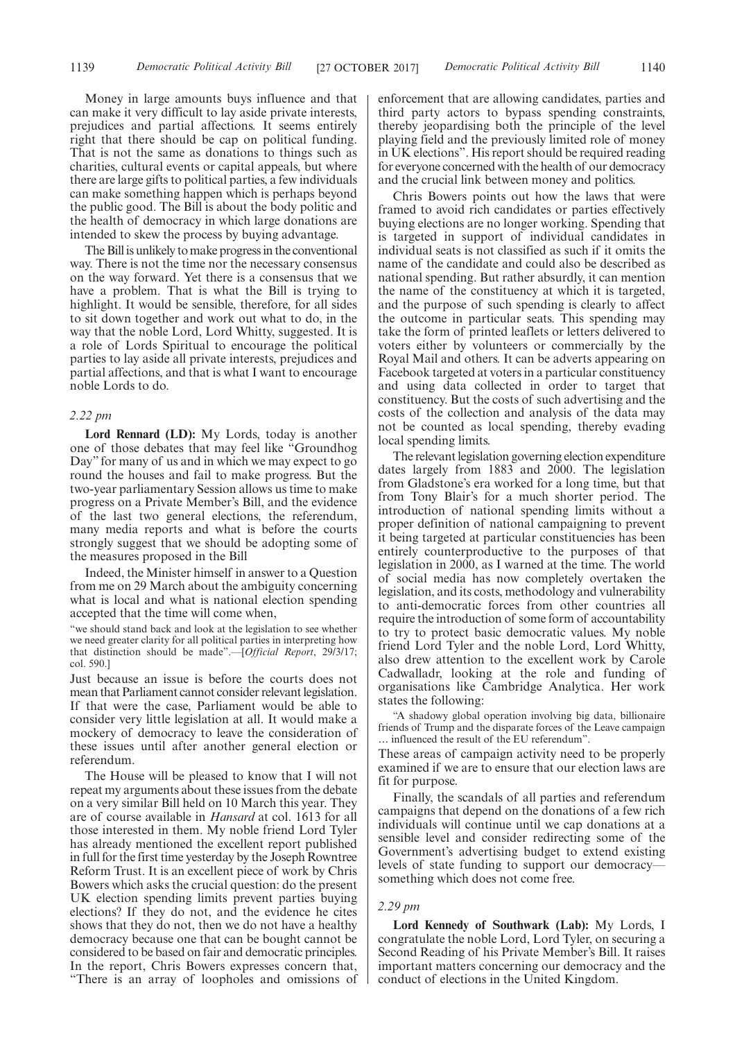Money in large amounts buys influence and that can make it very difficult to lay aside private interests, prejudices and partial affections. It seems entirely right that there should be cap on political funding. That is not the same as donations to things such as charities, cultural events or capital appeals, but where there are large gifts to political parties, a few individuals can make something happen which is perhaps beyond the public good. The Bill is about the body politic and the health of democracy in which large donations are intended to skew the process by buying advantage.

The Bill is unlikely to make progress in the conventional way. There is not the time nor the necessary consensus on the way forward. Yet there is a consensus that we have a problem. That is what the Bill is trying to highlight. It would be sensible, therefore, for all sides to sit down together and work out what to do, in the way that the noble Lord, Lord Whitty, suggested. It is a role of Lords Spiritual to encourage the political parties to lay aside all private interests, prejudices and partial affections, and that is what I want to encourage noble Lords to do.

#### *2.22 pm*

**Lord Rennard (LD):** My Lords, today is another one of those debates that may feel like "Groundhog Day" for many of us and in which we may expect to go round the houses and fail to make progress. But the two-year parliamentary Session allows us time to make progress on a Private Member's Bill, and the evidence of the last two general elections, the referendum, many media reports and what is before the courts strongly suggest that we should be adopting some of the measures proposed in the Bill

Indeed, the Minister himself in answer to a Question from me on 29 March about the ambiguity concerning what is local and what is national election spending accepted that the time will come when,

"we should stand back and look at the legislation to see whether we need greater clarity for all political parties in interpreting how that distinction should be made".—[*Official Report*, 29/3/17; col. 590.]

Just because an issue is before the courts does not mean that Parliament cannot consider relevant legislation. If that were the case, Parliament would be able to consider very little legislation at all. It would make a mockery of democracy to leave the consideration of these issues until after another general election or referendum.

The House will be pleased to know that I will not repeat my arguments about these issues from the debate on a very similar Bill held on 10 March this year. They are of course available in *Hansard* at col. 1613 for all those interested in them. My noble friend Lord Tyler has already mentioned the excellent report published in full for the first time yesterday by the Joseph Rowntree Reform Trust. It is an excellent piece of work by Chris Bowers which asks the crucial question: do the present UK election spending limits prevent parties buying elections? If they do not, and the evidence he cites shows that they do not, then we do not have a healthy democracy because one that can be bought cannot be considered to be based on fair and democratic principles. In the report, Chris Bowers expresses concern that, "There is an array of loopholes and omissions of enforcement that are allowing candidates, parties and third party actors to bypass spending constraints, thereby jeopardising both the principle of the level playing field and the previously limited role of money in UK elections". His report should be required reading for everyone concerned with the health of our democracy and the crucial link between money and politics.

Chris Bowers points out how the laws that were framed to avoid rich candidates or parties effectively buying elections are no longer working. Spending that is targeted in support of individual candidates in individual seats is not classified as such if it omits the name of the candidate and could also be described as national spending. But rather absurdly, it can mention the name of the constituency at which it is targeted, and the purpose of such spending is clearly to affect the outcome in particular seats. This spending may take the form of printed leaflets or letters delivered to voters either by volunteers or commercially by the Royal Mail and others. It can be adverts appearing on Facebook targeted at voters in a particular constituency and using data collected in order to target that constituency. But the costs of such advertising and the costs of the collection and analysis of the data may not be counted as local spending, thereby evading local spending limits.

The relevant legislation governing election expenditure dates largely from 1883 and 2000. The legislation from Gladstone's era worked for a long time, but that from Tony Blair's for a much shorter period. The introduction of national spending limits without a proper definition of national campaigning to prevent it being targeted at particular constituencies has been entirely counterproductive to the purposes of that legislation in 2000, as I warned at the time. The world of social media has now completely overtaken the legislation, and its costs, methodology and vulnerability to anti-democratic forces from other countries all require the introduction of some form of accountability to try to protect basic democratic values. My noble friend Lord Tyler and the noble Lord, Lord Whitty, also drew attention to the excellent work by Carole Cadwalladr, looking at the role and funding of organisations like Cambridge Analytica. Her work states the following:

"A shadowy global operation involving big data, billionaire friends of Trump and the disparate forces of the Leave campaign … influenced the result of the EU referendum".

These areas of campaign activity need to be properly examined if we are to ensure that our election laws are fit for purpose.

Finally, the scandals of all parties and referendum campaigns that depend on the donations of a few rich individuals will continue until we cap donations at a sensible level and consider redirecting some of the Government's advertising budget to extend existing levels of state funding to support our democracy something which does not come free.

#### *2.29 pm*

**Lord Kennedy of Southwark (Lab):** My Lords, I congratulate the noble Lord, Lord Tyler, on securing a Second Reading of his Private Member's Bill. It raises important matters concerning our democracy and the conduct of elections in the United Kingdom.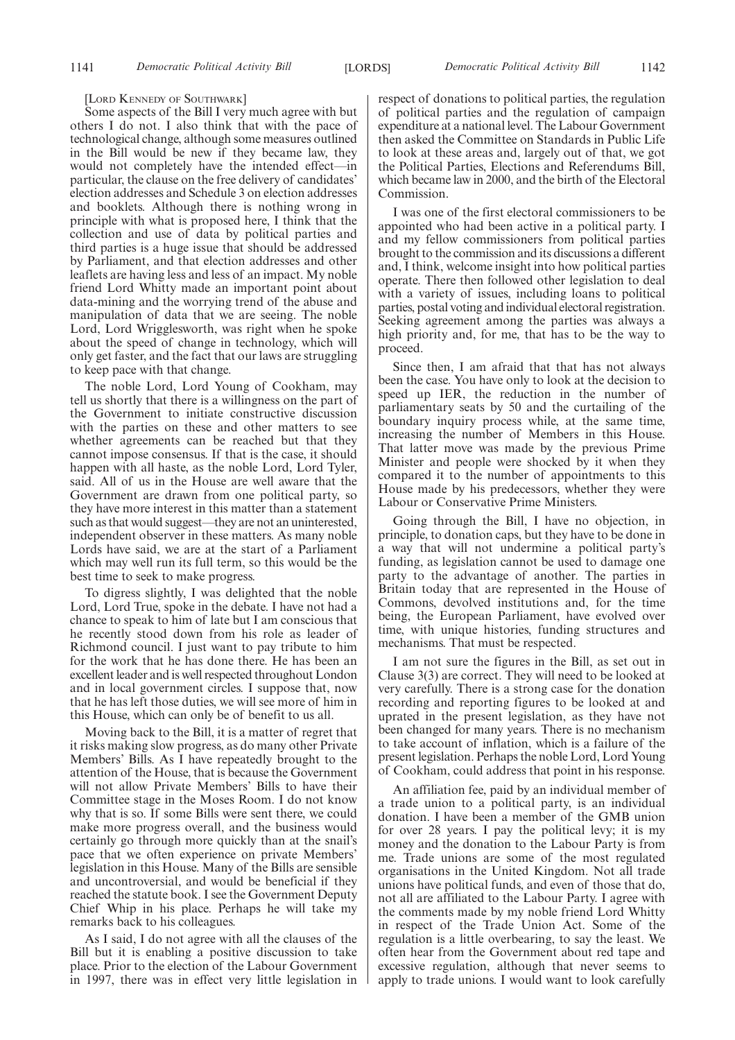[LORD KENNEDY OF SOUTHWARK]

Some aspects of the Bill I very much agree with but others I do not. I also think that with the pace of technological change, although some measures outlined in the Bill would be new if they became law, they would not completely have the intended effect—in particular, the clause on the free delivery of candidates' election addresses and Schedule 3 on election addresses and booklets. Although there is nothing wrong in principle with what is proposed here, I think that the collection and use of data by political parties and third parties is a huge issue that should be addressed by Parliament, and that election addresses and other leaflets are having less and less of an impact. My noble friend Lord Whitty made an important point about data-mining and the worrying trend of the abuse and manipulation of data that we are seeing. The noble Lord, Lord Wrigglesworth, was right when he spoke about the speed of change in technology, which will only get faster, and the fact that our laws are struggling to keep pace with that change.

The noble Lord, Lord Young of Cookham, may tell us shortly that there is a willingness on the part of the Government to initiate constructive discussion with the parties on these and other matters to see whether agreements can be reached but that they cannot impose consensus. If that is the case, it should happen with all haste, as the noble Lord, Lord Tyler, said. All of us in the House are well aware that the Government are drawn from one political party, so they have more interest in this matter than a statement such as that would suggest—they are not an uninterested, independent observer in these matters. As many noble Lords have said, we are at the start of a Parliament which may well run its full term, so this would be the best time to seek to make progress.

To digress slightly, I was delighted that the noble Lord, Lord True, spoke in the debate. I have not had a chance to speak to him of late but I am conscious that he recently stood down from his role as leader of Richmond council. I just want to pay tribute to him for the work that he has done there. He has been an excellent leader and is well respected throughout London and in local government circles. I suppose that, now that he has left those duties, we will see more of him in this House, which can only be of benefit to us all.

Moving back to the Bill, it is a matter of regret that it risks making slow progress, as do many other Private Members' Bills. As I have repeatedly brought to the attention of the House, that is because the Government will not allow Private Members' Bills to have their Committee stage in the Moses Room. I do not know why that is so. If some Bills were sent there, we could make more progress overall, and the business would certainly go through more quickly than at the snail's pace that we often experience on private Members' legislation in this House. Many of the Bills are sensible and uncontroversial, and would be beneficial if they reached the statute book. I see the Government Deputy Chief Whip in his place. Perhaps he will take my remarks back to his colleagues.

As I said, I do not agree with all the clauses of the Bill but it is enabling a positive discussion to take place. Prior to the election of the Labour Government in 1997, there was in effect very little legislation in respect of donations to political parties, the regulation of political parties and the regulation of campaign expenditure at a national level. The Labour Government then asked the Committee on Standards in Public Life to look at these areas and, largely out of that, we got the Political Parties, Elections and Referendums Bill, which became law in 2000, and the birth of the Electoral Commission.

I was one of the first electoral commissioners to be appointed who had been active in a political party. I and my fellow commissioners from political parties brought to the commission and its discussions a different and, I think, welcome insight into how political parties operate. There then followed other legislation to deal with a variety of issues, including loans to political parties, postal voting and individual electoral registration. Seeking agreement among the parties was always a high priority and, for me, that has to be the way to proceed.

Since then, I am afraid that that has not always been the case. You have only to look at the decision to speed up IER, the reduction in the number of parliamentary seats by 50 and the curtailing of the boundary inquiry process while, at the same time, increasing the number of Members in this House. That latter move was made by the previous Prime Minister and people were shocked by it when they compared it to the number of appointments to this House made by his predecessors, whether they were Labour or Conservative Prime Ministers.

Going through the Bill, I have no objection, in principle, to donation caps, but they have to be done in a way that will not undermine a political party's funding, as legislation cannot be used to damage one party to the advantage of another. The parties in Britain today that are represented in the House of Commons, devolved institutions and, for the time being, the European Parliament, have evolved over time, with unique histories, funding structures and mechanisms. That must be respected.

I am not sure the figures in the Bill, as set out in Clause 3(3) are correct. They will need to be looked at very carefully. There is a strong case for the donation recording and reporting figures to be looked at and uprated in the present legislation, as they have not been changed for many years. There is no mechanism to take account of inflation, which is a failure of the present legislation. Perhaps the noble Lord, Lord Young of Cookham, could address that point in his response.

An affiliation fee, paid by an individual member of a trade union to a political party, is an individual donation. I have been a member of the GMB union for over 28 years. I pay the political levy; it is my money and the donation to the Labour Party is from me. Trade unions are some of the most regulated organisations in the United Kingdom. Not all trade unions have political funds, and even of those that do, not all are affiliated to the Labour Party. I agree with the comments made by my noble friend Lord Whitty in respect of the Trade Union Act. Some of the regulation is a little overbearing, to say the least. We often hear from the Government about red tape and excessive regulation, although that never seems to apply to trade unions. I would want to look carefully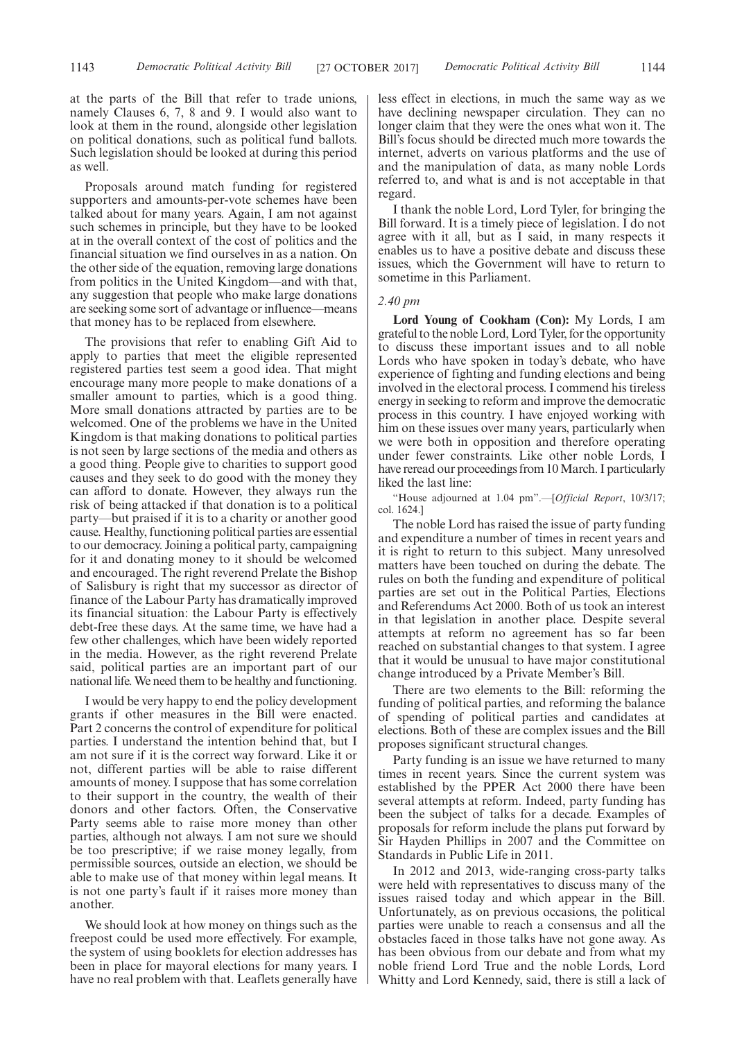at the parts of the Bill that refer to trade unions, namely Clauses 6, 7, 8 and 9. I would also want to look at them in the round, alongside other legislation on political donations, such as political fund ballots. Such legislation should be looked at during this period as well.

Proposals around match funding for registered supporters and amounts-per-vote schemes have been talked about for many years. Again, I am not against such schemes in principle, but they have to be looked at in the overall context of the cost of politics and the financial situation we find ourselves in as a nation. On the other side of the equation, removing large donations from politics in the United Kingdom—and with that, any suggestion that people who make large donations are seeking some sort of advantage or influence—means that money has to be replaced from elsewhere.

The provisions that refer to enabling Gift Aid to apply to parties that meet the eligible represented registered parties test seem a good idea. That might encourage many more people to make donations of a smaller amount to parties, which is a good thing. More small donations attracted by parties are to be welcomed. One of the problems we have in the United Kingdom is that making donations to political parties is not seen by large sections of the media and others as a good thing. People give to charities to support good causes and they seek to do good with the money they can afford to donate. However, they always run the risk of being attacked if that donation is to a political party—but praised if it is to a charity or another good cause. Healthy, functioning political parties are essential to our democracy. Joining a political party, campaigning for it and donating money to it should be welcomed and encouraged. The right reverend Prelate the Bishop of Salisbury is right that my successor as director of finance of the Labour Party has dramatically improved its financial situation: the Labour Party is effectively debt-free these days. At the same time, we have had a few other challenges, which have been widely reported in the media. However, as the right reverend Prelate said, political parties are an important part of our national life. We need them to be healthy and functioning.

I would be very happy to end the policy development grants if other measures in the Bill were enacted. Part 2 concerns the control of expenditure for political parties. I understand the intention behind that, but I am not sure if it is the correct way forward. Like it or not, different parties will be able to raise different amounts of money. I suppose that has some correlation to their support in the country, the wealth of their donors and other factors. Often, the Conservative Party seems able to raise more money than other parties, although not always. I am not sure we should be too prescriptive; if we raise money legally, from permissible sources, outside an election, we should be able to make use of that money within legal means. It is not one party's fault if it raises more money than another.

We should look at how money on things such as the freepost could be used more effectively. For example, the system of using booklets for election addresses has been in place for mayoral elections for many years. I have no real problem with that. Leaflets generally have less effect in elections, in much the same way as we have declining newspaper circulation. They can no longer claim that they were the ones what won it. The Bill's focus should be directed much more towards the internet, adverts on various platforms and the use of and the manipulation of data, as many noble Lords referred to, and what is and is not acceptable in that regard.

I thank the noble Lord, Lord Tyler, for bringing the Bill forward. It is a timely piece of legislation. I do not agree with it all, but as I said, in many respects it enables us to have a positive debate and discuss these issues, which the Government will have to return to sometime in this Parliament.

#### *2.40 pm*

**Lord Young of Cookham (Con):** My Lords, I am grateful to the noble Lord, Lord Tyler, for the opportunity to discuss these important issues and to all noble Lords who have spoken in today's debate, who have experience of fighting and funding elections and being involved in the electoral process. I commend his tireless energy in seeking to reform and improve the democratic process in this country. I have enjoyed working with him on these issues over many years, particularly when we were both in opposition and therefore operating under fewer constraints. Like other noble Lords, I have reread our proceedings from 10 March. I particularly liked the last line:

"House adjourned at 1.04 pm".—[*Official Report*, 10/3/17; col. 1624.]

The noble Lord has raised the issue of party funding and expenditure a number of times in recent years and it is right to return to this subject. Many unresolved matters have been touched on during the debate. The rules on both the funding and expenditure of political parties are set out in the Political Parties, Elections and Referendums Act 2000. Both of us took an interest in that legislation in another place. Despite several attempts at reform no agreement has so far been reached on substantial changes to that system. I agree that it would be unusual to have major constitutional change introduced by a Private Member's Bill.

There are two elements to the Bill: reforming the funding of political parties, and reforming the balance of spending of political parties and candidates at elections. Both of these are complex issues and the Bill proposes significant structural changes.

Party funding is an issue we have returned to many times in recent years. Since the current system was established by the PPER Act 2000 there have been several attempts at reform. Indeed, party funding has been the subject of talks for a decade. Examples of proposals for reform include the plans put forward by Sir Hayden Phillips in 2007 and the Committee on Standards in Public Life in 2011.

In 2012 and 2013, wide-ranging cross-party talks were held with representatives to discuss many of the issues raised today and which appear in the Bill. Unfortunately, as on previous occasions, the political parties were unable to reach a consensus and all the obstacles faced in those talks have not gone away. As has been obvious from our debate and from what my noble friend Lord True and the noble Lords, Lord Whitty and Lord Kennedy, said, there is still a lack of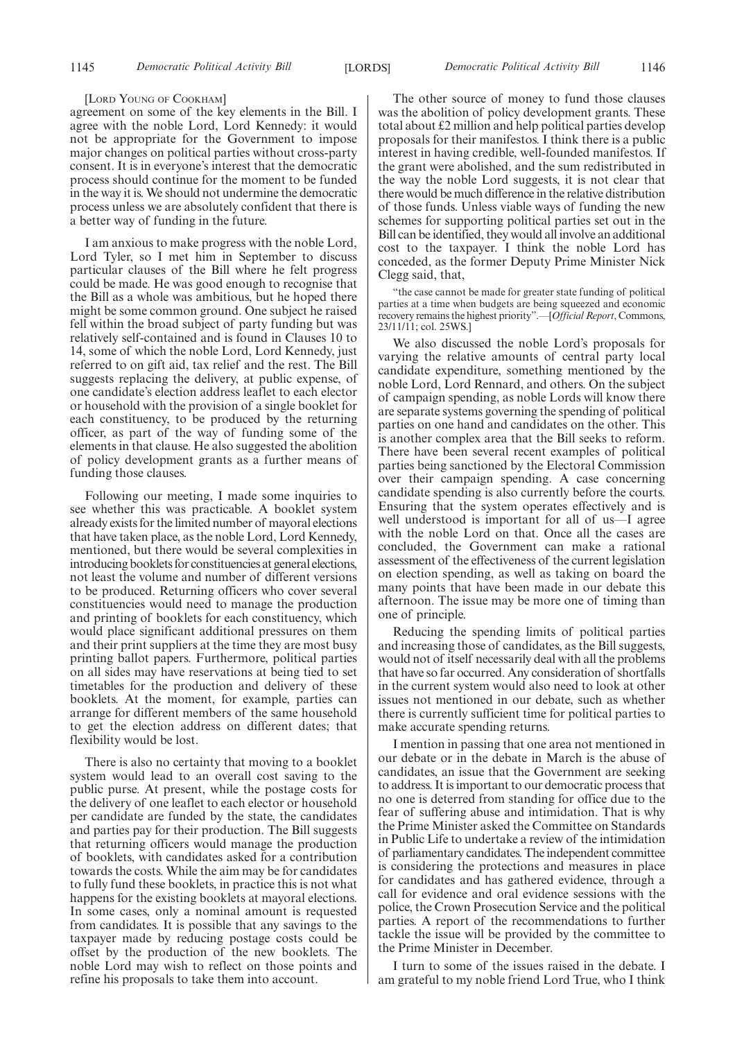#### [LORD YOUNG OF COOKHAM]

agreement on some of the key elements in the Bill. I agree with the noble Lord, Lord Kennedy: it would not be appropriate for the Government to impose major changes on political parties without cross-party consent. It is in everyone's interest that the democratic process should continue for the moment to be funded in the way it is. We should not undermine the democratic process unless we are absolutely confident that there is a better way of funding in the future.

I am anxious to make progress with the noble Lord, Lord Tyler, so I met him in September to discuss particular clauses of the Bill where he felt progress could be made. He was good enough to recognise that the Bill as a whole was ambitious, but he hoped there might be some common ground. One subject he raised fell within the broad subject of party funding but was relatively self-contained and is found in Clauses 10 to 14, some of which the noble Lord, Lord Kennedy, just referred to on gift aid, tax relief and the rest. The Bill suggests replacing the delivery, at public expense, of one candidate's election address leaflet to each elector or household with the provision of a single booklet for each constituency, to be produced by the returning officer, as part of the way of funding some of the elements in that clause. He also suggested the abolition of policy development grants as a further means of funding those clauses.

Following our meeting, I made some inquiries to see whether this was practicable. A booklet system already exists for the limited number of mayoral elections that have taken place, as the noble Lord, Lord Kennedy, mentioned, but there would be several complexities in introducing booklets for constituencies at general elections, not least the volume and number of different versions to be produced. Returning officers who cover several constituencies would need to manage the production and printing of booklets for each constituency, which would place significant additional pressures on them and their print suppliers at the time they are most busy printing ballot papers. Furthermore, political parties on all sides may have reservations at being tied to set timetables for the production and delivery of these booklets. At the moment, for example, parties can arrange for different members of the same household to get the election address on different dates; that flexibility would be lost.

There is also no certainty that moving to a booklet system would lead to an overall cost saving to the public purse. At present, while the postage costs for the delivery of one leaflet to each elector or household per candidate are funded by the state, the candidates and parties pay for their production. The Bill suggests that returning officers would manage the production of booklets, with candidates asked for a contribution towards the costs. While the aim may be for candidates to fully fund these booklets, in practice this is not what happens for the existing booklets at mayoral elections. In some cases, only a nominal amount is requested from candidates. It is possible that any savings to the taxpayer made by reducing postage costs could be offset by the production of the new booklets. The noble Lord may wish to reflect on those points and refine his proposals to take them into account.

The other source of money to fund those clauses was the abolition of policy development grants. These total about £2 million and help political parties develop proposals for their manifestos. I think there is a public interest in having credible, well-founded manifestos. If the grant were abolished, and the sum redistributed in the way the noble Lord suggests, it is not clear that there would be much difference in the relative distribution of those funds. Unless viable ways of funding the new schemes for supporting political parties set out in the Bill can be identified, they would all involve an additional cost to the taxpayer. I think the noble Lord has conceded, as the former Deputy Prime Minister Nick Clegg said, that,

"the case cannot be made for greater state funding of political parties at a time when budgets are being squeezed and economic recovery remains the highest priority".—[*Official Report*, Commons, 23/11/11; col. 25WS.]

We also discussed the noble Lord's proposals for varying the relative amounts of central party local candidate expenditure, something mentioned by the noble Lord, Lord Rennard, and others. On the subject of campaign spending, as noble Lords will know there are separate systems governing the spending of political parties on one hand and candidates on the other. This is another complex area that the Bill seeks to reform. There have been several recent examples of political parties being sanctioned by the Electoral Commission over their campaign spending. A case concerning candidate spending is also currently before the courts. Ensuring that the system operates effectively and is well understood is important for all of us—I agree with the noble Lord on that. Once all the cases are concluded, the Government can make a rational assessment of the effectiveness of the current legislation on election spending, as well as taking on board the many points that have been made in our debate this afternoon. The issue may be more one of timing than one of principle.

Reducing the spending limits of political parties and increasing those of candidates, as the Bill suggests, would not of itself necessarily deal with all the problems that have so far occurred. Any consideration of shortfalls in the current system would also need to look at other issues not mentioned in our debate, such as whether there is currently sufficient time for political parties to make accurate spending returns.

I mention in passing that one area not mentioned in our debate or in the debate in March is the abuse of candidates, an issue that the Government are seeking to address. It is important to our democratic process that no one is deterred from standing for office due to the fear of suffering abuse and intimidation. That is why the Prime Minister asked the Committee on Standards in Public Life to undertake a review of the intimidation of parliamentary candidates. The independent committee is considering the protections and measures in place for candidates and has gathered evidence, through a call for evidence and oral evidence sessions with the police, the Crown Prosecution Service and the political parties. A report of the recommendations to further tackle the issue will be provided by the committee to the Prime Minister in December.

I turn to some of the issues raised in the debate. I am grateful to my noble friend Lord True, who I think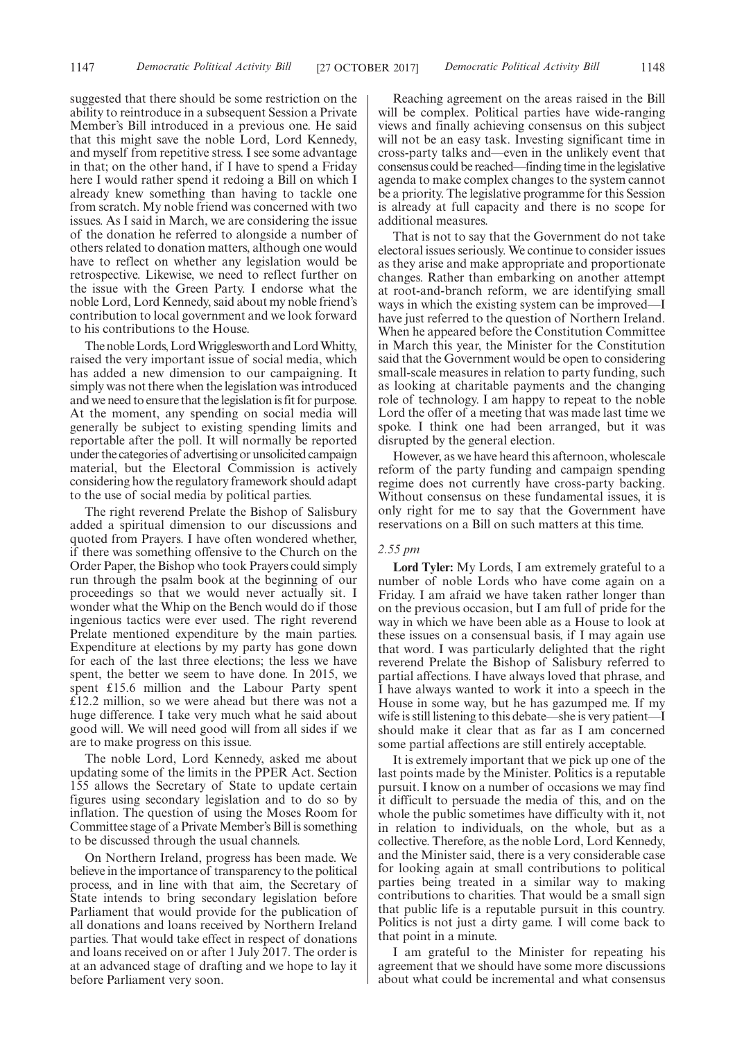suggested that there should be some restriction on the ability to reintroduce in a subsequent Session a Private Member's Bill introduced in a previous one. He said that this might save the noble Lord, Lord Kennedy, and myself from repetitive stress. I see some advantage in that; on the other hand, if I have to spend a Friday here I would rather spend it redoing a Bill on which I already knew something than having to tackle one from scratch. My noble friend was concerned with two issues. As I said in March, we are considering the issue of the donation he referred to alongside a number of others related to donation matters, although one would have to reflect on whether any legislation would be retrospective. Likewise, we need to reflect further on the issue with the Green Party. I endorse what the noble Lord, Lord Kennedy, said about my noble friend's contribution to local government and we look forward to his contributions to the House.

The noble Lords, Lord Wrigglesworth and Lord Whitty, raised the very important issue of social media, which has added a new dimension to our campaigning. It simply was not there when the legislation was introduced and we need to ensure that the legislation is fit for purpose. At the moment, any spending on social media will generally be subject to existing spending limits and reportable after the poll. It will normally be reported under the categories of advertising or unsolicited campaign material, but the Electoral Commission is actively considering how the regulatory framework should adapt to the use of social media by political parties.

The right reverend Prelate the Bishop of Salisbury added a spiritual dimension to our discussions and quoted from Prayers. I have often wondered whether, if there was something offensive to the Church on the Order Paper, the Bishop who took Prayers could simply run through the psalm book at the beginning of our proceedings so that we would never actually sit. I wonder what the Whip on the Bench would do if those ingenious tactics were ever used. The right reverend Prelate mentioned expenditure by the main parties. Expenditure at elections by my party has gone down for each of the last three elections; the less we have spent, the better we seem to have done. In 2015, we spent £15.6 million and the Labour Party spent £12.2 million, so we were ahead but there was not a huge difference. I take very much what he said about good will. We will need good will from all sides if we are to make progress on this issue.

The noble Lord, Lord Kennedy, asked me about updating some of the limits in the PPER Act. Section 155 allows the Secretary of State to update certain figures using secondary legislation and to do so by inflation. The question of using the Moses Room for Committee stage of a Private Member's Bill is something to be discussed through the usual channels.

On Northern Ireland, progress has been made. We believe in the importance of transparency to the political process, and in line with that aim, the Secretary of State intends to bring secondary legislation before Parliament that would provide for the publication of all donations and loans received by Northern Ireland parties. That would take effect in respect of donations and loans received on or after 1 July 2017. The order is at an advanced stage of drafting and we hope to lay it before Parliament very soon.

Reaching agreement on the areas raised in the Bill will be complex. Political parties have wide-ranging views and finally achieving consensus on this subject will not be an easy task. Investing significant time in cross-party talks and—even in the unlikely event that consensus could be reached—finding time in the legislative agenda to make complex changes to the system cannot be a priority. The legislative programme for this Session is already at full capacity and there is no scope for additional measures.

That is not to say that the Government do not take electoral issues seriously. We continue to consider issues as they arise and make appropriate and proportionate changes. Rather than embarking on another attempt at root-and-branch reform, we are identifying small ways in which the existing system can be improved—I have just referred to the question of Northern Ireland. When he appeared before the Constitution Committee in March this year, the Minister for the Constitution said that the Government would be open to considering small-scale measures in relation to party funding, such as looking at charitable payments and the changing role of technology. I am happy to repeat to the noble Lord the offer of a meeting that was made last time we spoke. I think one had been arranged, but it was disrupted by the general election.

However, as we have heard this afternoon, wholescale reform of the party funding and campaign spending regime does not currently have cross-party backing. Without consensus on these fundamental issues, it is only right for me to say that the Government have reservations on a Bill on such matters at this time.

# *2.55 pm*

**Lord Tyler:** My Lords, I am extremely grateful to a number of noble Lords who have come again on a Friday. I am afraid we have taken rather longer than on the previous occasion, but I am full of pride for the way in which we have been able as a House to look at these issues on a consensual basis, if I may again use that word. I was particularly delighted that the right reverend Prelate the Bishop of Salisbury referred to partial affections. I have always loved that phrase, and I have always wanted to work it into a speech in the House in some way, but he has gazumped me. If my wife is still listening to this debate—she is very patient—I should make it clear that as far as I am concerned some partial affections are still entirely acceptable.

It is extremely important that we pick up one of the last points made by the Minister. Politics is a reputable pursuit. I know on a number of occasions we may find it difficult to persuade the media of this, and on the whole the public sometimes have difficulty with it, not in relation to individuals, on the whole, but as a collective. Therefore, as the noble Lord, Lord Kennedy, and the Minister said, there is a very considerable case for looking again at small contributions to political parties being treated in a similar way to making contributions to charities. That would be a small sign that public life is a reputable pursuit in this country. Politics is not just a dirty game. I will come back to that point in a minute.

I am grateful to the Minister for repeating his agreement that we should have some more discussions about what could be incremental and what consensus